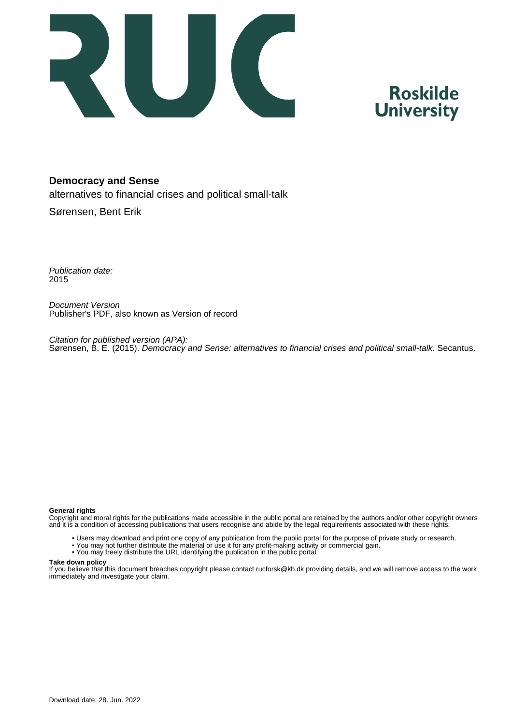

## **Roskilde University**

#### **Democracy and Sense**

alternatives to financial crises and political small-talk

Sørensen, Bent Erik

Publication date: 2015

Document Version Publisher's PDF, also known as Version of record

Citation for published version (APA): Sørensen, B. E. (2015). Democracy and Sense: alternatives to financial crises and political small-talk. Secantus.

#### **General rights**

Copyright and moral rights for the publications made accessible in the public portal are retained by the authors and/or other copyright owners and it is a condition of accessing publications that users recognise and abide by the legal requirements associated with these rights.

- Users may download and print one copy of any publication from the public portal for the purpose of private study or research.
- You may not further distribute the material or use it for any profit-making activity or commercial gain.
- You may freely distribute the URL identifying the publication in the public portal.

#### **Take down policy**

If you believe that this document breaches copyright please contact rucforsk@kb.dk providing details, and we will remove access to the work immediately and investigate your claim.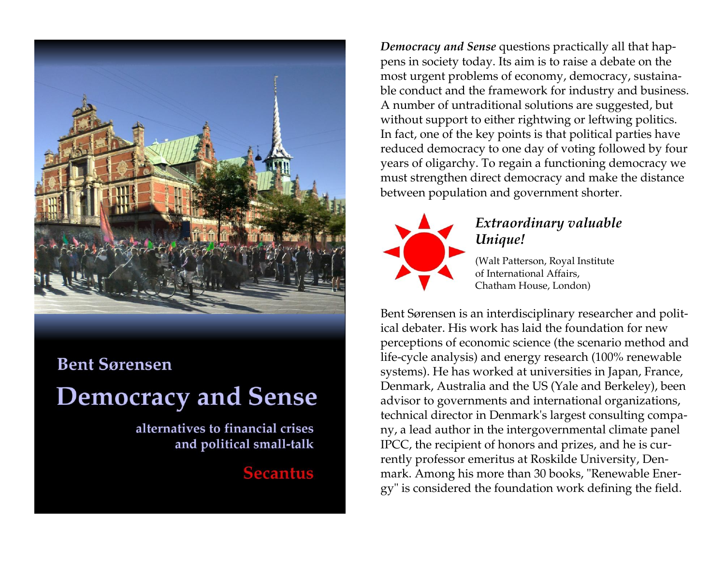

## **Bent Sørensen**

# **Democracy and Sense**

alternatives to financial crises and political small-talk

## **Secantus**

*Democracy and Sense* questions practically all that happens in society today. Its aim is to raise a debate on the most urgent problems of economy, democracy, sustainable conduct and the framework for industry and business. A number of untraditional solutions are suggested, but without support to either rightwing or leftwing politics. In fact, one of the key points is that political parties have reduced democracy to one day of voting followed by four years of oligarchy. To regain a functioning democracy we must strengthen direct democracy and make the distance between population and government shorter.



### *Extraordinary valuable Unique!*

(Walt Patterson, Royal Institute of International Affairs, Chatham House, London)

Bent Sørensen is an interdisciplinary researcher and political debater. His work has laid the foundation for new perceptions of economic science (the scenario method and life-cycle analysis) and energy research (100% renewable systems). He has worked at universities in Japan, France, Denmark, Australia and the US (Yale and Berkeley), been advisor to governments and international organizations, technical director in Denmark's largest consulting company, a lead author in the intergovernmental climate panel IPCC, the recipient of honors and prizes, and he is currently professor emeritus at Roskilde University, Denmark. Among his more than 30 books, "Renewable Energy" is considered the foundation work defining the field.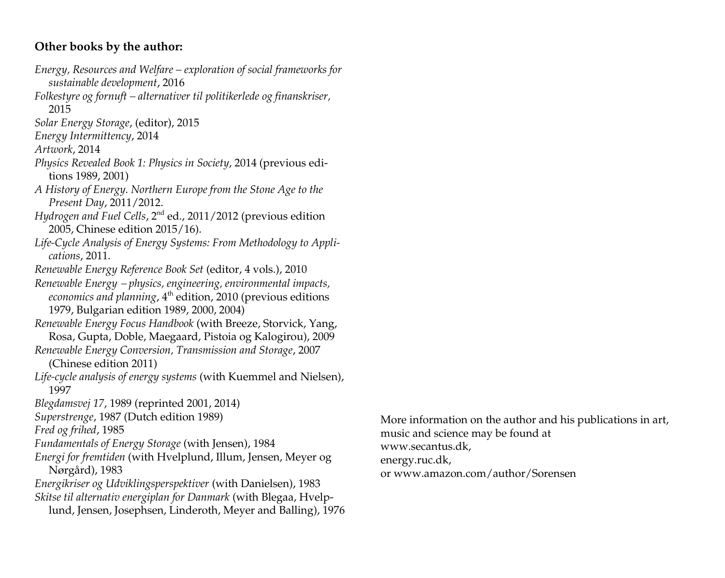#### **Other books by the author:**

- *Energy, Resources and Welfare – exploration of social frameworks for sustainable development*, 2016
- *Folkestyre og fornuft – alternativer til politikerlede og finanskriser,* 2015
- *Solar Energy Storage*, (editor), 2015
- *Energy Intermittency*, 2014
- *Artwork*, 2014
- *Physics Revealed Book 1: Physics in Society*, 2014 (previous editions 1989, 2001)
- *A History of Energy. Northern Europe from the Stone Age to the Present Day*, 2011/2012.
- *Hydrogen and Fuel Cells,* 2<sup>nd</sup> ed., 2011/2012 (previous edition 2005, Chinese edition 2015/16).
- *Life-Cycle Analysis of Energy Systems: From Methodology to Applications*, 2011.
- *Renewable Energy Reference Book Set* (editor, 4 vols.), 2010
- *Renewable Energy physics, engineering, environmental impacts, economics and planning*, 4<sup>th</sup> edition, 2010 (previous editions 1979, Bulgarian edition 1989, 2000, 2004)
- *Renewable Energy Focus Handbook* (with Breeze, Storvick, Yang, Rosa, Gupta, Doble, Maegaard, Pistoia og Kalogirou), 2009
- *Renewable Energy Conversion, Transmission and Storage*, 2007 (Chinese edition 2011)
- *Life-cycle analysis of energy systems* (with Kuemmel and Nielsen), 1997
- *Blegdamsvej 17*, 1989 (reprinted 2001, 2014)
- *Superstrenge*, 1987 (Dutch edition 1989)
- *Fred og frihed*, 1985
- *Fundamentals of Energy Storage* (with Jensen), 1984
- *Energi for fremtiden* (with Hvelplund, Illum, Jensen, Meyer og Nørgård), 1983
- *Energikriser og Udviklingsperspektiver* (with Danielsen), 1983 *Skitse til alternativ energiplan for Danmark* (with Blegaa, Hvelplund, Jensen, Josephsen, Linderoth, Meyer and Balling), 1976
- More information on the author and his publications in art, music and science may be found at www.secantus.dk, energy.ruc.dk, or [www.amazon.com/author/Sorensen](http://www.amazon.com/author/Sorensen)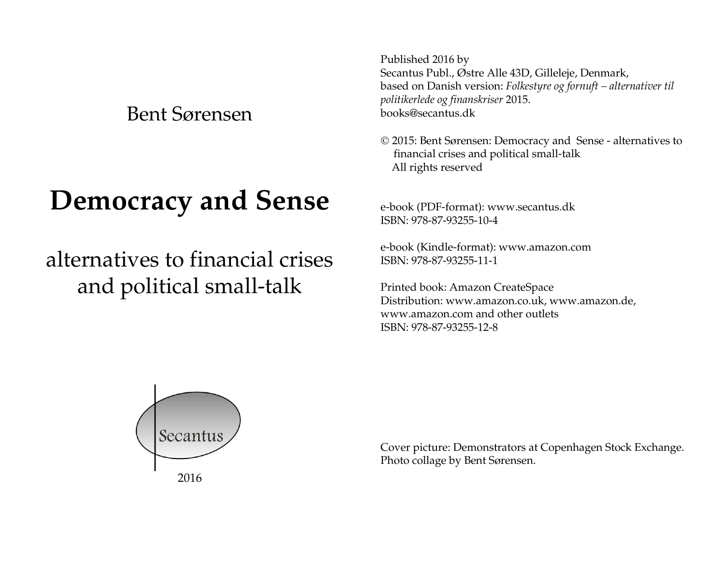Bent Sørensen

# **Democracy and Sense**

## alternatives to financial crises and political small-talk

Published 2016 by Secantus Publ., Østre Alle 43D, Gilleleje, Denmark, based on Danish version: *Folkestyre og fornuft – alternativer til politikerlede og finanskriser* 2015. books@secantus.dk

 2015: Bent Sørensen: Democracy and Sense - alternatives to financial crises and political small-talk All rights reserved

e-book (PDF-format): www.secantus.dk ISBN: 978-87-93255-10-4

e-book (Kindle-format): [www.amazon.com](http://www.amazon.com/) ISBN: 978-87-93255-11-1

Printed book: Amazon CreateSpace Distribution: www.amazon.co.uk, www.amazon.de, www.amazon.com and other outlets ISBN: 978-87-93255-12-8



Cover picture: Demonstrators at Copenhagen Stock Exchange. Photo collage by Bent Sørensen.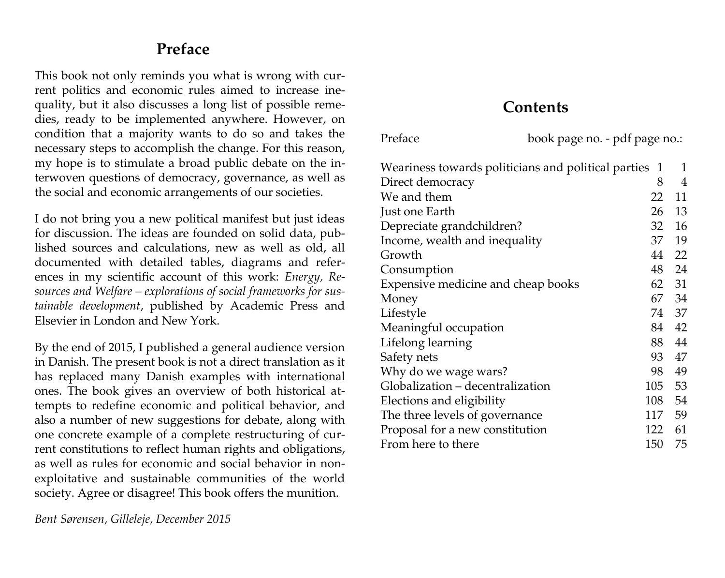## **Preface**

This book not only reminds you what is wrong with current politics and economic rules aimed to increase inequality, but it also discusses a long list of possible remedies, ready to be implemented anywhere. However, on condition that a majority wants to do so and takes the necessary steps to accomplish the change. For this reason, my hope is to stimulate a broad public debate on the interwoven questions of democracy, governance, as well as the social and economic arrangements of our societies.

I do not bring you a new political manifest but just ideas for discussion. The ideas are founded on solid data, published sources and calculations, new as well as old, all documented with detailed tables, diagrams and references in my scientific account of this work: *Energy, Resources and Welfare – explorations of social frameworks for sustainable development*, published by Academic Press and Elsevier in London and New York.

By the end of 2015, I published a general audience version in Danish. The present book is not a direct translation as it has replaced many Danish examples with international ones. The book gives an overview of both historical attempts to redefine economic and political behavior, and also a number of new suggestions for debate, along with one concrete example of a complete restructuring of current constitutions to reflect human rights and obligations, as well as rules for economic and social behavior in nonexploitative and sustainable communities of the world society. Agree or disagree! This book offers the munition.

### **Contents**

Preface book page no. - pdf page no.:

| I ICIALE                                            | DOON PAGE HO. - PUI PAGE HO |                |
|-----------------------------------------------------|-----------------------------|----------------|
| Weariness towards politicians and political parties | $\mathbf{1}$                | $\mathbf{1}$   |
| Direct democracy                                    | 8                           | $\overline{4}$ |
| We and them                                         | 22                          | 11             |
| Just one Earth                                      | 26                          | 13             |
| Depreciate grandchildren?                           | 32                          | 16             |
| Income, wealth and inequality                       | 37                          | 19             |
| Growth                                              | 44                          | 22             |
| Consumption                                         | 48                          | 24             |
| Expensive medicine and cheap books                  | 62                          | 31             |
| Money                                               | 67                          | 34             |
| Lifestyle                                           | 74                          | 37             |
| Meaningful occupation                               | 84                          | 42             |
| Lifelong learning                                   | 88                          | 44             |
| Safety nets                                         | 93                          | 47             |
| Why do we wage wars?                                | 98                          | 49             |
| Globalization - decentralization                    | 105                         | 53             |
| Elections and eligibility                           | 108                         | 54             |
| The three levels of governance                      | 117                         | 59             |
| Proposal for a new constitution                     | 122                         | 61             |
| From here to there                                  | 150                         | 75             |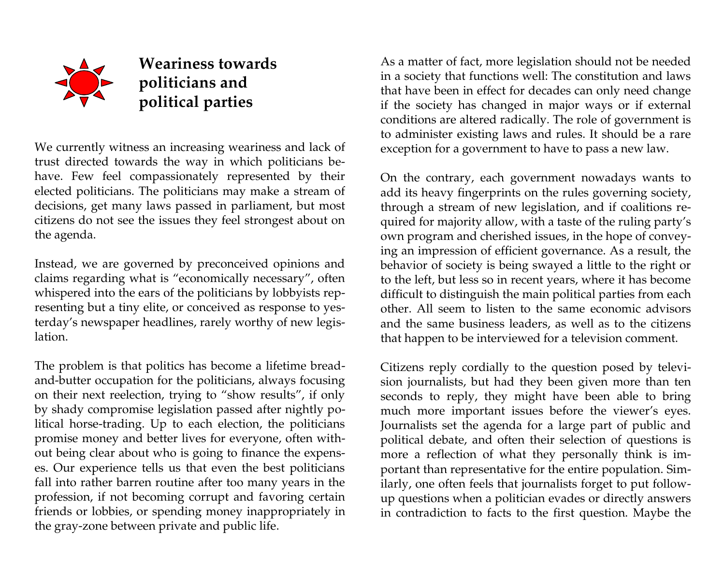

## **Weariness towards Example 3** politicians and *x* **v political parties**

We currently witness an increasing weariness and lack of trust directed towards the way in which politicians behave. Few feel compassionately represented by their elected politicians. The politicians may make a stream of decisions, get many laws passed in parliament, but most citizens do not see the issues they feel strongest about on the agenda.

Instead, we are governed by preconceived opinions and claims regarding what is "economically necessary", often whispered into the ears of the politicians by lobbyists representing but a tiny elite, or conceived as response to yesterday's newspaper headlines, rarely worthy of new legislation.

The problem is that politics has become a lifetime breadand-butter occupation for the politicians, always focusing on their next reelection, trying to "show results", if only by shady compromise legislation passed after nightly political horse-trading. Up to each election, the politicians promise money and better lives for everyone, often without being clear about who is going to finance the expenses. Our experience tells us that even the best politicians fall into rather barren routine after too many years in the profession, if not becoming corrupt and favoring certain friends or lobbies, or spending money inappropriately in the gray-zone between private and public life.

As a matter of fact, more legislation should not be needed in a society that functions well: The constitution and laws that have been in effect for decades can only need change if the society has changed in major ways or if external conditions are altered radically. The role of government is to administer existing laws and rules. It should be a rare exception for a government to have to pass a new law.

On the contrary, each government nowadays wants to add its heavy fingerprints on the rules governing society, through a stream of new legislation, and if coalitions required for majority allow, with a taste of the ruling party's own program and cherished issues, in the hope of conveying an impression of efficient governance. As a result, the behavior of society is being swayed a little to the right or to the left, but less so in recent years, where it has become difficult to distinguish the main political parties from each other. All seem to listen to the same economic advisors and the same business leaders, as well as to the citizens that happen to be interviewed for a television comment.

Citizens reply cordially to the question posed by television journalists, but had they been given more than ten seconds to reply, they might have been able to bring much more important issues before the viewer's eyes. Journalists set the agenda for a large part of public and political debate, and often their selection of questions is more a reflection of what they personally think is important than representative for the entire population. Similarly, one often feels that journalists forget to put followup questions when a politician evades or directly answers in contradiction to facts to the first question. Maybe the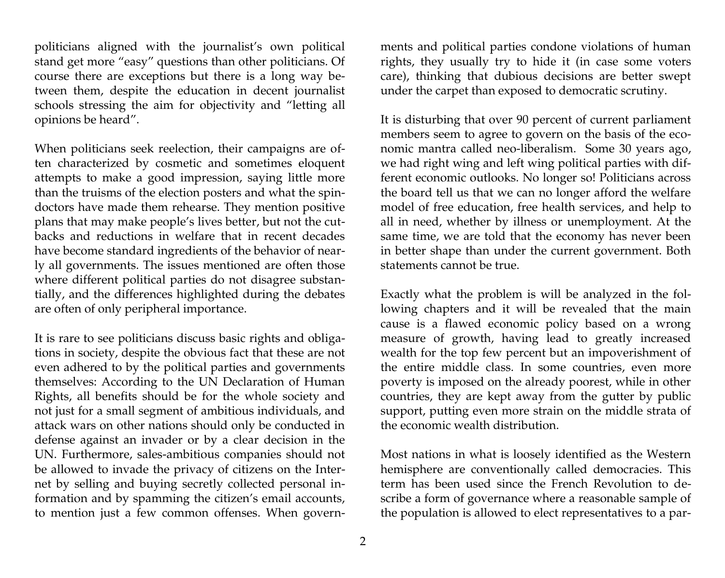politicians aligned with the journalist's own political stand get more "easy" questions than other politicians. Of course there are exceptions but there is a long way between them, despite the education in decent journalist schools stressing the aim for objectivity and "letting all opinions be heard".

When politicians seek reelection, their campaigns are often characterized by cosmetic and sometimes eloquent attempts to make a good impression, saying little more than the truisms of the election posters and what the spindoctors have made them rehearse. They mention positive plans that may make people's lives better, but not the cutbacks and reductions in welfare that in recent decades have become standard ingredients of the behavior of nearly all governments. The issues mentioned are often those where different political parties do not disagree substantially, and the differences highlighted during the debates are often of only peripheral importance.

It is rare to see politicians discuss basic rights and obligations in society, despite the obvious fact that these are not even adhered to by the political parties and governments themselves: According to the UN Declaration of Human Rights, all benefits should be for the whole society and not just for a small segment of ambitious individuals, and attack wars on other nations should only be conducted in defense against an invader or by a clear decision in the UN. Furthermore, sales-ambitious companies should not be allowed to invade the privacy of citizens on the Internet by selling and buying secretly collected personal information and by spamming the citizen's email accounts, to mention just a few common offenses. When governments and political parties condone violations of human rights, they usually try to hide it (in case some voters care), thinking that dubious decisions are better swept under the carpet than exposed to democratic scrutiny.

It is disturbing that over 90 percent of current parliament members seem to agree to govern on the basis of the economic mantra called neo-liberalism. Some 30 years ago, we had right wing and left wing political parties with different economic outlooks. No longer so! Politicians across the board tell us that we can no longer afford the welfare model of free education, free health services, and help to all in need, whether by illness or unemployment. At the same time, we are told that the economy has never been in better shape than under the current government. Both statements cannot be true.

Exactly what the problem is will be analyzed in the following chapters and it will be revealed that the main cause is a flawed economic policy based on a wrong measure of growth, having lead to greatly increased wealth for the top few percent but an impoverishment of the entire middle class. In some countries, even more poverty is imposed on the already poorest, while in other countries, they are kept away from the gutter by public support, putting even more strain on the middle strata of the economic wealth distribution.

Most nations in what is loosely identified as the Western hemisphere are conventionally called democracies. This term has been used since the French Revolution to describe a form of governance where a reasonable sample of the population is allowed to elect representatives to a par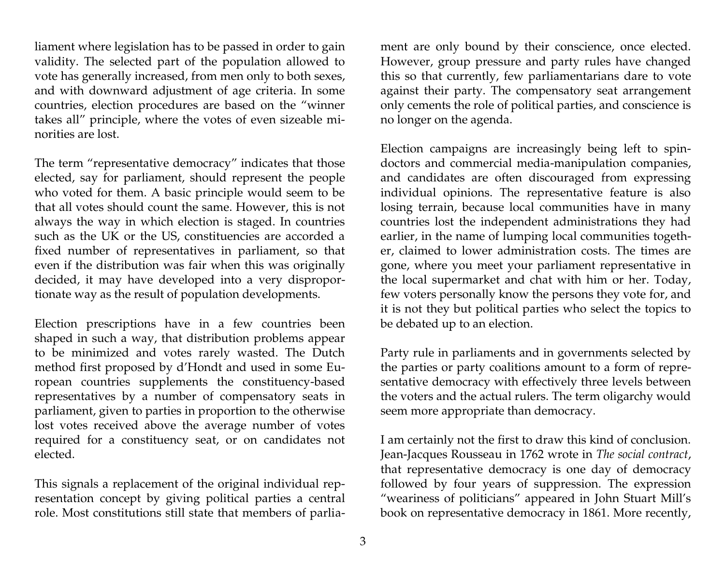liament where legislation has to be passed in order to gain validity. The selected part of the population allowed to vote has generally increased, from men only to both sexes, and with downward adjustment of age criteria. In some countries, election procedures are based on the "winner takes all" principle, where the votes of even sizeable minorities are lost.

The term "representative democracy" indicates that those elected, say for parliament, should represent the people who voted for them. A basic principle would seem to be that all votes should count the same. However, this is not always the way in which election is staged. In countries such as the UK or the US, constituencies are accorded a fixed number of representatives in parliament, so that even if the distribution was fair when this was originally decided, it may have developed into a very disproportionate way as the result of population developments.

Election prescriptions have in a few countries been shaped in such a way, that distribution problems appear to be minimized and votes rarely wasted. The Dutch method first proposed by d'Hondt and used in some European countries supplements the constituency-based representatives by a number of compensatory seats in parliament, given to parties in proportion to the otherwise lost votes received above the average number of votes required for a constituency seat, or on candidates not elected.

This signals a replacement of the original individual representation concept by giving political parties a central role. Most constitutions still state that members of parliament are only bound by their conscience, once elected. However, group pressure and party rules have changed this so that currently, few parliamentarians dare to vote against their party. The compensatory seat arrangement only cements the role of political parties, and conscience is no longer on the agenda.

Election campaigns are increasingly being left to spindoctors and commercial media-manipulation companies, and candidates are often discouraged from expressing individual opinions. The representative feature is also losing terrain, because local communities have in many countries lost the independent administrations they had earlier, in the name of lumping local communities together, claimed to lower administration costs. The times are gone, where you meet your parliament representative in the local supermarket and chat with him or her. Today, few voters personally know the persons they vote for, and it is not they but political parties who select the topics to be debated up to an election.

Party rule in parliaments and in governments selected by the parties or party coalitions amount to a form of representative democracy with effectively three levels between the voters and the actual rulers. The term oligarchy would seem more appropriate than democracy.

I am certainly not the first to draw this kind of conclusion. Jean-Jacques Rousseau in 1762 wrote in *The social contract*, that representative democracy is one day of democracy followed by four years of suppression. The expression "weariness of politicians" appeared in John Stuart Mill's book on representative democracy in 1861. More recently,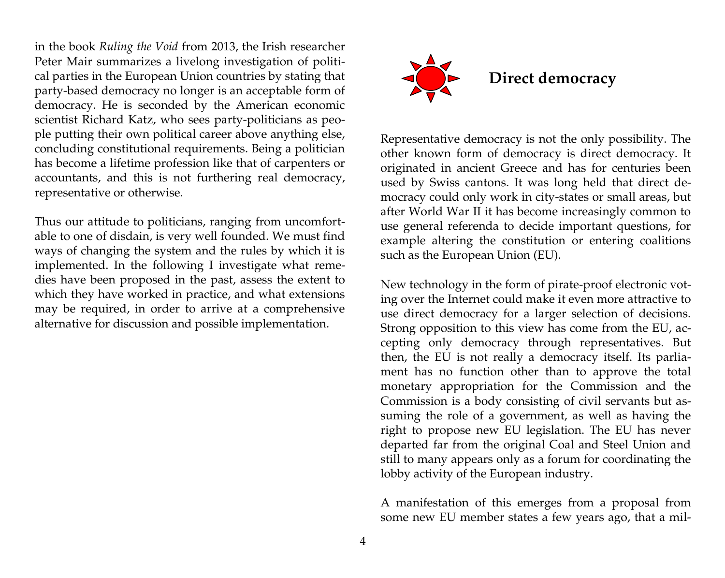in the book *Ruling the Void* from 2013, the Irish researcher Peter Mair summarizes a livelong investigation of political parties in the European Union countries by stating that party-based democracy no longer is an acceptable form of democracy. He is seconded by the American economic scientist Richard Katz, who sees party-politicians as people putting their own political career above anything else, concluding constitutional requirements. Being a politician has become a lifetime profession like that of carpenters or accountants, and this is not furthering real democracy, representative or otherwise.

Thus our attitude to politicians, ranging from uncomfortable to one of disdain, is very well founded. We must find ways of changing the system and the rules by which it is implemented. In the following I investigate what remedies have been proposed in the past, assess the extent to which they have worked in practice, and what extensions may be required, in order to arrive at a comprehensive alternative for discussion and possible implementation.



Representative democracy is not the only possibility. The other known form of democracy is direct democracy. It originated in ancient Greece and has for centuries been used by Swiss cantons. It was long held that direct democracy could only work in city-states or small areas, but after World War II it has become increasingly common to use general referenda to decide important questions, for example altering the constitution or entering coalitions such as the European Union (EU).

New technology in the form of pirate-proof electronic voting over the Internet could make it even more attractive to use direct democracy for a larger selection of decisions. Strong opposition to this view has come from the EU, accepting only democracy through representatives. But then, the EU is not really a democracy itself. Its parliament has no function other than to approve the total monetary appropriation for the Commission and the Commission is a body consisting of civil servants but assuming the role of a government, as well as having the right to propose new EU legislation. The EU has never departed far from the original Coal and Steel Union and still to many appears only as a forum for coordinating the lobby activity of the European industry.

A manifestation of this emerges from a proposal from some new EU member states a few years ago, that a mil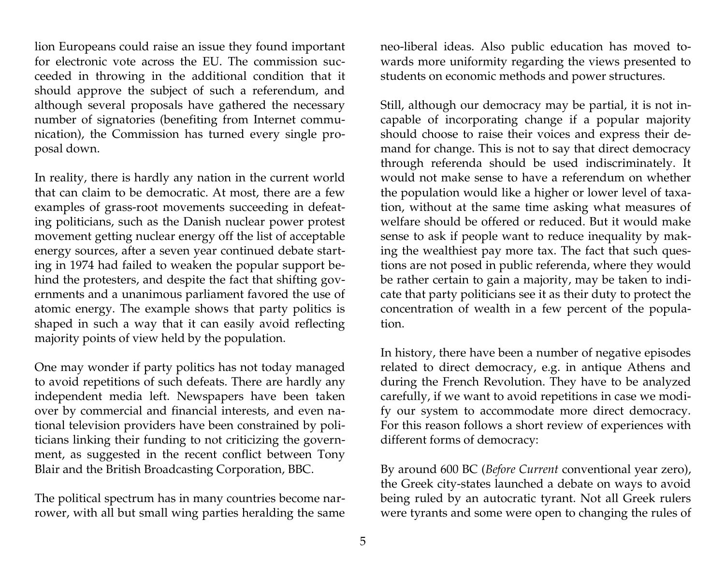lion Europeans could raise an issue they found important for electronic vote across the EU. The commission succeeded in throwing in the additional condition that it should approve the subject of such a referendum, and although several proposals have gathered the necessary number of signatories (benefiting from Internet communication), the Commission has turned every single proposal down.

In reality, there is hardly any nation in the current world that can claim to be democratic. At most, there are a few examples of grass-root movements succeeding in defeating politicians, such as the Danish nuclear power protest movement getting nuclear energy off the list of acceptable energy sources, after a seven year continued debate starting in 1974 had failed to weaken the popular support behind the protesters, and despite the fact that shifting governments and a unanimous parliament favored the use of atomic energy. The example shows that party politics is shaped in such a way that it can easily avoid reflecting majority points of view held by the population.

One may wonder if party politics has not today managed to avoid repetitions of such defeats. There are hardly any independent media left. Newspapers have been taken over by commercial and financial interests, and even national television providers have been constrained by politicians linking their funding to not criticizing the government, as suggested in the recent conflict between Tony Blair and the British Broadcasting Corporation, BBC.

The political spectrum has in many countries become narrower, with all but small wing parties heralding the same neo-liberal ideas. Also public education has moved towards more uniformity regarding the views presented to students on economic methods and power structures.

Still, although our democracy may be partial, it is not incapable of incorporating change if a popular majority should choose to raise their voices and express their demand for change. This is not to say that direct democracy through referenda should be used indiscriminately. It would not make sense to have a referendum on whether the population would like a higher or lower level of taxation, without at the same time asking what measures of welfare should be offered or reduced. But it would make sense to ask if people want to reduce inequality by making the wealthiest pay more tax. The fact that such questions are not posed in public referenda, where they would be rather certain to gain a majority, may be taken to indicate that party politicians see it as their duty to protect the concentration of wealth in a few percent of the population.

In history, there have been a number of negative episodes related to direct democracy, e.g. in antique Athens and during the French Revolution. They have to be analyzed carefully, if we want to avoid repetitions in case we modify our system to accommodate more direct democracy. For this reason follows a short review of experiences with different forms of democracy:

By around 600 BC (*Before Current* conventional year zero), the Greek city-states launched a debate on ways to avoid being ruled by an autocratic tyrant. Not all Greek rulers were tyrants and some were open to changing the rules of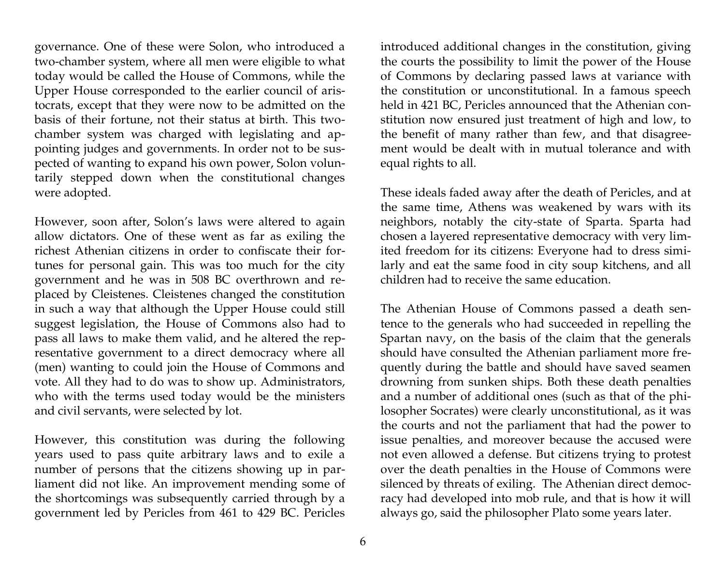governance. One of these were Solon, who introduced a two-chamber system, where all men were eligible to what today would be called the House of Commons, while the Upper House corresponded to the earlier council of aristocrats, except that they were now to be admitted on the basis of their fortune, not their status at birth. This twochamber system was charged with legislating and appointing judges and governments. In order not to be suspected of wanting to expand his own power, Solon voluntarily stepped down when the constitutional changes were adopted.

However, soon after, Solon's laws were altered to again allow dictators. One of these went as far as exiling the richest Athenian citizens in order to confiscate their fortunes for personal gain. This was too much for the city government and he was in 508 BC overthrown and replaced by Cleistenes. Cleistenes changed the constitution in such a way that although the Upper House could still suggest legislation, the House of Commons also had to pass all laws to make them valid, and he altered the representative government to a direct democracy where all (men) wanting to could join the House of Commons and vote. All they had to do was to show up. Administrators, who with the terms used today would be the ministers and civil servants, were selected by lot.

However, this constitution was during the following years used to pass quite arbitrary laws and to exile a number of persons that the citizens showing up in parliament did not like. An improvement mending some of the shortcomings was subsequently carried through by a government led by Pericles from 461 to 429 BC. Pericles

6

introduced additional changes in the constitution, giving the courts the possibility to limit the power of the House of Commons by declaring passed laws at variance with the constitution or unconstitutional. In a famous speech held in 421 BC, Pericles announced that the Athenian constitution now ensured just treatment of high and low, to the benefit of many rather than few, and that disagreement would be dealt with in mutual tolerance and with equal rights to all.

These ideals faded away after the death of Pericles, and at the same time, Athens was weakened by wars with its neighbors, notably the city-state of Sparta. Sparta had chosen a layered representative democracy with very limited freedom for its citizens: Everyone had to dress similarly and eat the same food in city soup kitchens, and all children had to receive the same education.

The Athenian House of Commons passed a death sentence to the generals who had succeeded in repelling the Spartan navy, on the basis of the claim that the generals should have consulted the Athenian parliament more frequently during the battle and should have saved seamen drowning from sunken ships. Both these death penalties and a number of additional ones (such as that of the philosopher Socrates) were clearly unconstitutional, as it was the courts and not the parliament that had the power to issue penalties, and moreover because the accused were not even allowed a defense. But citizens trying to protest over the death penalties in the House of Commons were silenced by threats of exiling. The Athenian direct democracy had developed into mob rule, and that is how it will always go, said the philosopher Plato some years later.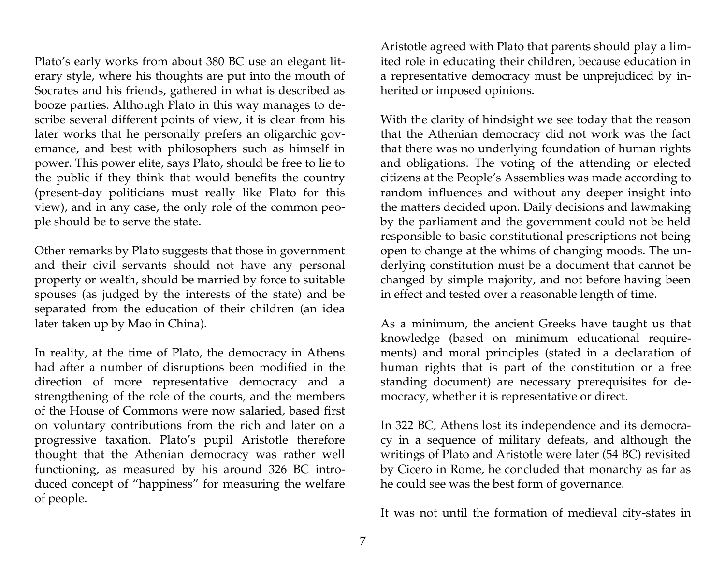Plato's early works from about 380 BC use an elegant literary style, where his thoughts are put into the mouth of Socrates and his friends, gathered in what is described as booze parties. Although Plato in this way manages to describe several different points of view, it is clear from his later works that he personally prefers an oligarchic governance, and best with philosophers such as himself in power. This power elite, says Plato, should be free to lie to the public if they think that would benefits the country (present-day politicians must really like Plato for this view), and in any case, the only role of the common people should be to serve the state.

Other remarks by Plato suggests that those in government and their civil servants should not have any personal property or wealth, should be married by force to suitable spouses (as judged by the interests of the state) and be separated from the education of their children (an idea later taken up by Mao in China).

In reality, at the time of Plato, the democracy in Athens had after a number of disruptions been modified in the direction of more representative democracy and a strengthening of the role of the courts, and the members of the House of Commons were now salaried, based first on voluntary contributions from the rich and later on a progressive taxation. Plato's pupil Aristotle therefore thought that the Athenian democracy was rather well functioning, as measured by his around 326 BC introduced concept of "happiness" for measuring the welfare of people.

Aristotle agreed with Plato that parents should play a limited role in educating their children, because education in a representative democracy must be unprejudiced by inherited or imposed opinions.

With the clarity of hindsight we see today that the reason that the Athenian democracy did not work was the fact that there was no underlying foundation of human rights and obligations. The voting of the attending or elected citizens at the People's Assemblies was made according to random influences and without any deeper insight into the matters decided upon. Daily decisions and lawmaking by the parliament and the government could not be held responsible to basic constitutional prescriptions not being open to change at the whims of changing moods. The underlying constitution must be a document that cannot be changed by simple majority, and not before having been in effect and tested over a reasonable length of time.

As a minimum, the ancient Greeks have taught us that knowledge (based on minimum educational requirements) and moral principles (stated in a declaration of human rights that is part of the constitution or a free standing document) are necessary prerequisites for democracy, whether it is representative or direct.

In 322 BC, Athens lost its independence and its democracy in a sequence of military defeats, and although the writings of Plato and Aristotle were later (54 BC) revisited by Cicero in Rome, he concluded that monarchy as far as he could see was the best form of governance.

It was not until the formation of medieval city-states in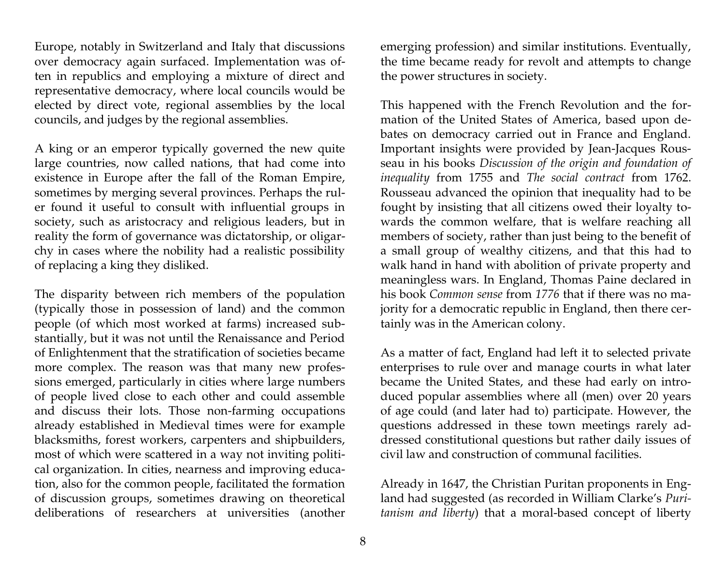Europe, notably in Switzerland and Italy that discussions over democracy again surfaced. Implementation was often in republics and employing a mixture of direct and representative democracy, where local councils would be elected by direct vote, regional assemblies by the local councils, and judges by the regional assemblies.

A king or an emperor typically governed the new quite large countries, now called nations, that had come into existence in Europe after the fall of the Roman Empire, sometimes by merging several provinces. Perhaps the ruler found it useful to consult with influential groups in society, such as aristocracy and religious leaders, but in reality the form of governance was dictatorship, or oligarchy in cases where the nobility had a realistic possibility of replacing a king they disliked.

The disparity between rich members of the population (typically those in possession of land) and the common people (of which most worked at farms) increased substantially, but it was not until the Renaissance and Period of Enlightenment that the stratification of societies became more complex. The reason was that many new professions emerged, particularly in cities where large numbers of people lived close to each other and could assemble and discuss their lots. Those non-farming occupations already established in Medieval times were for example blacksmiths, forest workers, carpenters and shipbuilders, most of which were scattered in a way not inviting political organization. In cities, nearness and improving education, also for the common people, facilitated the formation of discussion groups, sometimes drawing on theoretical deliberations of researchers at universities (another

emerging profession) and similar institutions. Eventually, the time became ready for revolt and attempts to change the power structures in society.

This happened with the French Revolution and the formation of the United States of America, based upon debates on democracy carried out in France and England. Important insights were provided by Jean-Jacques Rousseau in his books *Discussion of the origin and foundation of inequality* from 1755 and *The social contract* from 1762. Rousseau advanced the opinion that inequality had to be fought by insisting that all citizens owed their loyalty towards the common welfare, that is welfare reaching all members of society, rather than just being to the benefit of a small group of wealthy citizens, and that this had to walk hand in hand with abolition of private property and meaningless wars. In England, Thomas Paine declared in his book *Common sense* from *1776* that if there was no majority for a democratic republic in England, then there certainly was in the American colony.

As a matter of fact, England had left it to selected private enterprises to rule over and manage courts in what later became the United States, and these had early on introduced popular assemblies where all (men) over 20 years of age could (and later had to) participate. However, the questions addressed in these town meetings rarely addressed constitutional questions but rather daily issues of civil law and construction of communal facilities.

Already in 1647, the Christian Puritan proponents in England had suggested (as recorded in William Clarke's *Puritanism and liberty*) that a moral-based concept of liberty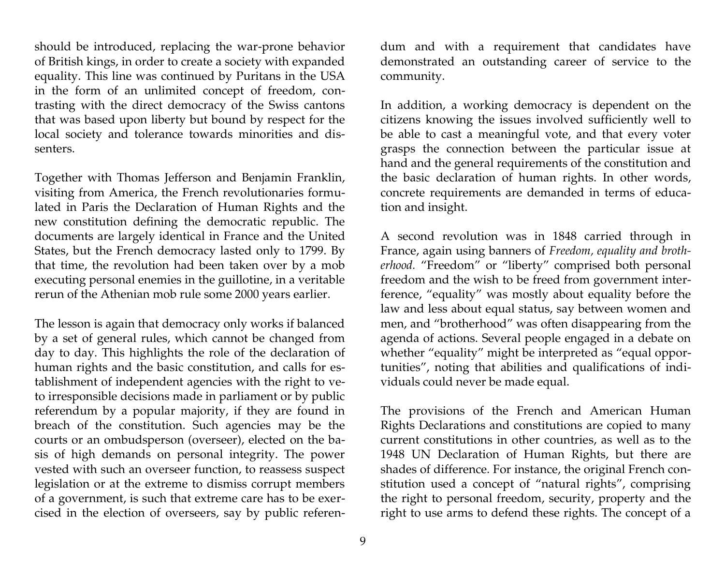should be introduced, replacing the war-prone behavior of British kings, in order to create a society with expanded equality. This line was continued by Puritans in the USA in the form of an unlimited concept of freedom, contrasting with the direct democracy of the Swiss cantons that was based upon liberty but bound by respect for the local society and tolerance towards minorities and dissenters.

Together with Thomas Jefferson and Benjamin Franklin, visiting from America, the French revolutionaries formulated in Paris the Declaration of Human Rights and the new constitution defining the democratic republic. The documents are largely identical in France and the United States, but the French democracy lasted only to 1799. By that time, the revolution had been taken over by a mob executing personal enemies in the guillotine, in a veritable rerun of the Athenian mob rule some 2000 years earlier.

The lesson is again that democracy only works if balanced by a set of general rules, which cannot be changed from day to day. This highlights the role of the declaration of human rights and the basic constitution, and calls for establishment of independent agencies with the right to veto irresponsible decisions made in parliament or by public referendum by a popular majority, if they are found in breach of the constitution. Such agencies may be the courts or an ombudsperson (overseer), elected on the basis of high demands on personal integrity. The power vested with such an overseer function, to reassess suspect legislation or at the extreme to dismiss corrupt members of a government, is such that extreme care has to be exercised in the election of overseers, say by public referen-

dum and with a requirement that candidates have demonstrated an outstanding career of service to the community.

In addition, a working democracy is dependent on the citizens knowing the issues involved sufficiently well to be able to cast a meaningful vote, and that every voter grasps the connection between the particular issue at hand and the general requirements of the constitution and the basic declaration of human rights. In other words, concrete requirements are demanded in terms of education and insight.

A second revolution was in 1848 carried through in France, again using banners of *Freedom, equality and brotherhood.* "Freedom" or "liberty" comprised both personal freedom and the wish to be freed from government interference, "equality" was mostly about equality before the law and less about equal status, say between women and men, and "brotherhood" was often disappearing from the agenda of actions. Several people engaged in a debate on whether "equality" might be interpreted as "equal opportunities", noting that abilities and qualifications of individuals could never be made equal.

The provisions of the French and American Human Rights Declarations and constitutions are copied to many current constitutions in other countries, as well as to the 1948 UN Declaration of Human Rights, but there are shades of difference. For instance, the original French constitution used a concept of "natural rights", comprising the right to personal freedom, security, property and the right to use arms to defend these rights. The concept of a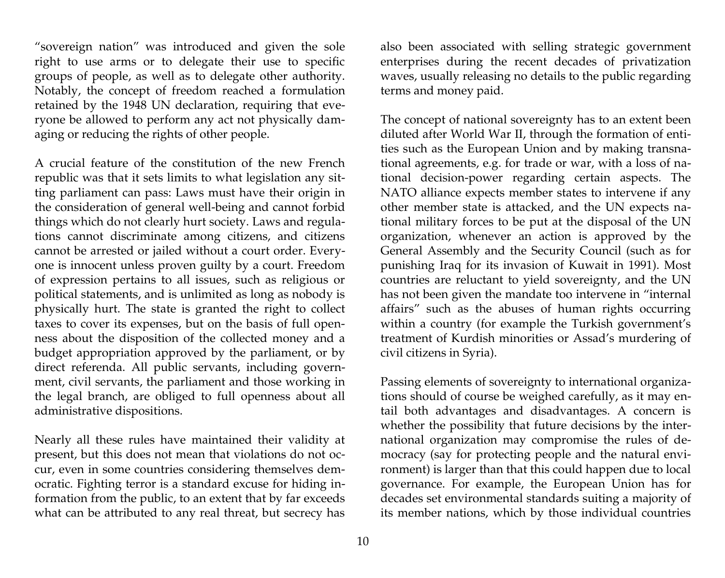"sovereign nation" was introduced and given the sole right to use arms or to delegate their use to specific groups of people, as well as to delegate other authority. Notably, the concept of freedom reached a formulation retained by the 1948 UN declaration, requiring that everyone be allowed to perform any act not physically damaging or reducing the rights of other people.

A crucial feature of the constitution of the new French republic was that it sets limits to what legislation any sitting parliament can pass: Laws must have their origin in the consideration of general well-being and cannot forbid things which do not clearly hurt society. Laws and regulations cannot discriminate among citizens, and citizens cannot be arrested or jailed without a court order. Everyone is innocent unless proven guilty by a court. Freedom of expression pertains to all issues, such as religious or political statements, and is unlimited as long as nobody is physically hurt. The state is granted the right to collect taxes to cover its expenses, but on the basis of full openness about the disposition of the collected money and a budget appropriation approved by the parliament, or by direct referenda. All public servants, including government, civil servants, the parliament and those working in the legal branch, are obliged to full openness about all administrative dispositions.

Nearly all these rules have maintained their validity at present, but this does not mean that violations do not occur, even in some countries considering themselves democratic. Fighting terror is a standard excuse for hiding information from the public, to an extent that by far exceeds what can be attributed to any real threat, but secrecy has

also been associated with selling strategic government enterprises during the recent decades of privatization waves, usually releasing no details to the public regarding terms and money paid.

The concept of national sovereignty has to an extent been diluted after World War II, through the formation of entities such as the European Union and by making transnational agreements, e.g. for trade or war, with a loss of national decision-power regarding certain aspects. The NATO alliance expects member states to intervene if any other member state is attacked, and the UN expects national military forces to be put at the disposal of the UN organization, whenever an action is approved by the General Assembly and the Security Council (such as for punishing Iraq for its invasion of Kuwait in 1991). Most countries are reluctant to yield sovereignty, and the UN has not been given the mandate too intervene in "internal affairs" such as the abuses of human rights occurring within a country (for example the Turkish government's treatment of Kurdish minorities or Assad's murdering of civil citizens in Syria).

Passing elements of sovereignty to international organizations should of course be weighed carefully, as it may entail both advantages and disadvantages. A concern is whether the possibility that future decisions by the international organization may compromise the rules of democracy (say for protecting people and the natural environment) is larger than that this could happen due to local governance. For example, the European Union has for decades set environmental standards suiting a majority of its member nations, which by those individual countries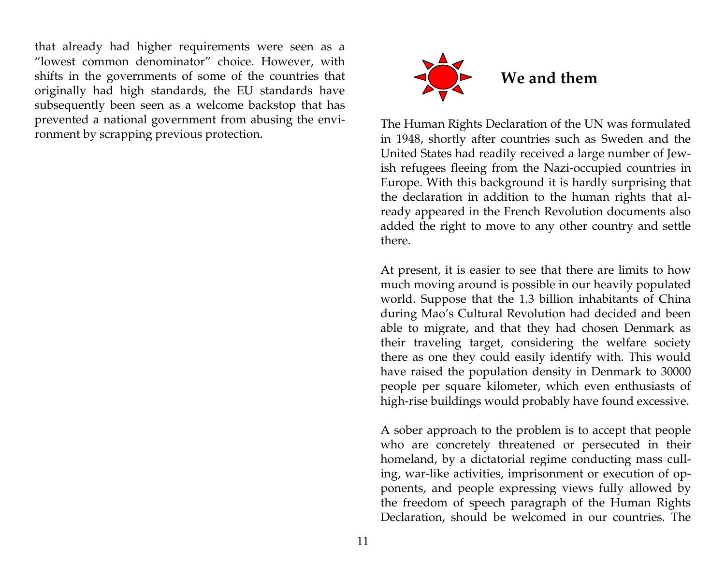that already had higher requirements were seen as a "lowest common denominator" choice. However, with shifts in the governments of some of the countries that originally had high standards, the EU standards have subsequently been seen as a welcome backstop that has prevented a national government from abusing the environment by scrapping previous protection.



The Human Rights Declaration of the UN was formulated in 1948, shortly after countries such as Sweden and the United States had readily received a large number of Jewish refugees fleeing from the Nazi-occupied countries in Europe. With this background it is hardly surprising that the declaration in addition to the human rights that already appeared in the French Revolution documents also added the right to move to any other country and settle there.

At present, it is easier to see that there are limits to how much moving around is possible in our heavily populated world. Suppose that the 1.3 billion inhabitants of China during Mao's Cultural Revolution had decided and been able to migrate, and that they had chosen Denmark as their traveling target, considering the welfare society there as one they could easily identify with. This would have raised the population density in Denmark to 30000 people per square kilometer, which even enthusiasts of high-rise buildings would probably have found excessive.

A sober approach to the problem is to accept that people who are concretely threatened or persecuted in their homeland, by a dictatorial regime conducting mass culling, war-like activities, imprisonment or execution of opponents, and people expressing views fully allowed by the freedom of speech paragraph of the Human Rights Declaration, should be welcomed in our countries. The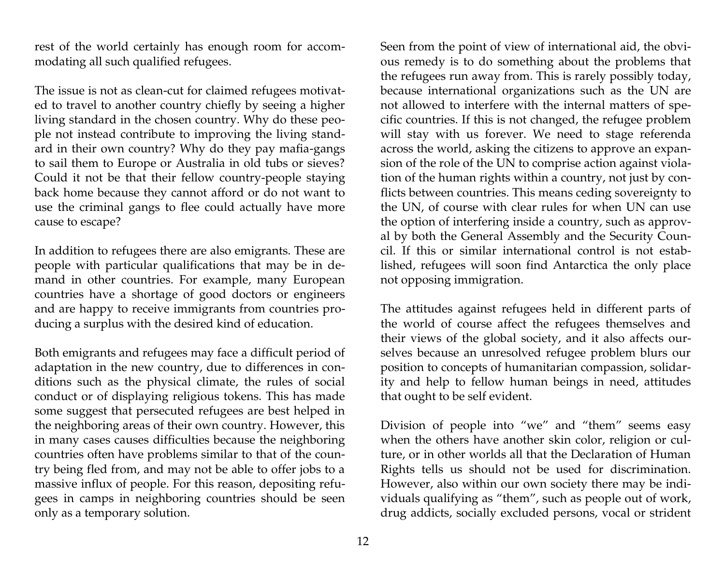rest of the world certainly has enough room for accommodating all such qualified refugees.

The issue is not as clean-cut for claimed refugees motivated to travel to another country chiefly by seeing a higher living standard in the chosen country. Why do these people not instead contribute to improving the living standard in their own country? Why do they pay mafia-gangs to sail them to Europe or Australia in old tubs or sieves? Could it not be that their fellow country-people staying back home because they cannot afford or do not want to use the criminal gangs to flee could actually have more cause to escape?

In addition to refugees there are also emigrants. These are people with particular qualifications that may be in demand in other countries. For example, many European countries have a shortage of good doctors or engineers and are happy to receive immigrants from countries producing a surplus with the desired kind of education.

Both emigrants and refugees may face a difficult period of adaptation in the new country, due to differences in conditions such as the physical climate, the rules of social conduct or of displaying religious tokens. This has made some suggest that persecuted refugees are best helped in the neighboring areas of their own country. However, this in many cases causes difficulties because the neighboring countries often have problems similar to that of the country being fled from, and may not be able to offer jobs to a massive influx of people. For this reason, depositing refugees in camps in neighboring countries should be seen only as a temporary solution.

Seen from the point of view of international aid, the obvious remedy is to do something about the problems that the refugees run away from. This is rarely possibly today, because international organizations such as the UN are not allowed to interfere with the internal matters of specific countries. If this is not changed, the refugee problem will stay with us forever. We need to stage referenda across the world, asking the citizens to approve an expansion of the role of the UN to comprise action against violation of the human rights within a country, not just by conflicts between countries. This means ceding sovereignty to the UN, of course with clear rules for when UN can use the option of interfering inside a country, such as approval by both the General Assembly and the Security Council. If this or similar international control is not established, refugees will soon find Antarctica the only place not opposing immigration.

The attitudes against refugees held in different parts of the world of course affect the refugees themselves and their views of the global society, and it also affects ourselves because an unresolved refugee problem blurs our position to concepts of humanitarian compassion, solidarity and help to fellow human beings in need, attitudes that ought to be self evident.

Division of people into "we" and "them" seems easy when the others have another skin color, religion or culture, or in other worlds all that the Declaration of Human Rights tells us should not be used for discrimination. However, also within our own society there may be individuals qualifying as "them", such as people out of work, drug addicts, socially excluded persons, vocal or strident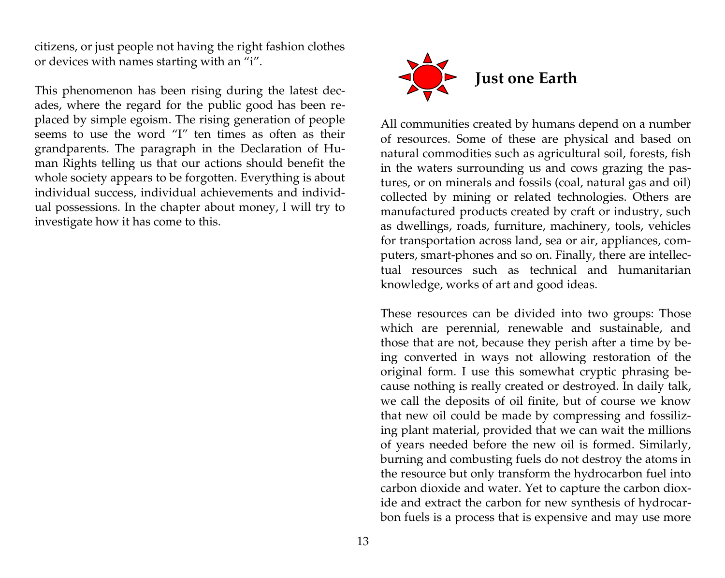citizens, or just people not having the right fashion clothes or devices with names starting with an "i".

This phenomenon has been rising during the latest decades, where the regard for the public good has been replaced by simple egoism. The rising generation of people seems to use the word "I" ten times as often as their grandparents. The paragraph in the Declaration of Human Rights telling us that our actions should benefit the whole society appears to be forgotten. Everything is about individual success, individual achievements and individual possessions. In the chapter about money, I will try to investigate how it has come to this.



All communities created by humans depend on a number of resources. Some of these are physical and based on natural commodities such as agricultural soil, forests, fish in the waters surrounding us and cows grazing the pastures, or on minerals and fossils (coal, natural gas and oil) collected by mining or related technologies. Others are manufactured products created by craft or industry, such as dwellings, roads, furniture, machinery, tools, vehicles for transportation across land, sea or air, appliances, computers, smart-phones and so on. Finally, there are intellectual resources such as technical and humanitarian knowledge, works of art and good ideas.

These resources can be divided into two groups: Those which are perennial, renewable and sustainable, and those that are not, because they perish after a time by being converted in ways not allowing restoration of the original form. I use this somewhat cryptic phrasing because nothing is really created or destroyed. In daily talk, we call the deposits of oil finite, but of course we know that new oil could be made by compressing and fossilizing plant material, provided that we can wait the millions of years needed before the new oil is formed. Similarly, burning and combusting fuels do not destroy the atoms in the resource but only transform the hydrocarbon fuel into carbon dioxide and water. Yet to capture the carbon dioxide and extract the carbon for new synthesis of hydrocarbon fuels is a process that is expensive and may use more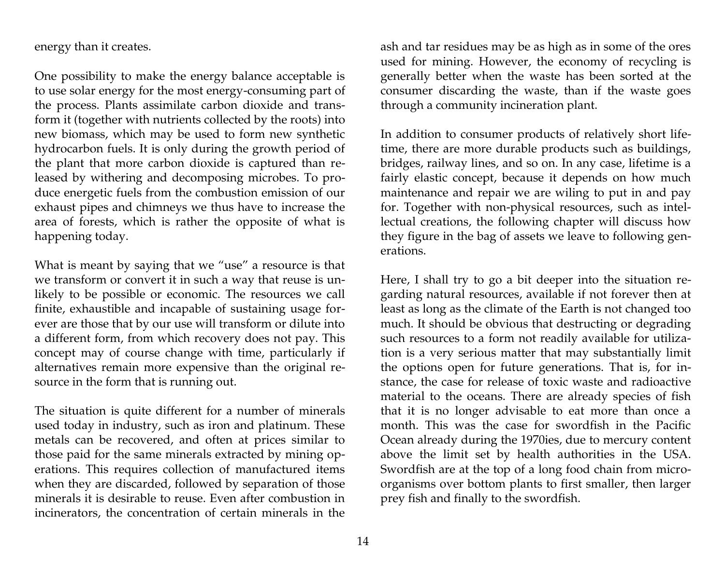energy than it creates.

One possibility to make the energy balance acceptable is to use solar energy for the most energy-consuming part of the process. Plants assimilate carbon dioxide and transform it (together with nutrients collected by the roots) into new biomass, which may be used to form new synthetic hydrocarbon fuels. It is only during the growth period of the plant that more carbon dioxide is captured than released by withering and decomposing microbes. To produce energetic fuels from the combustion emission of our exhaust pipes and chimneys we thus have to increase the area of forests, which is rather the opposite of what is happening today.

What is meant by saying that we "use" a resource is that we transform or convert it in such a way that reuse is unlikely to be possible or economic. The resources we call finite, exhaustible and incapable of sustaining usage forever are those that by our use will transform or dilute into a different form, from which recovery does not pay. This concept may of course change with time, particularly if alternatives remain more expensive than the original resource in the form that is running out.

The situation is quite different for a number of minerals used today in industry, such as iron and platinum. These metals can be recovered, and often at prices similar to those paid for the same minerals extracted by mining operations. This requires collection of manufactured items when they are discarded, followed by separation of those minerals it is desirable to reuse. Even after combustion in incinerators, the concentration of certain minerals in the

ash and tar residues may be as high as in some of the ores used for mining. However, the economy of recycling is generally better when the waste has been sorted at the consumer discarding the waste, than if the waste goes through a community incineration plant.

In addition to consumer products of relatively short lifetime, there are more durable products such as buildings, bridges, railway lines, and so on. In any case, lifetime is a fairly elastic concept, because it depends on how much maintenance and repair we are wiling to put in and pay for. Together with non-physical resources, such as intellectual creations, the following chapter will discuss how they figure in the bag of assets we leave to following generations.

Here, I shall try to go a bit deeper into the situation regarding natural resources, available if not forever then at least as long as the climate of the Earth is not changed too much. It should be obvious that destructing or degrading such resources to a form not readily available for utilization is a very serious matter that may substantially limit the options open for future generations. That is, for instance, the case for release of toxic waste and radioactive material to the oceans. There are already species of fish that it is no longer advisable to eat more than once a month. This was the case for swordfish in the Pacific Ocean already during the 1970ies, due to mercury content above the limit set by health authorities in the USA. Swordfish are at the top of a long food chain from microorganisms over bottom plants to first smaller, then larger prey fish and finally to the swordfish.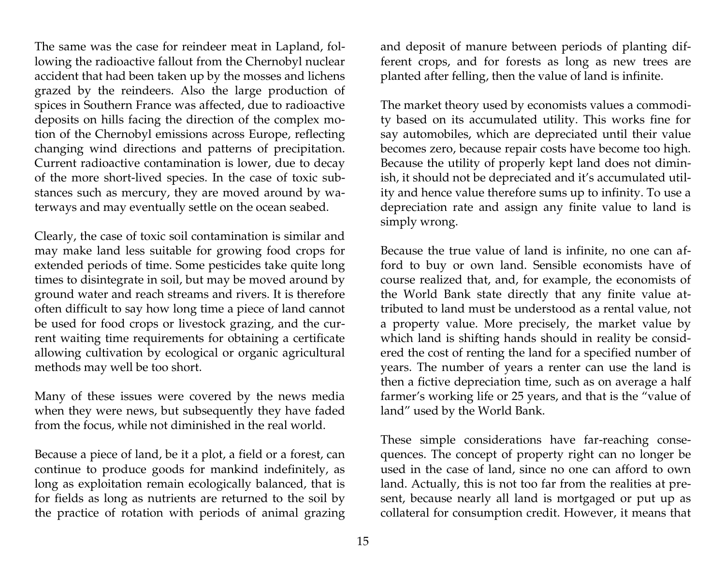The same was the case for reindeer meat in Lapland, following the radioactive fallout from the Chernobyl nuclear accident that had been taken up by the mosses and lichens grazed by the reindeers. Also the large production of spices in Southern France was affected, due to radioactive deposits on hills facing the direction of the complex motion of the Chernobyl emissions across Europe, reflecting changing wind directions and patterns of precipitation. Current radioactive contamination is lower, due to decay of the more short-lived species. In the case of toxic substances such as mercury, they are moved around by waterways and may eventually settle on the ocean seabed.

Clearly, the case of toxic soil contamination is similar and may make land less suitable for growing food crops for extended periods of time. Some pesticides take quite long times to disintegrate in soil, but may be moved around by ground water and reach streams and rivers. It is therefore often difficult to say how long time a piece of land cannot be used for food crops or livestock grazing, and the current waiting time requirements for obtaining a certificate allowing cultivation by ecological or organic agricultural methods may well be too short.

Many of these issues were covered by the news media when they were news, but subsequently they have faded from the focus, while not diminished in the real world.

Because a piece of land, be it a plot, a field or a forest, can continue to produce goods for mankind indefinitely, as long as exploitation remain ecologically balanced, that is for fields as long as nutrients are returned to the soil by the practice of rotation with periods of animal grazing

and deposit of manure between periods of planting different crops, and for forests as long as new trees are planted after felling, then the value of land is infinite.

The market theory used by economists values a commodity based on its accumulated utility. This works fine for say automobiles, which are depreciated until their value becomes zero, because repair costs have become too high. Because the utility of properly kept land does not diminish, it should not be depreciated and it's accumulated utility and hence value therefore sums up to infinity. To use a depreciation rate and assign any finite value to land is simply wrong.

Because the true value of land is infinite, no one can afford to buy or own land. Sensible economists have of course realized that, and, for example, the economists of the World Bank state directly that any finite value attributed to land must be understood as a rental value, not a property value. More precisely, the market value by which land is shifting hands should in reality be considered the cost of renting the land for a specified number of years. The number of years a renter can use the land is then a fictive depreciation time, such as on average a half farmer's working life or 25 years, and that is the "value of land" used by the World Bank.

These simple considerations have far-reaching consequences. The concept of property right can no longer be used in the case of land, since no one can afford to own land. Actually, this is not too far from the realities at present, because nearly all land is mortgaged or put up as collateral for consumption credit. However, it means that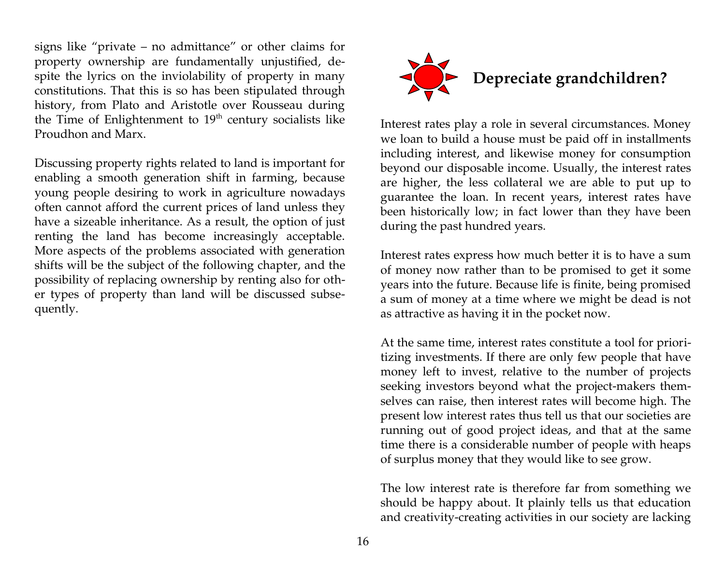signs like "private – no admittance" or other claims for property ownership are fundamentally unjustified, despite the lyrics on the inviolability of property in many constitutions. That this is so has been stipulated through history, from Plato and Aristotle over Rousseau during the Time of Enlightenment to  $19<sup>th</sup>$  century socialists like Proudhon and Marx.

Discussing property rights related to land is important for enabling a smooth generation shift in farming, because young people desiring to work in agriculture nowadays often cannot afford the current prices of land unless they have a sizeable inheritance. As a result, the option of just renting the land has become increasingly acceptable. More aspects of the problems associated with generation shifts will be the subject of the following chapter, and the possibility of replacing ownership by renting also for other types of property than land will be discussed subsequently.



Interest rates play a role in several circumstances. Money we loan to build a house must be paid off in installments including interest, and likewise money for consumption beyond our disposable income. Usually, the interest rates are higher, the less collateral we are able to put up to guarantee the loan. In recent years, interest rates have been historically low; in fact lower than they have been during the past hundred years.

Interest rates express how much better it is to have a sum of money now rather than to be promised to get it some years into the future. Because life is finite, being promised a sum of money at a time where we might be dead is not as attractive as having it in the pocket now.

At the same time, interest rates constitute a tool for prioritizing investments. If there are only few people that have money left to invest, relative to the number of projects seeking investors beyond what the project-makers themselves can raise, then interest rates will become high. The present low interest rates thus tell us that our societies are running out of good project ideas, and that at the same time there is a considerable number of people with heaps of surplus money that they would like to see grow.

The low interest rate is therefore far from something we should be happy about. It plainly tells us that education and creativity-creating activities in our society are lacking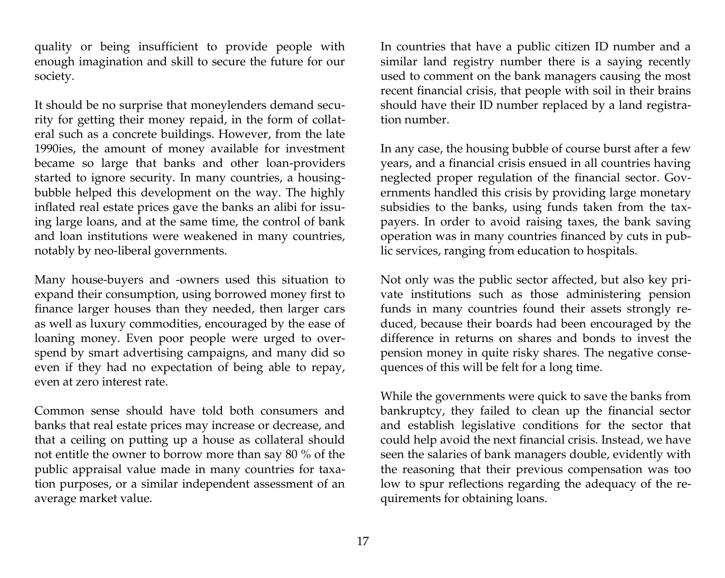quality or being insufficient to provide people with enough imagination and skill to secure the future for our society.

It should be no surprise that moneylenders demand security for getting their money repaid, in the form of collateral such as a concrete buildings. However, from the late 1990ies, the amount of money available for investment became so large that banks and other loan-providers started to ignore security. In many countries, a housingbubble helped this development on the way. The highly inflated real estate prices gave the banks an alibi for issuing large loans, and at the same time, the control of bank and loan institutions were weakened in many countries, notably by neo-liberal governments.

Many house-buyers and -owners used this situation to expand their consumption, using borrowed money first to finance larger houses than they needed, then larger cars as well as luxury commodities, encouraged by the ease of loaning money. Even poor people were urged to overspend by smart advertising campaigns, and many did so even if they had no expectation of being able to repay, even at zero interest rate.

Common sense should have told both consumers and banks that real estate prices may increase or decrease, and that a ceiling on putting up a house as collateral should not entitle the owner to borrow more than say 80 % of the public appraisal value made in many countries for taxation purposes, or a similar independent assessment of an average market value.

In countries that have a public citizen ID number and a similar land registry number there is a saying recently used to comment on the bank managers causing the most recent financial crisis, that people with soil in their brains should have their ID number replaced by a land registration number.

In any case, the housing bubble of course burst after a few years, and a financial crisis ensued in all countries having neglected proper regulation of the financial sector. Governments handled this crisis by providing large monetary subsidies to the banks, using funds taken from the taxpayers. In order to avoid raising taxes, the bank saving operation was in many countries financed by cuts in public services, ranging from education to hospitals.

Not only was the public sector affected, but also key private institutions such as those administering pension funds in many countries found their assets strongly reduced, because their boards had been encouraged by the difference in returns on shares and bonds to invest the pension money in quite risky shares. The negative consequences of this will be felt for a long time.

While the governments were quick to save the banks from bankruptcy, they failed to clean up the financial sector and establish legislative conditions for the sector that could help avoid the next financial crisis. Instead, we have seen the salaries of bank managers double, evidently with the reasoning that their previous compensation was too low to spur reflections regarding the adequacy of the requirements for obtaining loans.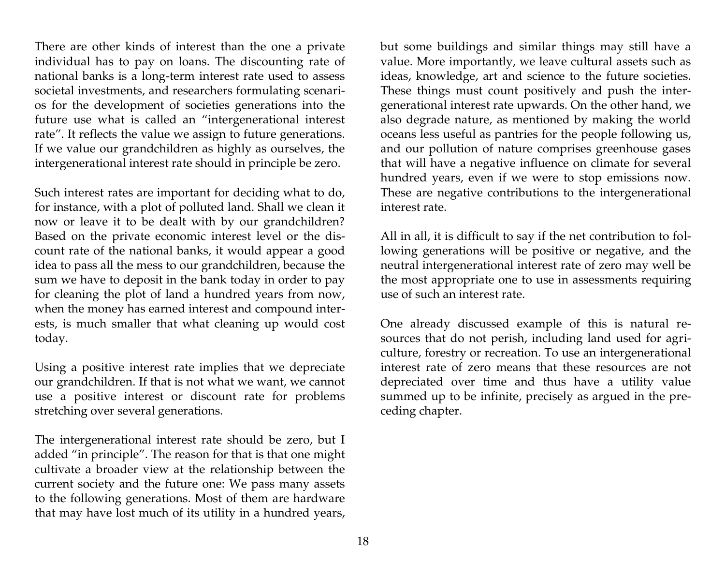There are other kinds of interest than the one a private individual has to pay on loans. The discounting rate of national banks is a long-term interest rate used to assess societal investments, and researchers formulating scenarios for the development of societies generations into the future use what is called an "intergenerational interest rate". It reflects the value we assign to future generations. If we value our grandchildren as highly as ourselves, the intergenerational interest rate should in principle be zero.

Such interest rates are important for deciding what to do, for instance, with a plot of polluted land. Shall we clean it now or leave it to be dealt with by our grandchildren? Based on the private economic interest level or the discount rate of the national banks, it would appear a good idea to pass all the mess to our grandchildren, because the sum we have to deposit in the bank today in order to pay for cleaning the plot of land a hundred years from now, when the money has earned interest and compound interests, is much smaller that what cleaning up would cost today.

Using a positive interest rate implies that we depreciate our grandchildren. If that is not what we want, we cannot use a positive interest or discount rate for problems stretching over several generations.

The intergenerational interest rate should be zero, but I added "in principle". The reason for that is that one might cultivate a broader view at the relationship between the current society and the future one: We pass many assets to the following generations. Most of them are hardware that may have lost much of its utility in a hundred years,

but some buildings and similar things may still have a value. More importantly, we leave cultural assets such as ideas, knowledge, art and science to the future societies. These things must count positively and push the intergenerational interest rate upwards. On the other hand, we also degrade nature, as mentioned by making the world oceans less useful as pantries for the people following us, and our pollution of nature comprises greenhouse gases that will have a negative influence on climate for several hundred years, even if we were to stop emissions now. These are negative contributions to the intergenerational interest rate.

All in all, it is difficult to say if the net contribution to following generations will be positive or negative, and the neutral intergenerational interest rate of zero may well be the most appropriate one to use in assessments requiring use of such an interest rate.

One already discussed example of this is natural resources that do not perish, including land used for agriculture, forestry or recreation. To use an intergenerational interest rate of zero means that these resources are not depreciated over time and thus have a utility value summed up to be infinite, precisely as argued in the preceding chapter.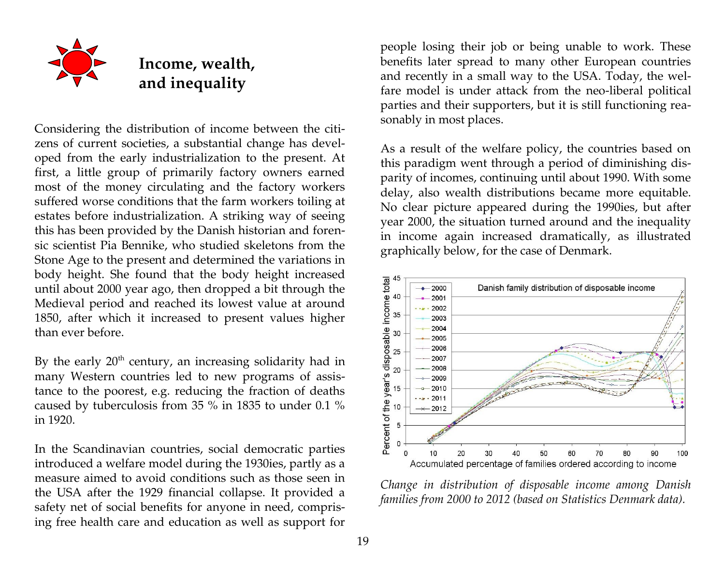

## **Income, wealth, and inequality**

Considering the distribution of income between the citizens of current societies, a substantial change has developed from the early industrialization to the present. At first, a little group of primarily factory owners earned most of the money circulating and the factory workers suffered worse conditions that the farm workers toiling at estates before industrialization. A striking way of seeing this has been provided by the Danish historian and forensic scientist Pia Bennike, who studied skeletons from the Stone Age to the present and determined the variations in body height. She found that the body height increased until about 2000 year ago, then dropped a bit through the Medieval period and reached its lowest value at around 1850, after which it increased to present values higher than ever before.

By the early  $20<sup>th</sup>$  century, an increasing solidarity had in many Western countries led to new programs of assistance to the poorest, e.g. reducing the fraction of deaths caused by tuberculosis from 35 % in 1835 to under 0.1 % in 1920.

In the Scandinavian countries, social democratic parties introduced a welfare model during the 1930ies, partly as a measure aimed to avoid conditions such as those seen in the USA after the 1929 financial collapse. It provided a safety net of social benefits for anyone in need, comprising free health care and education as well as support for

people losing their job or being unable to work. These benefits later spread to many other European countries and recently in a small way to the USA. Today, the welfare model is under attack from the neo-liberal political parties and their supporters, but it is still functioning reasonably in most places.

As a result of the welfare policy, the countries based on this paradigm went through a period of diminishing disparity of incomes, continuing until about 1990. With some delay, also wealth distributions became more equitable. No clear picture appeared during the 1990ies, but after year 2000, the situation turned around and the inequality in income again increased dramatically, as illustrated graphically below, for the case of Denmark.



*Change in distribution of disposable income among Danish families from 2000 to 2012 (based on Statistics Denmark data).*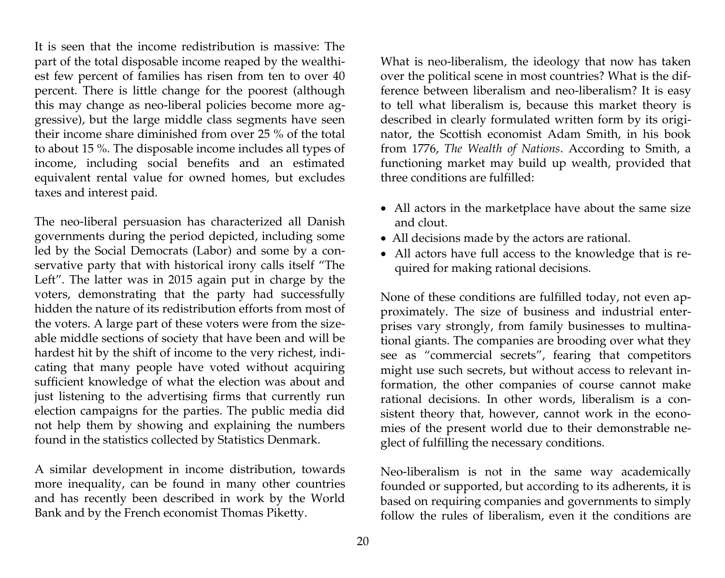It is seen that the income redistribution is massive: The part of the total disposable income reaped by the wealthiest few percent of families has risen from ten to over 40 percent. There is little change for the poorest (although this may change as neo-liberal policies become more aggressive), but the large middle class segments have seen their income share diminished from over 25 % of the total to about 15 %. The disposable income includes all types of income, including social benefits and an estimated equivalent rental value for owned homes, but excludes taxes and interest paid.

The neo-liberal persuasion has characterized all Danish governments during the period depicted, including some led by the Social Democrats (Labor) and some by a conservative party that with historical irony calls itself "The Left". The latter was in 2015 again put in charge by the voters, demonstrating that the party had successfully hidden the nature of its redistribution efforts from most of the voters. A large part of these voters were from the sizeable middle sections of society that have been and will be hardest hit by the shift of income to the very richest, indicating that many people have voted without acquiring sufficient knowledge of what the election was about and just listening to the advertising firms that currently run election campaigns for the parties. The public media did not help them by showing and explaining the numbers found in the statistics collected by Statistics Denmark.

A similar development in income distribution, towards more inequality, can be found in many other countries and has recently been described in work by the World Bank and by the French economist Thomas Piketty.

What is neo-liberalism, the ideology that now has taken over the political scene in most countries? What is the difference between liberalism and neo-liberalism? It is easy to tell what liberalism is, because this market theory is described in clearly formulated written form by its originator, the Scottish economist Adam Smith, in his book from 1776, *The Wealth of Nations*. According to Smith, a functioning market may build up wealth, provided that three conditions are fulfilled:

- All actors in the marketplace have about the same size and clout.
- All decisions made by the actors are rational.
- All actors have full access to the knowledge that is required for making rational decisions.

None of these conditions are fulfilled today, not even approximately. The size of business and industrial enterprises vary strongly, from family businesses to multinational giants. The companies are brooding over what they see as "commercial secrets", fearing that competitors might use such secrets, but without access to relevant information, the other companies of course cannot make rational decisions. In other words, liberalism is a consistent theory that, however, cannot work in the economies of the present world due to their demonstrable neglect of fulfilling the necessary conditions.

Neo-liberalism is not in the same way academically founded or supported, but according to its adherents, it is based on requiring companies and governments to simply follow the rules of liberalism, even it the conditions are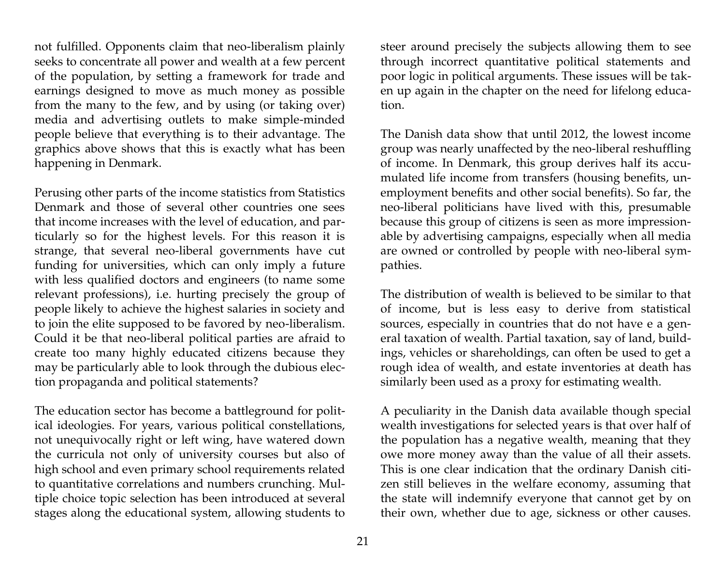not fulfilled. Opponents claim that neo-liberalism plainly seeks to concentrate all power and wealth at a few percent of the population, by setting a framework for trade and earnings designed to move as much money as possible from the many to the few, and by using (or taking over) media and advertising outlets to make simple-minded people believe that everything is to their advantage. The graphics above shows that this is exactly what has been happening in Denmark.

Perusing other parts of the income statistics from Statistics Denmark and those of several other countries one sees that income increases with the level of education, and particularly so for the highest levels. For this reason it is strange, that several neo-liberal governments have cut funding for universities, which can only imply a future with less qualified doctors and engineers (to name some relevant professions), i.e. hurting precisely the group of people likely to achieve the highest salaries in society and to join the elite supposed to be favored by neo-liberalism. Could it be that neo-liberal political parties are afraid to create too many highly educated citizens because they may be particularly able to look through the dubious election propaganda and political statements?

The education sector has become a battleground for political ideologies. For years, various political constellations, not unequivocally right or left wing, have watered down the curricula not only of university courses but also of high school and even primary school requirements related to quantitative correlations and numbers crunching. Multiple choice topic selection has been introduced at several stages along the educational system, allowing students to

steer around precisely the subjects allowing them to see through incorrect quantitative political statements and poor logic in political arguments. These issues will be taken up again in the chapter on the need for lifelong education.

The Danish data show that until 2012, the lowest income group was nearly unaffected by the neo-liberal reshuffling of income. In Denmark, this group derives half its accumulated life income from transfers (housing benefits, unemployment benefits and other social benefits). So far, the neo-liberal politicians have lived with this, presumable because this group of citizens is seen as more impressionable by advertising campaigns, especially when all media are owned or controlled by people with neo-liberal sympathies.

The distribution of wealth is believed to be similar to that of income, but is less easy to derive from statistical sources, especially in countries that do not have e a general taxation of wealth. Partial taxation, say of land, buildings, vehicles or shareholdings, can often be used to get a rough idea of wealth, and estate inventories at death has similarly been used as a proxy for estimating wealth.

A peculiarity in the Danish data available though special wealth investigations for selected years is that over half of the population has a negative wealth, meaning that they owe more money away than the value of all their assets. This is one clear indication that the ordinary Danish citizen still believes in the welfare economy, assuming that the state will indemnify everyone that cannot get by on their own, whether due to age, sickness or other causes.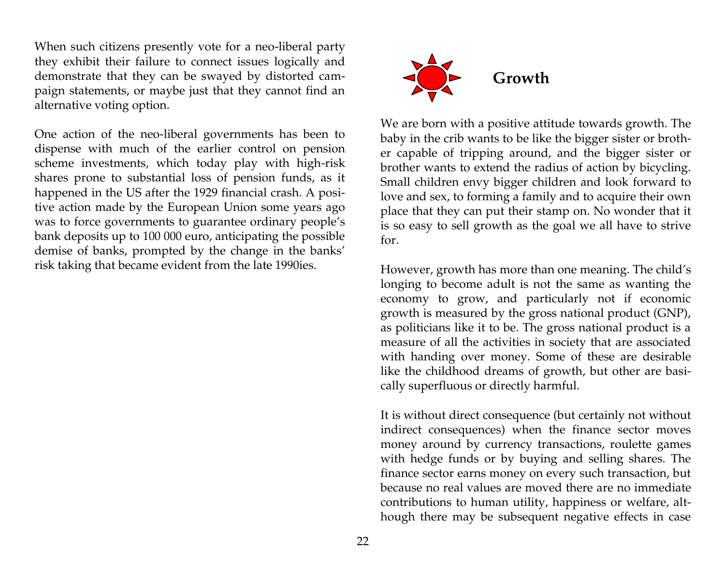When such citizens presently vote for a neo-liberal party they exhibit their failure to connect issues logically and demonstrate that they can be swayed by distorted campaign statements, or maybe just that they cannot find an alternative voting option.

One action of the neo-liberal governments has been to dispense with much of the earlier control on pension scheme investments, which today play with high-risk shares prone to substantial loss of pension funds, as it happened in the US after the 1929 financial crash. A positive action made by the European Union some years ago was to force governments to guarantee ordinary people's bank deposits up to 100 000 euro, anticipating the possible demise of banks, prompted by the change in the banks' risk taking that became evident from the late 1990ies.



We are born with a positive attitude towards growth. The baby in the crib wants to be like the bigger sister or brother capable of tripping around, and the bigger sister or brother wants to extend the radius of action by bicycling. Small children envy bigger children and look forward to love and sex, to forming a family and to acquire their own place that they can put their stamp on. No wonder that it is so easy to sell growth as the goal we all have to strive for.

However, growth has more than one meaning. The child's longing to become adult is not the same as wanting the economy to grow, and particularly not if economic growth is measured by the gross national product (GNP), as politicians like it to be. The gross national product is a measure of all the activities in society that are associated with handing over money. Some of these are desirable like the childhood dreams of growth, but other are basically superfluous or directly harmful.

It is without direct consequence (but certainly not without indirect consequences) when the finance sector moves money around by currency transactions, roulette games with hedge funds or by buying and selling shares. The finance sector earns money on every such transaction, but because no real values are moved there are no immediate contributions to human utility, happiness or welfare, although there may be subsequent negative effects in case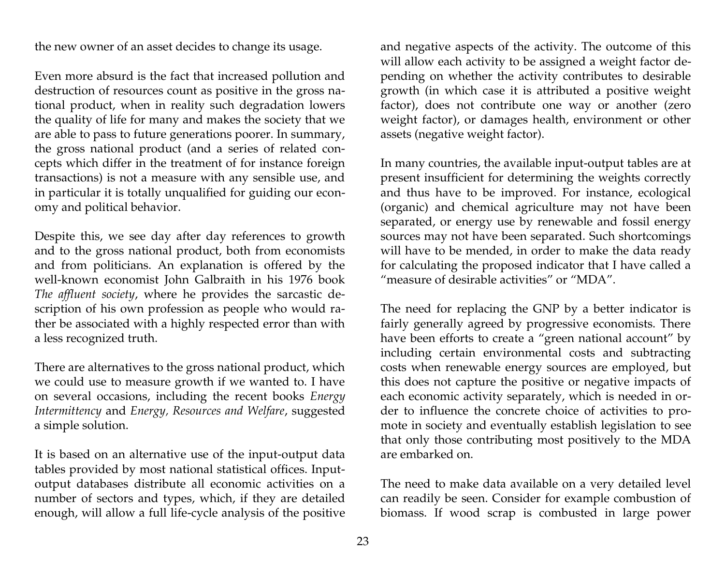the new owner of an asset decides to change its usage.

Even more absurd is the fact that increased pollution and destruction of resources count as positive in the gross national product, when in reality such degradation lowers the quality of life for many and makes the society that we are able to pass to future generations poorer. In summary, the gross national product (and a series of related concepts which differ in the treatment of for instance foreign transactions) is not a measure with any sensible use, and in particular it is totally unqualified for guiding our economy and political behavior.

Despite this, we see day after day references to growth and to the gross national product, both from economists and from politicians. An explanation is offered by the well-known economist John Galbraith in his 1976 book *The affluent society*, where he provides the sarcastic description of his own profession as people who would rather be associated with a highly respected error than with a less recognized truth.

There are alternatives to the gross national product, which we could use to measure growth if we wanted to. I have on several occasions, including the recent books *Energy Intermittency* and *Energy, Resources and Welfare*, suggested a simple solution.

It is based on an alternative use of the input-output data tables provided by most national statistical offices. Inputoutput databases distribute all economic activities on a number of sectors and types, which, if they are detailed enough, will allow a full life-cycle analysis of the positive

and negative aspects of the activity. The outcome of this will allow each activity to be assigned a weight factor depending on whether the activity contributes to desirable growth (in which case it is attributed a positive weight factor), does not contribute one way or another (zero weight factor), or damages health, environment or other assets (negative weight factor).

In many countries, the available input-output tables are at present insufficient for determining the weights correctly and thus have to be improved. For instance, ecological (organic) and chemical agriculture may not have been separated, or energy use by renewable and fossil energy sources may not have been separated. Such shortcomings will have to be mended, in order to make the data ready for calculating the proposed indicator that I have called a "measure of desirable activities" or "MDA".

The need for replacing the GNP by a better indicator is fairly generally agreed by progressive economists. There have been efforts to create a "green national account" by including certain environmental costs and subtracting costs when renewable energy sources are employed, but this does not capture the positive or negative impacts of each economic activity separately, which is needed in order to influence the concrete choice of activities to promote in society and eventually establish legislation to see that only those contributing most positively to the MDA are embarked on.

The need to make data available on a very detailed level can readily be seen. Consider for example combustion of biomass. If wood scrap is combusted in large power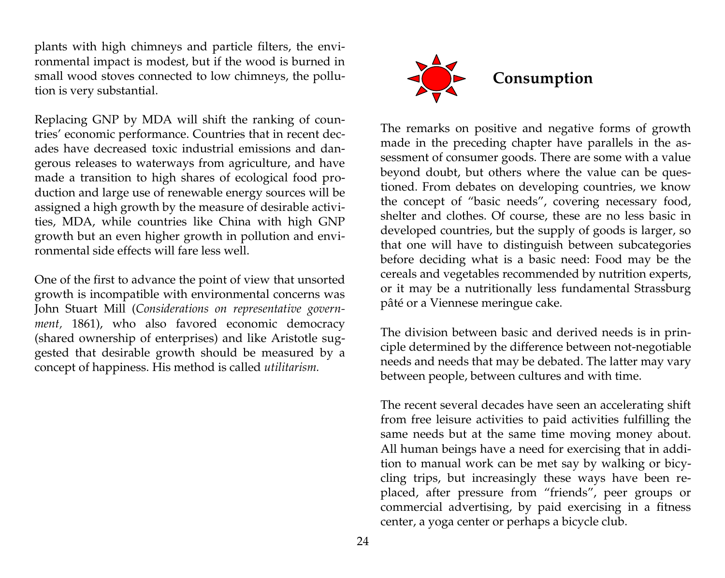plants with high chimneys and particle filters, the environmental impact is modest, but if the wood is burned in small wood stoves connected to low chimneys, the pollution is very substantial.

Replacing GNP by MDA will shift the ranking of countries' economic performance. Countries that in recent decades have decreased toxic industrial emissions and dangerous releases to waterways from agriculture, and have made a transition to high shares of ecological food production and large use of renewable energy sources will be assigned a high growth by the measure of desirable activities, MDA, while countries like China with high GNP growth but an even higher growth in pollution and environmental side effects will fare less well.

One of the first to advance the point of view that unsorted growth is incompatible with environmental concerns was John Stuart Mill (*Considerations on representative govern*ment, 1861), who also favored economic democracy (shared ownership of enterprises) and like Aristotle suggested that desirable growth should be measured by a concept of happiness. His method is called *utilitarism.*



The remarks on positive and negative forms of growth made in the preceding chapter have parallels in the assessment of consumer goods. There are some with a value beyond doubt, but others where the value can be questioned. From debates on developing countries, we know the concept of "basic needs", covering necessary food, shelter and clothes. Of course, these are no less basic in developed countries, but the supply of goods is larger, so that one will have to distinguish between subcategories before deciding what is a basic need: Food may be the cereals and vegetables recommended by nutrition experts, or it may be a nutritionally less fundamental Strassburg pâté or a Viennese meringue cake.

The division between basic and derived needs is in principle determined by the difference between not-negotiable needs and needs that may be debated. The latter may vary between people, between cultures and with time.

The recent several decades have seen an accelerating shift from free leisure activities to paid activities fulfilling the same needs but at the same time moving money about. All human beings have a need for exercising that in addition to manual work can be met say by walking or bicycling trips, but increasingly these ways have been replaced, after pressure from "friends", peer groups or commercial advertising, by paid exercising in a fitness center, a yoga center or perhaps a bicycle club.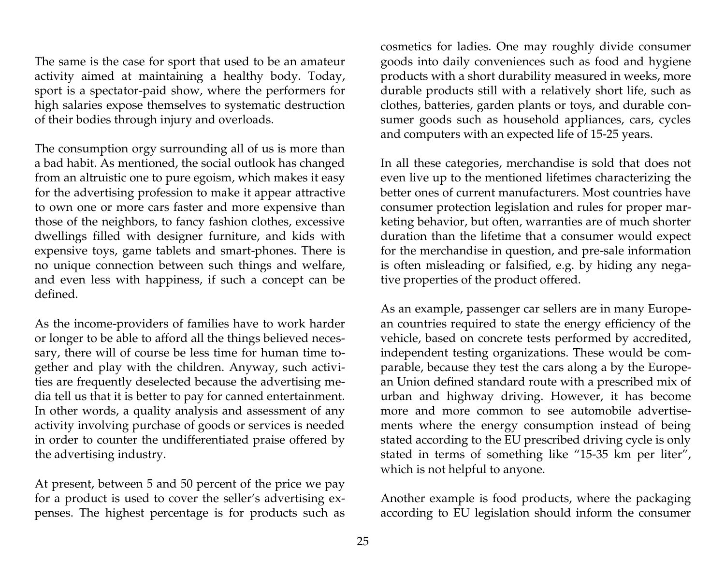The same is the case for sport that used to be an amateur activity aimed at maintaining a healthy body. Today, sport is a spectator-paid show, where the performers for high salaries expose themselves to systematic destruction of their bodies through injury and overloads.

The consumption orgy surrounding all of us is more than a bad habit. As mentioned, the social outlook has changed from an altruistic one to pure egoism, which makes it easy for the advertising profession to make it appear attractive to own one or more cars faster and more expensive than those of the neighbors, to fancy fashion clothes, excessive dwellings filled with designer furniture, and kids with expensive toys, game tablets and smart-phones. There is no unique connection between such things and welfare, and even less with happiness, if such a concept can be defined.

As the income-providers of families have to work harder or longer to be able to afford all the things believed necessary, there will of course be less time for human time together and play with the children. Anyway, such activities are frequently deselected because the advertising media tell us that it is better to pay for canned entertainment. In other words, a quality analysis and assessment of any activity involving purchase of goods or services is needed in order to counter the undifferentiated praise offered by the advertising industry.

At present, between 5 and 50 percent of the price we pay for a product is used to cover the seller's advertising expenses. The highest percentage is for products such as cosmetics for ladies. One may roughly divide consumer goods into daily conveniences such as food and hygiene products with a short durability measured in weeks, more durable products still with a relatively short life, such as clothes, batteries, garden plants or toys, and durable consumer goods such as household appliances, cars, cycles and computers with an expected life of 15-25 years.

In all these categories, merchandise is sold that does not even live up to the mentioned lifetimes characterizing the better ones of current manufacturers. Most countries have consumer protection legislation and rules for proper marketing behavior, but often, warranties are of much shorter duration than the lifetime that a consumer would expect for the merchandise in question, and pre-sale information is often misleading or falsified, e.g. by hiding any negative properties of the product offered.

As an example, passenger car sellers are in many European countries required to state the energy efficiency of the vehicle, based on concrete tests performed by accredited, independent testing organizations. These would be comparable, because they test the cars along a by the European Union defined standard route with a prescribed mix of urban and highway driving. However, it has become more and more common to see automobile advertisements where the energy consumption instead of being stated according to the EU prescribed driving cycle is only stated in terms of something like "15-35 km per liter", which is not helpful to anyone.

Another example is food products, where the packaging according to EU legislation should inform the consumer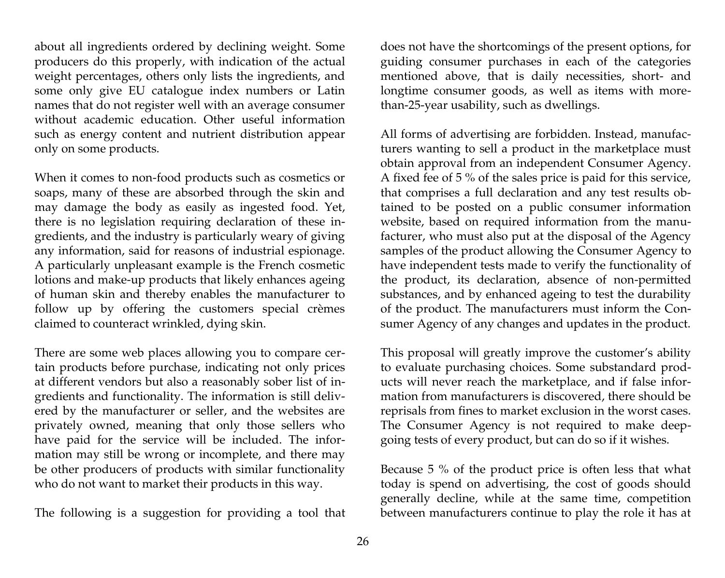about all ingredients ordered by declining weight. Some producers do this properly, with indication of the actual weight percentages, others only lists the ingredients, and some only give EU catalogue index numbers or Latin names that do not register well with an average consumer without academic education. Other useful information such as energy content and nutrient distribution appear only on some products.

When it comes to non-food products such as cosmetics or soaps, many of these are absorbed through the skin and may damage the body as easily as ingested food. Yet, there is no legislation requiring declaration of these ingredients, and the industry is particularly weary of giving any information, said for reasons of industrial espionage. A particularly unpleasant example is the French cosmetic lotions and make-up products that likely enhances ageing of human skin and thereby enables the manufacturer to follow up by offering the customers special crèmes claimed to counteract wrinkled, dying skin.

There are some web places allowing you to compare certain products before purchase, indicating not only prices at different vendors but also a reasonably sober list of ingredients and functionality. The information is still delivered by the manufacturer or seller, and the websites are privately owned, meaning that only those sellers who have paid for the service will be included. The information may still be wrong or incomplete, and there may be other producers of products with similar functionality who do not want to market their products in this way.

The following is a suggestion for providing a tool that

does not have the shortcomings of the present options, for guiding consumer purchases in each of the categories mentioned above, that is daily necessities, short- and longtime consumer goods, as well as items with morethan-25-year usability, such as dwellings.

All forms of advertising are forbidden. Instead, manufacturers wanting to sell a product in the marketplace must obtain approval from an independent Consumer Agency. A fixed fee of 5 % of the sales price is paid for this service, that comprises a full declaration and any test results obtained to be posted on a public consumer information website, based on required information from the manufacturer, who must also put at the disposal of the Agency samples of the product allowing the Consumer Agency to have independent tests made to verify the functionality of the product, its declaration, absence of non-permitted substances, and by enhanced ageing to test the durability of the product. The manufacturers must inform the Consumer Agency of any changes and updates in the product.

This proposal will greatly improve the customer's ability to evaluate purchasing choices. Some substandard products will never reach the marketplace, and if false information from manufacturers is discovered, there should be reprisals from fines to market exclusion in the worst cases. The Consumer Agency is not required to make deepgoing tests of every product, but can do so if it wishes.

Because 5 % of the product price is often less that what today is spend on advertising, the cost of goods should generally decline, while at the same time, competition between manufacturers continue to play the role it has at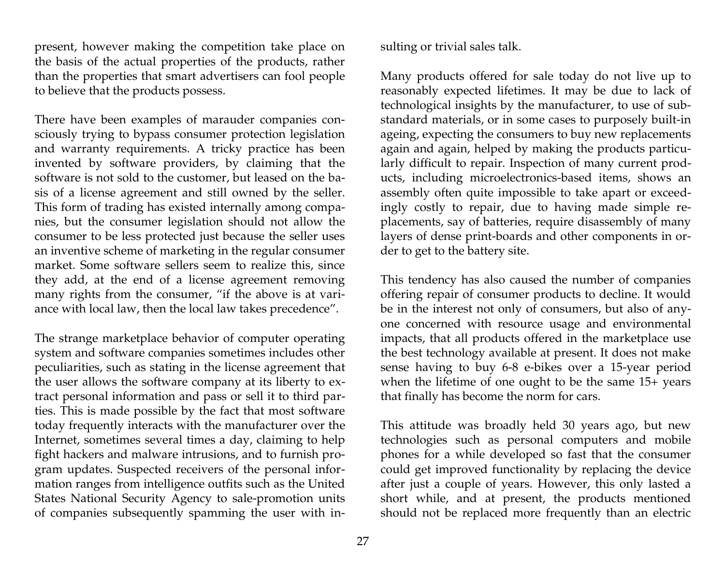present, however making the competition take place on the basis of the actual properties of the products, rather than the properties that smart advertisers can fool people to believe that the products possess.

There have been examples of marauder companies consciously trying to bypass consumer protection legislation and warranty requirements. A tricky practice has been invented by software providers, by claiming that the software is not sold to the customer, but leased on the basis of a license agreement and still owned by the seller. This form of trading has existed internally among companies, but the consumer legislation should not allow the consumer to be less protected just because the seller uses an inventive scheme of marketing in the regular consumer market. Some software sellers seem to realize this, since they add, at the end of a license agreement removing many rights from the consumer, "if the above is at variance with local law, then the local law takes precedence".

The strange marketplace behavior of computer operating system and software companies sometimes includes other peculiarities, such as stating in the license agreement that the user allows the software company at its liberty to extract personal information and pass or sell it to third parties. This is made possible by the fact that most software today frequently interacts with the manufacturer over the Internet, sometimes several times a day, claiming to help fight hackers and malware intrusions, and to furnish program updates. Suspected receivers of the personal information ranges from intelligence outfits such as the United States National Security Agency to sale-promotion units of companies subsequently spamming the user with insulting or trivial sales talk.

Many products offered for sale today do not live up to reasonably expected lifetimes. It may be due to lack of technological insights by the manufacturer, to use of substandard materials, or in some cases to purposely built-in ageing, expecting the consumers to buy new replacements again and again, helped by making the products particularly difficult to repair. Inspection of many current products, including microelectronics-based items, shows an assembly often quite impossible to take apart or exceedingly costly to repair, due to having made simple replacements, say of batteries, require disassembly of many layers of dense print-boards and other components in order to get to the battery site.

This tendency has also caused the number of companies offering repair of consumer products to decline. It would be in the interest not only of consumers, but also of anyone concerned with resource usage and environmental impacts, that all products offered in the marketplace use the best technology available at present. It does not make sense having to buy 6-8 e-bikes over a 15-year period when the lifetime of one ought to be the same 15+ years that finally has become the norm for cars.

This attitude was broadly held 30 years ago, but new technologies such as personal computers and mobile phones for a while developed so fast that the consumer could get improved functionality by replacing the device after just a couple of years. However, this only lasted a short while, and at present, the products mentioned should not be replaced more frequently than an electric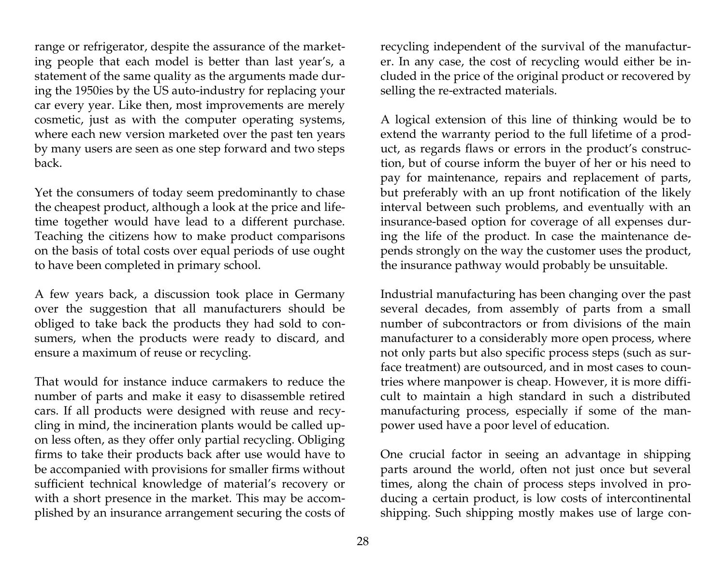range or refrigerator, despite the assurance of the marketing people that each model is better than last year's, a statement of the same quality as the arguments made during the 1950ies by the US auto-industry for replacing your car every year. Like then, most improvements are merely cosmetic, just as with the computer operating systems, where each new version marketed over the past ten years by many users are seen as one step forward and two steps back.

Yet the consumers of today seem predominantly to chase the cheapest product, although a look at the price and lifetime together would have lead to a different purchase. Teaching the citizens how to make product comparisons on the basis of total costs over equal periods of use ought to have been completed in primary school.

A few years back, a discussion took place in Germany over the suggestion that all manufacturers should be obliged to take back the products they had sold to consumers, when the products were ready to discard, and ensure a maximum of reuse or recycling.

That would for instance induce carmakers to reduce the number of parts and make it easy to disassemble retired cars. If all products were designed with reuse and recycling in mind, the incineration plants would be called upon less often, as they offer only partial recycling. Obliging firms to take their products back after use would have to be accompanied with provisions for smaller firms without sufficient technical knowledge of material's recovery or with a short presence in the market. This may be accomplished by an insurance arrangement securing the costs of recycling independent of the survival of the manufacturer. In any case, the cost of recycling would either be included in the price of the original product or recovered by selling the re-extracted materials.

A logical extension of this line of thinking would be to extend the warranty period to the full lifetime of a product, as regards flaws or errors in the product's construction, but of course inform the buyer of her or his need to pay for maintenance, repairs and replacement of parts, but preferably with an up front notification of the likely interval between such problems, and eventually with an insurance-based option for coverage of all expenses during the life of the product. In case the maintenance depends strongly on the way the customer uses the product, the insurance pathway would probably be unsuitable.

Industrial manufacturing has been changing over the past several decades, from assembly of parts from a small number of subcontractors or from divisions of the main manufacturer to a considerably more open process, where not only parts but also specific process steps (such as surface treatment) are outsourced, and in most cases to countries where manpower is cheap. However, it is more difficult to maintain a high standard in such a distributed manufacturing process, especially if some of the manpower used have a poor level of education.

One crucial factor in seeing an advantage in shipping parts around the world, often not just once but several times, along the chain of process steps involved in producing a certain product, is low costs of intercontinental shipping. Such shipping mostly makes use of large con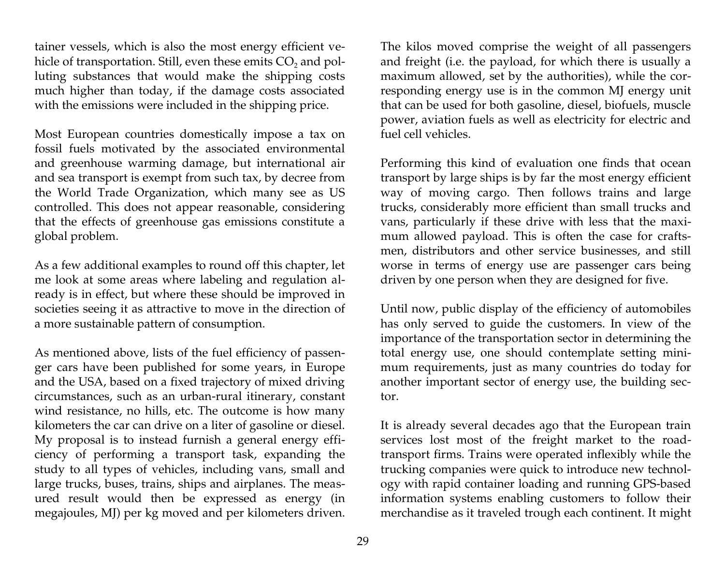tainer vessels, which is also the most energy efficient vehicle of transportation. Still, even these emits CO<sub>2</sub> and polluting substances that would make the shipping costs much higher than today, if the damage costs associated with the emissions were included in the shipping price.

Most European countries domestically impose a tax on fossil fuels motivated by the associated environmental and greenhouse warming damage, but international air and sea transport is exempt from such tax, by decree from the World Trade Organization, which many see as US controlled. This does not appear reasonable, considering that the effects of greenhouse gas emissions constitute a global problem.

As a few additional examples to round off this chapter, let me look at some areas where labeling and regulation already is in effect, but where these should be improved in societies seeing it as attractive to move in the direction of a more sustainable pattern of consumption.

As mentioned above, lists of the fuel efficiency of passenger cars have been published for some years, in Europe and the USA, based on a fixed trajectory of mixed driving circumstances, such as an urban-rural itinerary, constant wind resistance, no hills, etc. The outcome is how many kilometers the car can drive on a liter of gasoline or diesel. My proposal is to instead furnish a general energy efficiency of performing a transport task, expanding the study to all types of vehicles, including vans, small and large trucks, buses, trains, ships and airplanes. The measured result would then be expressed as energy (in megajoules, MJ) per kg moved and per kilometers driven.

29

The kilos moved comprise the weight of all passengers and freight (i.e. the payload, for which there is usually a maximum allowed, set by the authorities), while the corresponding energy use is in the common MJ energy unit that can be used for both gasoline, diesel, biofuels, muscle power, aviation fuels as well as electricity for electric and fuel cell vehicles.

Performing this kind of evaluation one finds that ocean transport by large ships is by far the most energy efficient way of moving cargo. Then follows trains and large trucks, considerably more efficient than small trucks and vans, particularly if these drive with less that the maximum allowed payload. This is often the case for craftsmen, distributors and other service businesses, and still worse in terms of energy use are passenger cars being driven by one person when they are designed for five.

Until now, public display of the efficiency of automobiles has only served to guide the customers. In view of the importance of the transportation sector in determining the total energy use, one should contemplate setting minimum requirements, just as many countries do today for another important sector of energy use, the building sector.

It is already several decades ago that the European train services lost most of the freight market to the roadtransport firms. Trains were operated inflexibly while the trucking companies were quick to introduce new technology with rapid container loading and running GPS-based information systems enabling customers to follow their merchandise as it traveled trough each continent. It might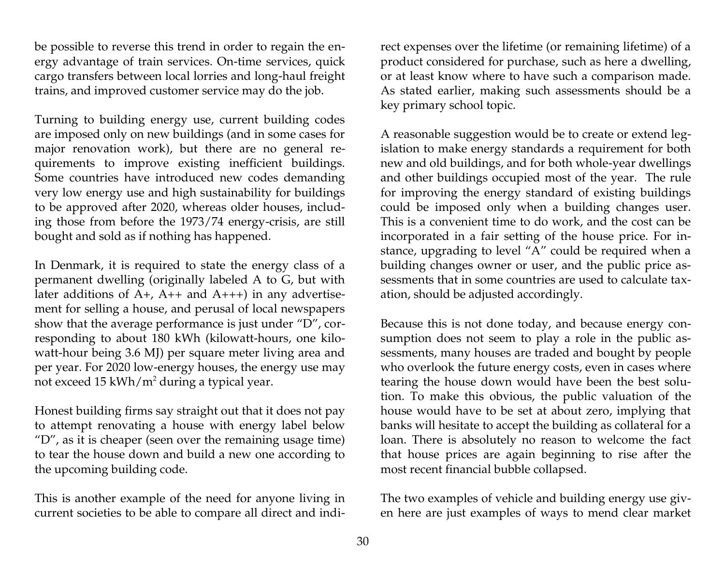be possible to reverse this trend in order to regain the energy advantage of train services. On-time services, quick cargo transfers between local lorries and long-haul freight trains, and improved customer service may do the job.

Turning to building energy use, current building codes are imposed only on new buildings (and in some cases for major renovation work), but there are no general requirements to improve existing inefficient buildings. Some countries have introduced new codes demanding very low energy use and high sustainability for buildings to be approved after 2020, whereas older houses, including those from before the 1973/74 energy-crisis, are still bought and sold as if nothing has happened.

In Denmark, it is required to state the energy class of a permanent dwelling (originally labeled A to G, but with later additions of  $A+$ ,  $A++$  and  $A++$ ) in any advertisement for selling a house, and perusal of local newspapers show that the average performance is just under "D", corresponding to about 180 kWh (kilowatt-hours, one kilowatt-hour being 3.6 MJ) per square meter living area and per year. For 2020 low-energy houses, the energy use may not exceed  $15 \frac{\text{kWh}}{\text{m}^2}$  during a typical year.

Honest building firms say straight out that it does not pay to attempt renovating a house with energy label below "D", as it is cheaper (seen over the remaining usage time) to tear the house down and build a new one according to the upcoming building code.

This is another example of the need for anyone living in current societies to be able to compare all direct and indirect expenses over the lifetime (or remaining lifetime) of a product considered for purchase, such as here a dwelling, or at least know where to have such a comparison made. As stated earlier, making such assessments should be a key primary school topic.

A reasonable suggestion would be to create or extend legislation to make energy standards a requirement for both new and old buildings, and for both whole-year dwellings and other buildings occupied most of the year. The rule for improving the energy standard of existing buildings could be imposed only when a building changes user. This is a convenient time to do work, and the cost can be incorporated in a fair setting of the house price. For instance, upgrading to level "A" could be required when a building changes owner or user, and the public price assessments that in some countries are used to calculate taxation, should be adjusted accordingly.

Because this is not done today, and because energy consumption does not seem to play a role in the public assessments, many houses are traded and bought by people who overlook the future energy costs, even in cases where tearing the house down would have been the best solution. To make this obvious, the public valuation of the house would have to be set at about zero, implying that banks will hesitate to accept the building as collateral for a loan. There is absolutely no reason to welcome the fact that house prices are again beginning to rise after the most recent financial bubble collapsed.

The two examples of vehicle and building energy use given here are just examples of ways to mend clear market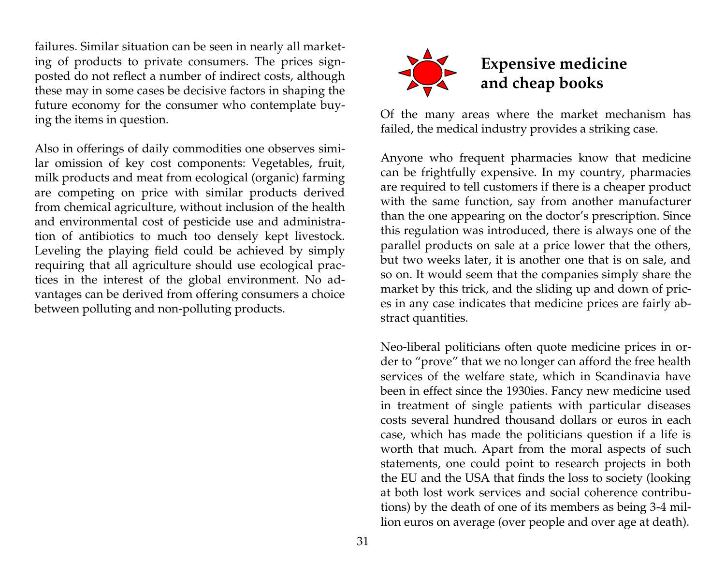failures. Similar situation can be seen in nearly all marketing of products to private consumers. The prices signposted do not reflect a number of indirect costs, although these may in some cases be decisive factors in shaping the future economy for the consumer who contemplate buying the items in question.

Also in offerings of daily commodities one observes similar omission of key cost components: Vegetables, fruit, milk products and meat from ecological (organic) farming are competing on price with similar products derived from chemical agriculture, without inclusion of the health and environmental cost of pesticide use and administration of antibiotics to much too densely kept livestock. Leveling the playing field could be achieved by simply requiring that all agriculture should use ecological practices in the interest of the global environment. No advantages can be derived from offering consumers a choice between polluting and non-polluting products.



Of the many areas where the market mechanism has failed, the medical industry provides a striking case.

Anyone who frequent pharmacies know that medicine can be frightfully expensive. In my country, pharmacies are required to tell customers if there is a cheaper product with the same function, say from another manufacturer than the one appearing on the doctor's prescription. Since this regulation was introduced, there is always one of the parallel products on sale at a price lower that the others, but two weeks later, it is another one that is on sale, and so on. It would seem that the companies simply share the market by this trick, and the sliding up and down of prices in any case indicates that medicine prices are fairly abstract quantities.

Neo-liberal politicians often quote medicine prices in order to "prove" that we no longer can afford the free health services of the welfare state, which in Scandinavia have been in effect since the 1930ies. Fancy new medicine used in treatment of single patients with particular diseases costs several hundred thousand dollars or euros in each case, which has made the politicians question if a life is worth that much. Apart from the moral aspects of such statements, one could point to research projects in both the EU and the USA that finds the loss to society (looking at both lost work services and social coherence contributions) by the death of one of its members as being 3-4 million euros on average (over people and over age at death).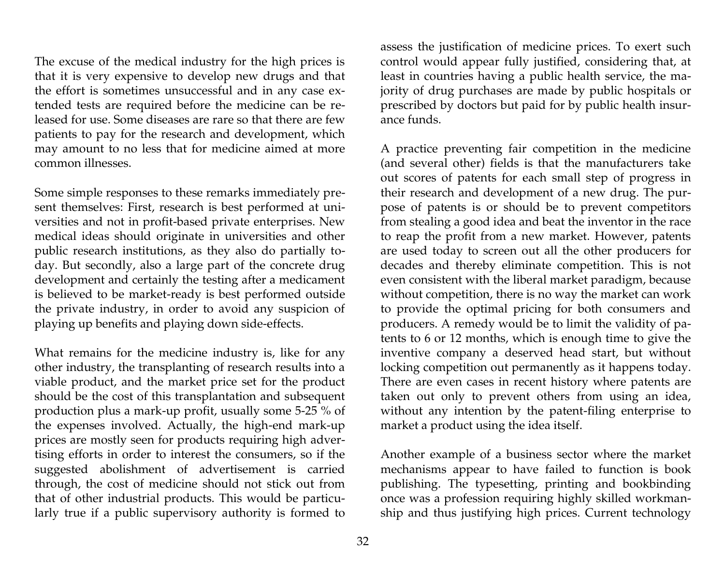The excuse of the medical industry for the high prices is that it is very expensive to develop new drugs and that the effort is sometimes unsuccessful and in any case extended tests are required before the medicine can be released for use. Some diseases are rare so that there are few patients to pay for the research and development, which may amount to no less that for medicine aimed at more common illnesses.

Some simple responses to these remarks immediately present themselves: First, research is best performed at universities and not in profit-based private enterprises. New medical ideas should originate in universities and other public research institutions, as they also do partially today. But secondly, also a large part of the concrete drug development and certainly the testing after a medicament is believed to be market-ready is best performed outside the private industry, in order to avoid any suspicion of playing up benefits and playing down side-effects.

What remains for the medicine industry is, like for any other industry, the transplanting of research results into a viable product, and the market price set for the product should be the cost of this transplantation and subsequent production plus a mark-up profit, usually some 5-25 % of the expenses involved. Actually, the high-end mark-up prices are mostly seen for products requiring high advertising efforts in order to interest the consumers, so if the suggested abolishment of advertisement is carried through, the cost of medicine should not stick out from that of other industrial products. This would be particularly true if a public supervisory authority is formed to

32

assess the justification of medicine prices. To exert such control would appear fully justified, considering that, at least in countries having a public health service, the majority of drug purchases are made by public hospitals or prescribed by doctors but paid for by public health insurance funds.

A practice preventing fair competition in the medicine (and several other) fields is that the manufacturers take out scores of patents for each small step of progress in their research and development of a new drug. The purpose of patents is or should be to prevent competitors from stealing a good idea and beat the inventor in the race to reap the profit from a new market. However, patents are used today to screen out all the other producers for decades and thereby eliminate competition. This is not even consistent with the liberal market paradigm, because without competition, there is no way the market can work to provide the optimal pricing for both consumers and producers. A remedy would be to limit the validity of patents to 6 or 12 months, which is enough time to give the inventive company a deserved head start, but without locking competition out permanently as it happens today. There are even cases in recent history where patents are taken out only to prevent others from using an idea, without any intention by the patent-filing enterprise to market a product using the idea itself.

Another example of a business sector where the market mechanisms appear to have failed to function is book publishing. The typesetting, printing and bookbinding once was a profession requiring highly skilled workmanship and thus justifying high prices. Current technology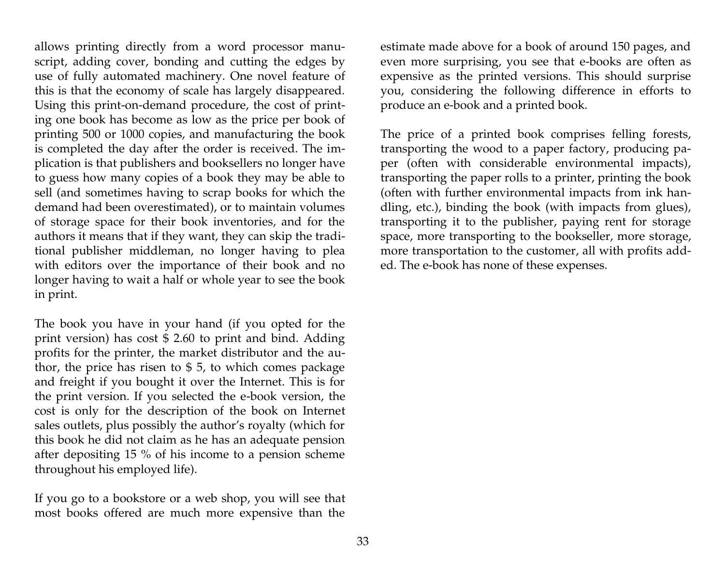allows printing directly from a word processor manuscript, adding cover, bonding and cutting the edges by use of fully automated machinery. One novel feature of this is that the economy of scale has largely disappeared. Using this print-on-demand procedure, the cost of printing one book has become as low as the price per book of printing 500 or 1000 copies, and manufacturing the book is completed the day after the order is received. The implication is that publishers and booksellers no longer have to guess how many copies of a book they may be able to sell (and sometimes having to scrap books for which the demand had been overestimated), or to maintain volumes of storage space for their book inventories, and for the authors it means that if they want, they can skip the traditional publisher middleman, no longer having to plea with editors over the importance of their book and no longer having to wait a half or whole year to see the book in print.

The book you have in your hand (if you opted for the print version) has cost \$ 2.60 to print and bind. Adding profits for the printer, the market distributor and the author, the price has risen to \$ 5, to which comes package and freight if you bought it over the Internet. This is for the print version. If you selected the e-book version, the cost is only for the description of the book on Internet sales outlets, plus possibly the author's royalty (which for this book he did not claim as he has an adequate pension after depositing 15 % of his income to a pension scheme throughout his employed life).

If you go to a bookstore or a web shop, you will see that most books offered are much more expensive than the

estimate made above for a book of around 150 pages, and even more surprising, you see that e-books are often as expensive as the printed versions. This should surprise you, considering the following difference in efforts to produce an e-book and a printed book.

The price of a printed book comprises felling forests, transporting the wood to a paper factory, producing paper (often with considerable environmental impacts), transporting the paper rolls to a printer, printing the book (often with further environmental impacts from ink handling, etc.), binding the book (with impacts from glues), transporting it to the publisher, paying rent for storage space, more transporting to the bookseller, more storage, more transportation to the customer, all with profits added. The e-book has none of these expenses.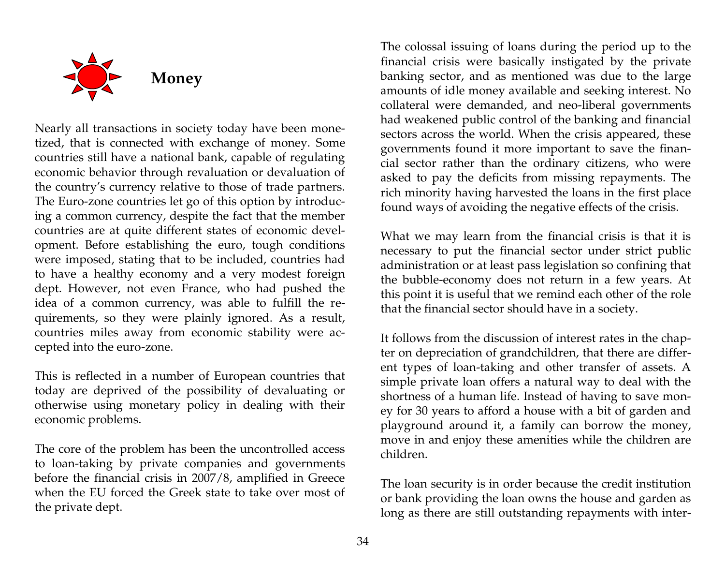

Nearly all transactions in society today have been monetized, that is connected with exchange of money. Some countries still have a national bank, capable of regulating economic behavior through revaluation or devaluation of the country's currency relative to those of trade partners. The Euro-zone countries let go of this option by introducing a common currency, despite the fact that the member countries are at quite different states of economic development. Before establishing the euro, tough conditions were imposed, stating that to be included, countries had to have a healthy economy and a very modest foreign dept. However, not even France, who had pushed the idea of a common currency, was able to fulfill the requirements, so they were plainly ignored. As a result, countries miles away from economic stability were accepted into the euro-zone.

This is reflected in a number of European countries that today are deprived of the possibility of devaluating or otherwise using monetary policy in dealing with their economic problems.

The core of the problem has been the uncontrolled access to loan-taking by private companies and governments before the financial crisis in 2007/8, amplified in Greece when the EU forced the Greek state to take over most of the private dept.

The colossal issuing of loans during the period up to the financial crisis were basically instigated by the private banking sector, and as mentioned was due to the large amounts of idle money available and seeking interest. No collateral were demanded, and neo-liberal governments had weakened public control of the banking and financial sectors across the world. When the crisis appeared, these governments found it more important to save the financial sector rather than the ordinary citizens, who were asked to pay the deficits from missing repayments. The rich minority having harvested the loans in the first place found ways of avoiding the negative effects of the crisis.

What we may learn from the financial crisis is that it is necessary to put the financial sector under strict public administration or at least pass legislation so confining that the bubble-economy does not return in a few years. At this point it is useful that we remind each other of the role that the financial sector should have in a society.

It follows from the discussion of interest rates in the chapter on depreciation of grandchildren, that there are different types of loan-taking and other transfer of assets. A simple private loan offers a natural way to deal with the shortness of a human life. Instead of having to save money for 30 years to afford a house with a bit of garden and playground around it, a family can borrow the money, move in and enjoy these amenities while the children are children.

The loan security is in order because the credit institution or bank providing the loan owns the house and garden as long as there are still outstanding repayments with inter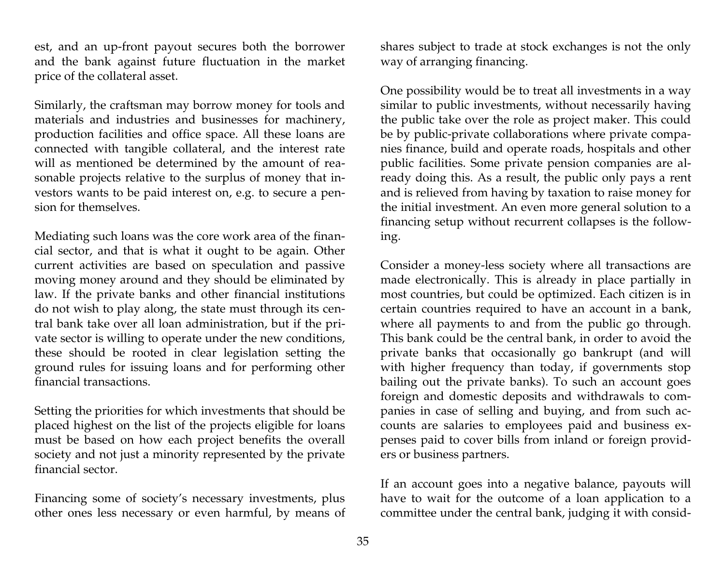est, and an up-front payout secures both the borrower and the bank against future fluctuation in the market price of the collateral asset.

Similarly, the craftsman may borrow money for tools and materials and industries and businesses for machinery, production facilities and office space. All these loans are connected with tangible collateral, and the interest rate will as mentioned be determined by the amount of reasonable projects relative to the surplus of money that investors wants to be paid interest on, e.g. to secure a pension for themselves.

Mediating such loans was the core work area of the financial sector, and that is what it ought to be again. Other current activities are based on speculation and passive moving money around and they should be eliminated by law. If the private banks and other financial institutions do not wish to play along, the state must through its central bank take over all loan administration, but if the private sector is willing to operate under the new conditions, these should be rooted in clear legislation setting the ground rules for issuing loans and for performing other financial transactions.

Setting the priorities for which investments that should be placed highest on the list of the projects eligible for loans must be based on how each project benefits the overall society and not just a minority represented by the private financial sector.

Financing some of society's necessary investments, plus other ones less necessary or even harmful, by means of

shares subject to trade at stock exchanges is not the only way of arranging financing.

One possibility would be to treat all investments in a way similar to public investments, without necessarily having the public take over the role as project maker. This could be by public-private collaborations where private companies finance, build and operate roads, hospitals and other public facilities. Some private pension companies are already doing this. As a result, the public only pays a rent and is relieved from having by taxation to raise money for the initial investment. An even more general solution to a financing setup without recurrent collapses is the following.

Consider a money-less society where all transactions are made electronically. This is already in place partially in most countries, but could be optimized. Each citizen is in certain countries required to have an account in a bank, where all payments to and from the public go through. This bank could be the central bank, in order to avoid the private banks that occasionally go bankrupt (and will with higher frequency than today, if governments stop bailing out the private banks). To such an account goes foreign and domestic deposits and withdrawals to companies in case of selling and buying, and from such accounts are salaries to employees paid and business expenses paid to cover bills from inland or foreign providers or business partners.

If an account goes into a negative balance, payouts will have to wait for the outcome of a loan application to a committee under the central bank, judging it with consid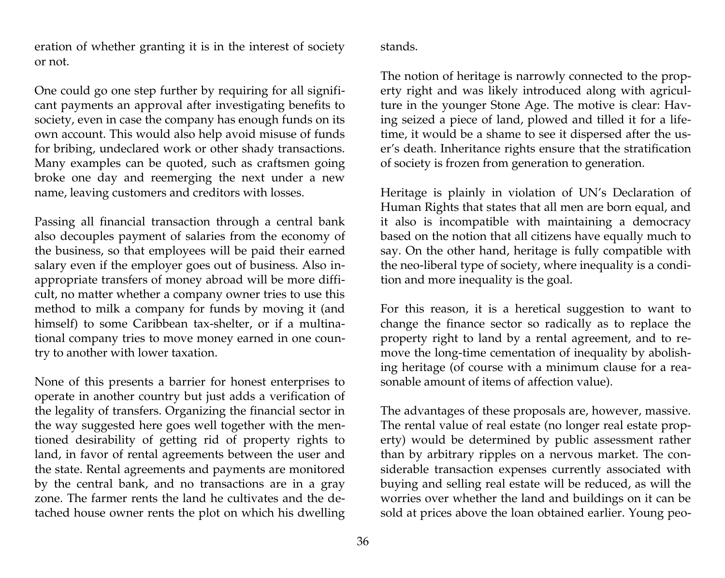eration of whether granting it is in the interest of society or not.

#### stands.

One could go one step further by requiring for all significant payments an approval after investigating benefits to society, even in case the company has enough funds on its own account. This would also help avoid misuse of funds for bribing, undeclared work or other shady transactions. Many examples can be quoted, such as craftsmen going broke one day and reemerging the next under a new name, leaving customers and creditors with losses.

Passing all financial transaction through a central bank also decouples payment of salaries from the economy of the business, so that employees will be paid their earned salary even if the employer goes out of business. Also inappropriate transfers of money abroad will be more difficult, no matter whether a company owner tries to use this method to milk a company for funds by moving it (and himself) to some Caribbean tax-shelter, or if a multinational company tries to move money earned in one country to another with lower taxation.

None of this presents a barrier for honest enterprises to operate in another country but just adds a verification of the legality of transfers. Organizing the financial sector in the way suggested here goes well together with the mentioned desirability of getting rid of property rights to land, in favor of rental agreements between the user and the state. Rental agreements and payments are monitored by the central bank, and no transactions are in a gray zone. The farmer rents the land he cultivates and the detached house owner rents the plot on which his dwelling

The notion of heritage is narrowly connected to the property right and was likely introduced along with agriculture in the younger Stone Age. The motive is clear: Having seized a piece of land, plowed and tilled it for a lifetime, it would be a shame to see it dispersed after the user's death. Inheritance rights ensure that the stratification of society is frozen from generation to generation.

Heritage is plainly in violation of UN's Declaration of Human Rights that states that all men are born equal, and it also is incompatible with maintaining a democracy based on the notion that all citizens have equally much to say. On the other hand, heritage is fully compatible with the neo-liberal type of society, where inequality is a condition and more inequality is the goal.

For this reason, it is a heretical suggestion to want to change the finance sector so radically as to replace the property right to land by a rental agreement, and to remove the long-time cementation of inequality by abolishing heritage (of course with a minimum clause for a reasonable amount of items of affection value).

The advantages of these proposals are, however, massive. The rental value of real estate (no longer real estate property) would be determined by public assessment rather than by arbitrary ripples on a nervous market. The considerable transaction expenses currently associated with buying and selling real estate will be reduced, as will the worries over whether the land and buildings on it can be sold at prices above the loan obtained earlier. Young peo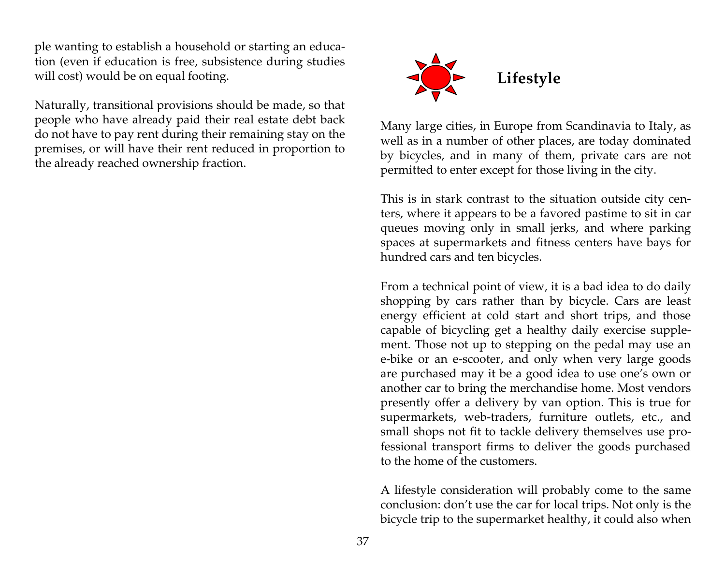ple wanting to establish a household or starting an education (even if education is free, subsistence during studies will cost) would be on equal footing.

Naturally, transitional provisions should be made, so that people who have already paid their real estate debt back do not have to pay rent during their remaining stay on the premises, or will have their rent reduced in proportion to the already reached ownership fraction.



Many large cities, in Europe from Scandinavia to Italy, as well as in a number of other places, are today dominated by bicycles, and in many of them, private cars are not permitted to enter except for those living in the city.

This is in stark contrast to the situation outside city centers, where it appears to be a favored pastime to sit in car queues moving only in small jerks, and where parking spaces at supermarkets and fitness centers have bays for hundred cars and ten bicycles.

From a technical point of view, it is a bad idea to do daily shopping by cars rather than by bicycle. Cars are least energy efficient at cold start and short trips, and those capable of bicycling get a healthy daily exercise supplement. Those not up to stepping on the pedal may use an e-bike or an e-scooter, and only when very large goods are purchased may it be a good idea to use one's own or another car to bring the merchandise home. Most vendors presently offer a delivery by van option. This is true for supermarkets, web-traders, furniture outlets, etc., and small shops not fit to tackle delivery themselves use professional transport firms to deliver the goods purchased to the home of the customers.

A lifestyle consideration will probably come to the same conclusion: don't use the car for local trips. Not only is the bicycle trip to the supermarket healthy, it could also when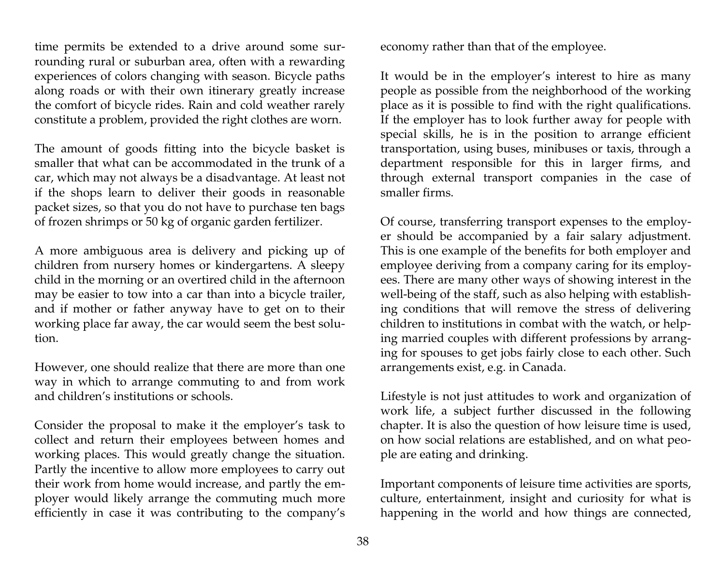time permits be extended to a drive around some surrounding rural or suburban area, often with a rewarding experiences of colors changing with season. Bicycle paths along roads or with their own itinerary greatly increase the comfort of bicycle rides. Rain and cold weather rarely constitute a problem, provided the right clothes are worn.

The amount of goods fitting into the bicycle basket is smaller that what can be accommodated in the trunk of a car, which may not always be a disadvantage. At least not if the shops learn to deliver their goods in reasonable packet sizes, so that you do not have to purchase ten bags of frozen shrimps or 50 kg of organic garden fertilizer.

A more ambiguous area is delivery and picking up of children from nursery homes or kindergartens. A sleepy child in the morning or an overtired child in the afternoon may be easier to tow into a car than into a bicycle trailer, and if mother or father anyway have to get on to their working place far away, the car would seem the best solution.

However, one should realize that there are more than one way in which to arrange commuting to and from work and children's institutions or schools.

Consider the proposal to make it the employer's task to collect and return their employees between homes and working places. This would greatly change the situation. Partly the incentive to allow more employees to carry out their work from home would increase, and partly the employer would likely arrange the commuting much more efficiently in case it was contributing to the company's

economy rather than that of the employee.

It would be in the employer's interest to hire as many people as possible from the neighborhood of the working place as it is possible to find with the right qualifications. If the employer has to look further away for people with special skills, he is in the position to arrange efficient transportation, using buses, minibuses or taxis, through a department responsible for this in larger firms, and through external transport companies in the case of smaller firms.

Of course, transferring transport expenses to the employer should be accompanied by a fair salary adjustment. This is one example of the benefits for both employer and employee deriving from a company caring for its employees. There are many other ways of showing interest in the well-being of the staff, such as also helping with establishing conditions that will remove the stress of delivering children to institutions in combat with the watch, or helping married couples with different professions by arranging for spouses to get jobs fairly close to each other. Such arrangements exist, e.g. in Canada.

Lifestyle is not just attitudes to work and organization of work life, a subject further discussed in the following chapter. It is also the question of how leisure time is used, on how social relations are established, and on what people are eating and drinking.

Important components of leisure time activities are sports, culture, entertainment, insight and curiosity for what is happening in the world and how things are connected,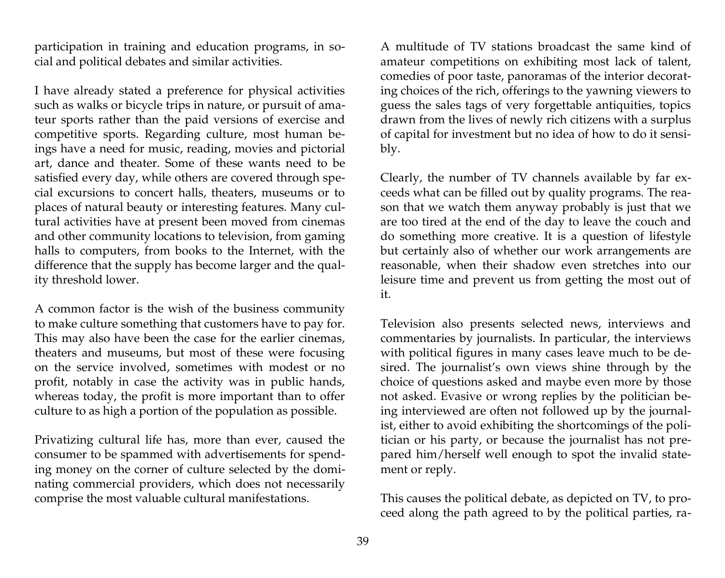participation in training and education programs, in social and political debates and similar activities.

I have already stated a preference for physical activities such as walks or bicycle trips in nature, or pursuit of amateur sports rather than the paid versions of exercise and competitive sports. Regarding culture, most human beings have a need for music, reading, movies and pictorial art, dance and theater. Some of these wants need to be satisfied every day, while others are covered through special excursions to concert halls, theaters, museums or to places of natural beauty or interesting features. Many cultural activities have at present been moved from cinemas and other community locations to television, from gaming halls to computers, from books to the Internet, with the difference that the supply has become larger and the quality threshold lower.

A common factor is the wish of the business community to make culture something that customers have to pay for. This may also have been the case for the earlier cinemas, theaters and museums, but most of these were focusing on the service involved, sometimes with modest or no profit, notably in case the activity was in public hands, whereas today, the profit is more important than to offer culture to as high a portion of the population as possible.

Privatizing cultural life has, more than ever, caused the consumer to be spammed with advertisements for spending money on the corner of culture selected by the dominating commercial providers, which does not necessarily comprise the most valuable cultural manifestations.

A multitude of TV stations broadcast the same kind of amateur competitions on exhibiting most lack of talent, comedies of poor taste, panoramas of the interior decorating choices of the rich, offerings to the yawning viewers to guess the sales tags of very forgettable antiquities, topics drawn from the lives of newly rich citizens with a surplus of capital for investment but no idea of how to do it sensibly.

Clearly, the number of TV channels available by far exceeds what can be filled out by quality programs. The reason that we watch them anyway probably is just that we are too tired at the end of the day to leave the couch and do something more creative. It is a question of lifestyle but certainly also of whether our work arrangements are reasonable, when their shadow even stretches into our leisure time and prevent us from getting the most out of it.

Television also presents selected news, interviews and commentaries by journalists. In particular, the interviews with political figures in many cases leave much to be desired. The journalist's own views shine through by the choice of questions asked and maybe even more by those not asked. Evasive or wrong replies by the politician being interviewed are often not followed up by the journalist, either to avoid exhibiting the shortcomings of the politician or his party, or because the journalist has not prepared him/herself well enough to spot the invalid statement or reply.

This causes the political debate, as depicted on TV, to proceed along the path agreed to by the political parties, ra-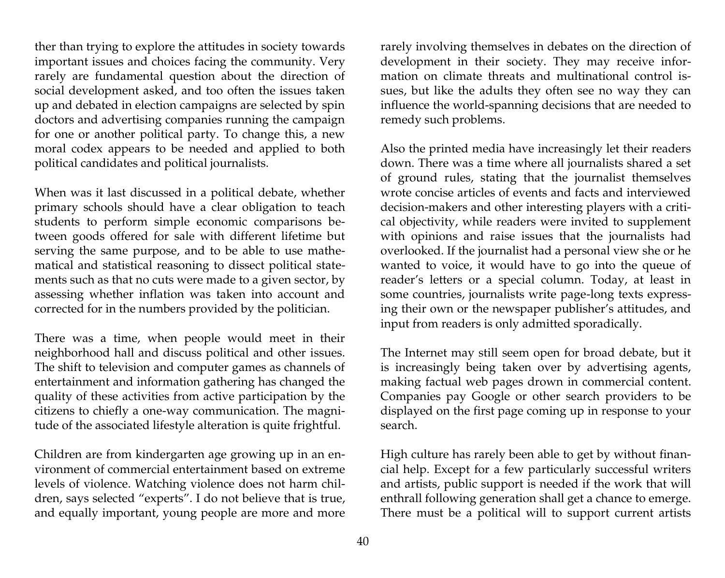ther than trying to explore the attitudes in society towards important issues and choices facing the community. Very rarely are fundamental question about the direction of social development asked, and too often the issues taken up and debated in election campaigns are selected by spin doctors and advertising companies running the campaign for one or another political party. To change this, a new moral codex appears to be needed and applied to both political candidates and political journalists.

When was it last discussed in a political debate, whether primary schools should have a clear obligation to teach students to perform simple economic comparisons between goods offered for sale with different lifetime but serving the same purpose, and to be able to use mathematical and statistical reasoning to dissect political statements such as that no cuts were made to a given sector, by assessing whether inflation was taken into account and corrected for in the numbers provided by the politician.

There was a time, when people would meet in their neighborhood hall and discuss political and other issues. The shift to television and computer games as channels of entertainment and information gathering has changed the quality of these activities from active participation by the citizens to chiefly a one-way communication. The magnitude of the associated lifestyle alteration is quite frightful.

Children are from kindergarten age growing up in an environment of commercial entertainment based on extreme levels of violence. Watching violence does not harm children, says selected "experts". I do not believe that is true, and equally important, young people are more and more

rarely involving themselves in debates on the direction of development in their society. They may receive information on climate threats and multinational control issues, but like the adults they often see no way they can influence the world-spanning decisions that are needed to remedy such problems.

Also the printed media have increasingly let their readers down. There was a time where all journalists shared a set of ground rules, stating that the journalist themselves wrote concise articles of events and facts and interviewed decision-makers and other interesting players with a critical objectivity, while readers were invited to supplement with opinions and raise issues that the journalists had overlooked. If the journalist had a personal view she or he wanted to voice, it would have to go into the queue of reader's letters or a special column. Today, at least in some countries, journalists write page-long texts expressing their own or the newspaper publisher's attitudes, and input from readers is only admitted sporadically.

The Internet may still seem open for broad debate, but it is increasingly being taken over by advertising agents, making factual web pages drown in commercial content. Companies pay Google or other search providers to be displayed on the first page coming up in response to your search.

High culture has rarely been able to get by without financial help. Except for a few particularly successful writers and artists, public support is needed if the work that will enthrall following generation shall get a chance to emerge. There must be a political will to support current artists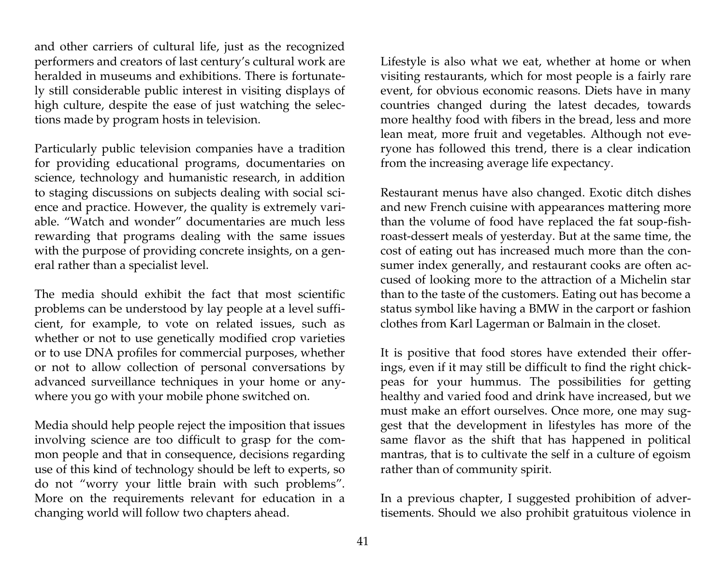and other carriers of cultural life, just as the recognized performers and creators of last century's cultural work are heralded in museums and exhibitions. There is fortunately still considerable public interest in visiting displays of high culture, despite the ease of just watching the selections made by program hosts in television.

Particularly public television companies have a tradition for providing educational programs, documentaries on science, technology and humanistic research, in addition to staging discussions on subjects dealing with social science and practice. However, the quality is extremely variable. "Watch and wonder" documentaries are much less rewarding that programs dealing with the same issues with the purpose of providing concrete insights, on a general rather than a specialist level.

The media should exhibit the fact that most scientific problems can be understood by lay people at a level sufficient, for example, to vote on related issues, such as whether or not to use genetically modified crop varieties or to use DNA profiles for commercial purposes, whether or not to allow collection of personal conversations by advanced surveillance techniques in your home or anywhere you go with your mobile phone switched on.

Media should help people reject the imposition that issues involving science are too difficult to grasp for the common people and that in consequence, decisions regarding use of this kind of technology should be left to experts, so do not "worry your little brain with such problems". More on the requirements relevant for education in a changing world will follow two chapters ahead.

Lifestyle is also what we eat, whether at home or when visiting restaurants, which for most people is a fairly rare event, for obvious economic reasons. Diets have in many countries changed during the latest decades, towards more healthy food with fibers in the bread, less and more lean meat, more fruit and vegetables. Although not everyone has followed this trend, there is a clear indication from the increasing average life expectancy.

Restaurant menus have also changed. Exotic ditch dishes and new French cuisine with appearances mattering more than the volume of food have replaced the fat soup-fishroast-dessert meals of yesterday. But at the same time, the cost of eating out has increased much more than the consumer index generally, and restaurant cooks are often accused of looking more to the attraction of a Michelin star than to the taste of the customers. Eating out has become a status symbol like having a BMW in the carport or fashion clothes from Karl Lagerman or Balmain in the closet.

It is positive that food stores have extended their offerings, even if it may still be difficult to find the right chickpeas for your hummus. The possibilities for getting healthy and varied food and drink have increased, but we must make an effort ourselves. Once more, one may suggest that the development in lifestyles has more of the same flavor as the shift that has happened in political mantras, that is to cultivate the self in a culture of egoism rather than of community spirit.

In a previous chapter, I suggested prohibition of advertisements. Should we also prohibit gratuitous violence in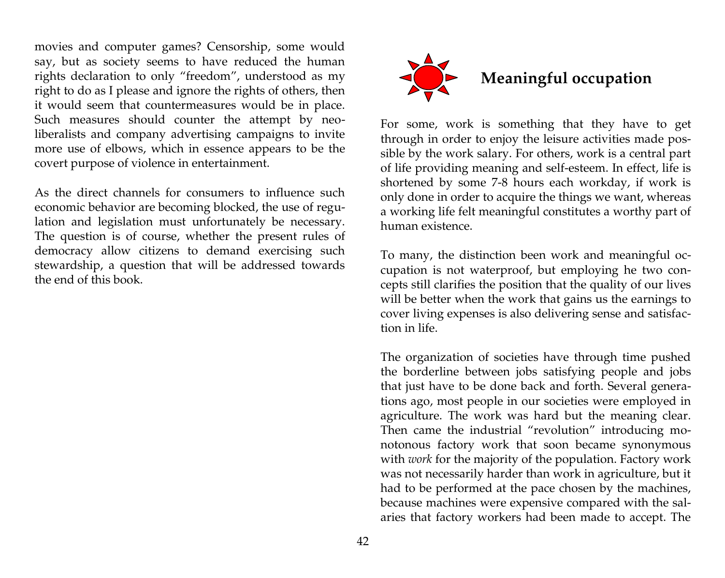movies and computer games? Censorship, some would say, but as society seems to have reduced the human rights declaration to only "freedom", understood as my right to do as I please and ignore the rights of others, then it would seem that countermeasures would be in place. Such measures should counter the attempt by neoliberalists and company advertising campaigns to invite more use of elbows, which in essence appears to be the covert purpose of violence in entertainment.

As the direct channels for consumers to influence such economic behavior are becoming blocked, the use of regulation and legislation must unfortunately be necessary. The question is of course, whether the present rules of democracy allow citizens to demand exercising such stewardship, a question that will be addressed towards the end of this book.



For some, work is something that they have to get through in order to enjoy the leisure activities made possible by the work salary. For others, work is a central part of life providing meaning and self-esteem. In effect, life is shortened by some 7-8 hours each workday, if work is only done in order to acquire the things we want, whereas a working life felt meaningful constitutes a worthy part of human existence.

To many, the distinction been work and meaningful occupation is not waterproof, but employing he two concepts still clarifies the position that the quality of our lives will be better when the work that gains us the earnings to cover living expenses is also delivering sense and satisfaction in life.

The organization of societies have through time pushed the borderline between jobs satisfying people and jobs that just have to be done back and forth. Several generations ago, most people in our societies were employed in agriculture. The work was hard but the meaning clear. Then came the industrial "revolution" introducing monotonous factory work that soon became synonymous with *work* for the majority of the population. Factory work was not necessarily harder than work in agriculture, but it had to be performed at the pace chosen by the machines, because machines were expensive compared with the salaries that factory workers had been made to accept. The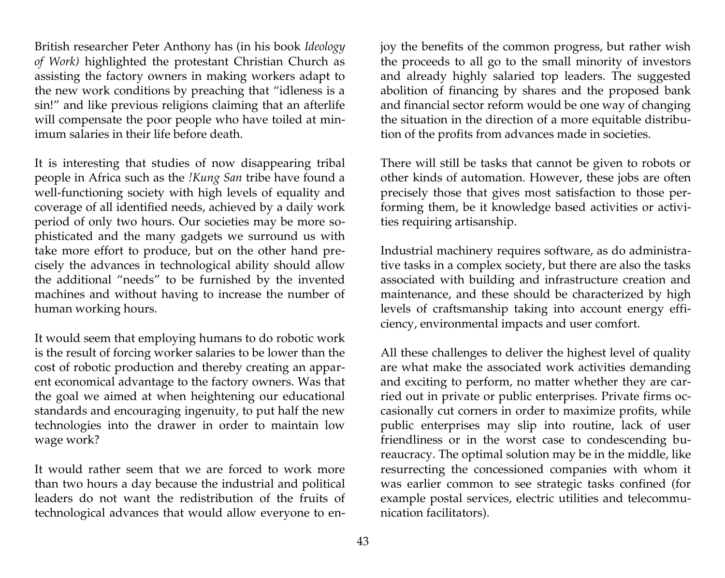British researcher Peter Anthony has (in his book *Ideology of Work)* highlighted the protestant Christian Church as assisting the factory owners in making workers adapt to the new work conditions by preaching that "idleness is a sin!" and like previous religions claiming that an afterlife will compensate the poor people who have toiled at minimum salaries in their life before death.

It is interesting that studies of now disappearing tribal people in Africa such as the *!Kung San* tribe have found a well-functioning society with high levels of equality and coverage of all identified needs, achieved by a daily work period of only two hours. Our societies may be more sophisticated and the many gadgets we surround us with take more effort to produce, but on the other hand precisely the advances in technological ability should allow the additional "needs" to be furnished by the invented machines and without having to increase the number of human working hours.

It would seem that employing humans to do robotic work is the result of forcing worker salaries to be lower than the cost of robotic production and thereby creating an apparent economical advantage to the factory owners. Was that the goal we aimed at when heightening our educational standards and encouraging ingenuity, to put half the new technologies into the drawer in order to maintain low wage work?

It would rather seem that we are forced to work more than two hours a day because the industrial and political leaders do not want the redistribution of the fruits of technological advances that would allow everyone to enjoy the benefits of the common progress, but rather wish the proceeds to all go to the small minority of investors and already highly salaried top leaders. The suggested abolition of financing by shares and the proposed bank and financial sector reform would be one way of changing the situation in the direction of a more equitable distribution of the profits from advances made in societies.

There will still be tasks that cannot be given to robots or other kinds of automation. However, these jobs are often precisely those that gives most satisfaction to those performing them, be it knowledge based activities or activities requiring artisanship.

Industrial machinery requires software, as do administrative tasks in a complex society, but there are also the tasks associated with building and infrastructure creation and maintenance, and these should be characterized by high levels of craftsmanship taking into account energy efficiency, environmental impacts and user comfort.

All these challenges to deliver the highest level of quality are what make the associated work activities demanding and exciting to perform, no matter whether they are carried out in private or public enterprises. Private firms occasionally cut corners in order to maximize profits, while public enterprises may slip into routine, lack of user friendliness or in the worst case to condescending bureaucracy. The optimal solution may be in the middle, like resurrecting the concessioned companies with whom it was earlier common to see strategic tasks confined (for example postal services, electric utilities and telecommunication facilitators).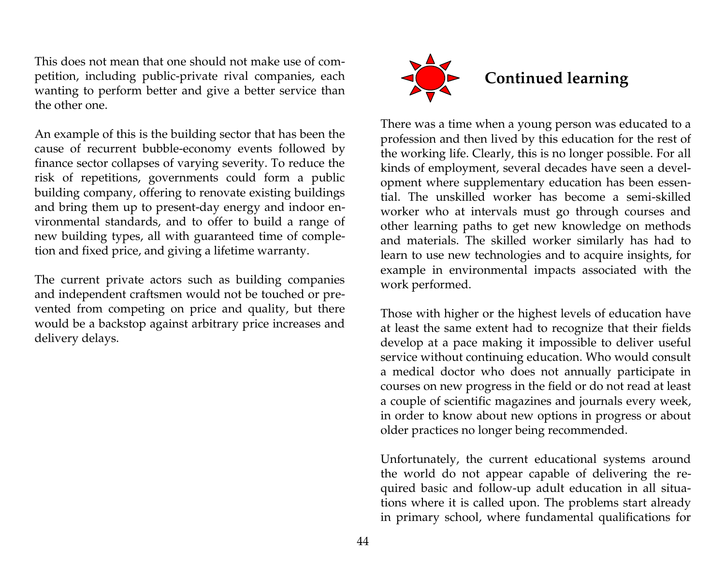This does not mean that one should not make use of competition, including public-private rival companies, each wanting to perform better and give a better service than the other one.

An example of this is the building sector that has been the cause of recurrent bubble-economy events followed by finance sector collapses of varying severity. To reduce the risk of repetitions, governments could form a public building company, offering to renovate existing buildings and bring them up to present-day energy and indoor environmental standards, and to offer to build a range of new building types, all with guaranteed time of completion and fixed price, and giving a lifetime warranty.

The current private actors such as building companies and independent craftsmen would not be touched or prevented from competing on price and quality, but there would be a backstop against arbitrary price increases and delivery delays.



There was a time when a young person was educated to a profession and then lived by this education for the rest of the working life. Clearly, this is no longer possible. For all kinds of employment, several decades have seen a development where supplementary education has been essential. The unskilled worker has become a semi-skilled worker who at intervals must go through courses and other learning paths to get new knowledge on methods and materials. The skilled worker similarly has had to learn to use new technologies and to acquire insights, for example in environmental impacts associated with the work performed.

Those with higher or the highest levels of education have at least the same extent had to recognize that their fields develop at a pace making it impossible to deliver useful service without continuing education. Who would consult a medical doctor who does not annually participate in courses on new progress in the field or do not read at least a couple of scientific magazines and journals every week, in order to know about new options in progress or about older practices no longer being recommended.

Unfortunately, the current educational systems around the world do not appear capable of delivering the required basic and follow-up adult education in all situations where it is called upon. The problems start already in primary school, where fundamental qualifications for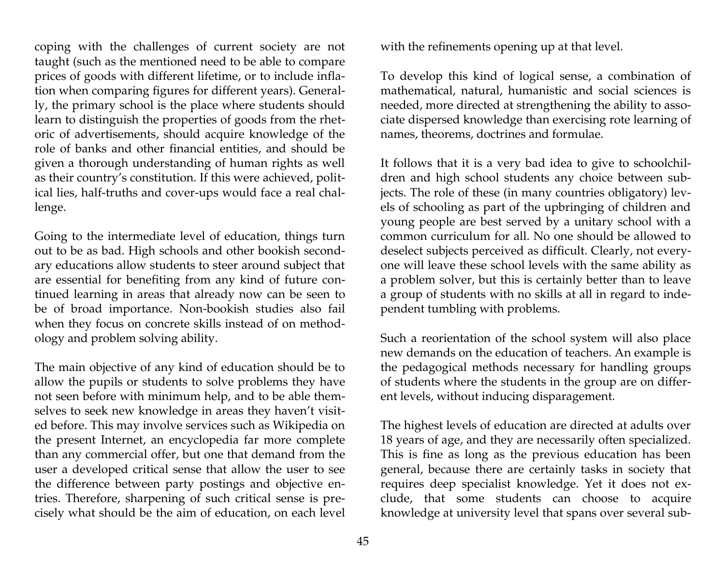coping with the challenges of current society are not taught (such as the mentioned need to be able to compare prices of goods with different lifetime, or to include inflation when comparing figures for different years). Generally, the primary school is the place where students should learn to distinguish the properties of goods from the rhetoric of advertisements, should acquire knowledge of the role of banks and other financial entities, and should be given a thorough understanding of human rights as well as their country's constitution. If this were achieved, political lies, half-truths and cover-ups would face a real challenge.

Going to the intermediate level of education, things turn out to be as bad. High schools and other bookish secondary educations allow students to steer around subject that are essential for benefiting from any kind of future continued learning in areas that already now can be seen to be of broad importance. Non-bookish studies also fail when they focus on concrete skills instead of on methodology and problem solving ability.

The main objective of any kind of education should be to allow the pupils or students to solve problems they have not seen before with minimum help, and to be able themselves to seek new knowledge in areas they haven't visited before. This may involve services such as Wikipedia on the present Internet, an encyclopedia far more complete than any commercial offer, but one that demand from the user a developed critical sense that allow the user to see the difference between party postings and objective entries. Therefore, sharpening of such critical sense is precisely what should be the aim of education, on each level with the refinements opening up at that level.

To develop this kind of logical sense, a combination of mathematical, natural, humanistic and social sciences is needed, more directed at strengthening the ability to associate dispersed knowledge than exercising rote learning of names, theorems, doctrines and formulae.

It follows that it is a very bad idea to give to schoolchildren and high school students any choice between subjects. The role of these (in many countries obligatory) levels of schooling as part of the upbringing of children and young people are best served by a unitary school with a common curriculum for all. No one should be allowed to deselect subjects perceived as difficult. Clearly, not everyone will leave these school levels with the same ability as a problem solver, but this is certainly better than to leave a group of students with no skills at all in regard to independent tumbling with problems.

Such a reorientation of the school system will also place new demands on the education of teachers. An example is the pedagogical methods necessary for handling groups of students where the students in the group are on different levels, without inducing disparagement.

The highest levels of education are directed at adults over 18 years of age, and they are necessarily often specialized. This is fine as long as the previous education has been general, because there are certainly tasks in society that requires deep specialist knowledge. Yet it does not exclude, that some students can choose to acquire knowledge at university level that spans over several sub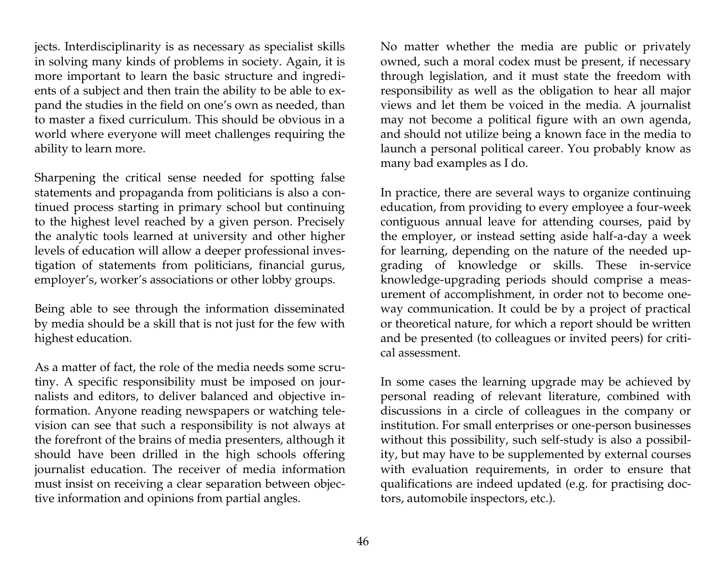jects. Interdisciplinarity is as necessary as specialist skills in solving many kinds of problems in society. Again, it is more important to learn the basic structure and ingredients of a subject and then train the ability to be able to expand the studies in the field on one's own as needed, than to master a fixed curriculum. This should be obvious in a world where everyone will meet challenges requiring the ability to learn more.

Sharpening the critical sense needed for spotting false statements and propaganda from politicians is also a continued process starting in primary school but continuing to the highest level reached by a given person. Precisely the analytic tools learned at university and other higher levels of education will allow a deeper professional investigation of statements from politicians, financial gurus, employer's, worker's associations or other lobby groups.

Being able to see through the information disseminated by media should be a skill that is not just for the few with highest education.

As a matter of fact, the role of the media needs some scrutiny. A specific responsibility must be imposed on journalists and editors, to deliver balanced and objective information. Anyone reading newspapers or watching television can see that such a responsibility is not always at the forefront of the brains of media presenters, although it should have been drilled in the high schools offering journalist education. The receiver of media information must insist on receiving a clear separation between objective information and opinions from partial angles.

No matter whether the media are public or privately owned, such a moral codex must be present, if necessary through legislation, and it must state the freedom with responsibility as well as the obligation to hear all major views and let them be voiced in the media. A journalist may not become a political figure with an own agenda, and should not utilize being a known face in the media to launch a personal political career. You probably know as many bad examples as I do.

In practice, there are several ways to organize continuing education, from providing to every employee a four-week contiguous annual leave for attending courses, paid by the employer, or instead setting aside half-a-day a week for learning, depending on the nature of the needed upgrading of knowledge or skills. These in-service knowledge-upgrading periods should comprise a measurement of accomplishment, in order not to become oneway communication. It could be by a project of practical or theoretical nature, for which a report should be written and be presented (to colleagues or invited peers) for critical assessment.

In some cases the learning upgrade may be achieved by personal reading of relevant literature, combined with discussions in a circle of colleagues in the company or institution. For small enterprises or one-person businesses without this possibility, such self-study is also a possibility, but may have to be supplemented by external courses with evaluation requirements, in order to ensure that qualifications are indeed updated (e.g. for practising doctors, automobile inspectors, etc.).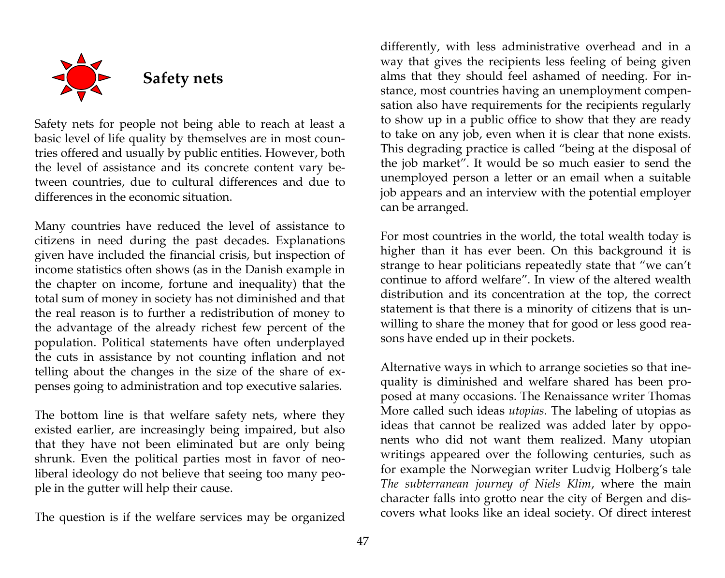

Safety nets for people not being able to reach at least a basic level of life quality by themselves are in most countries offered and usually by public entities. However, both the level of assistance and its concrete content vary between countries, due to cultural differences and due to differences in the economic situation.

Many countries have reduced the level of assistance to citizens in need during the past decades. Explanations given have included the financial crisis, but inspection of income statistics often shows (as in the Danish example in the chapter on income, fortune and inequality) that the total sum of money in society has not diminished and that the real reason is to further a redistribution of money to the advantage of the already richest few percent of the population. Political statements have often underplayed the cuts in assistance by not counting inflation and not telling about the changes in the size of the share of expenses going to administration and top executive salaries.

The bottom line is that welfare safety nets, where they existed earlier, are increasingly being impaired, but also that they have not been eliminated but are only being shrunk. Even the political parties most in favor of neoliberal ideology do not believe that seeing too many people in the gutter will help their cause.

The question is if the welfare services may be organized

differently, with less administrative overhead and in a way that gives the recipients less feeling of being given alms that they should feel ashamed of needing. For instance, most countries having an unemployment compensation also have requirements for the recipients regularly to show up in a public office to show that they are ready to take on any job, even when it is clear that none exists. This degrading practice is called "being at the disposal of the job market". It would be so much easier to send the unemployed person a letter or an email when a suitable job appears and an interview with the potential employer can be arranged.

For most countries in the world, the total wealth today is higher than it has ever been. On this background it is strange to hear politicians repeatedly state that "we can't continue to afford welfare". In view of the altered wealth distribution and its concentration at the top, the correct statement is that there is a minority of citizens that is unwilling to share the money that for good or less good reasons have ended up in their pockets.

Alternative ways in which to arrange societies so that inequality is diminished and welfare shared has been proposed at many occasions. The Renaissance writer Thomas More called such ideas *utopias.* The labeling of utopias as ideas that cannot be realized was added later by opponents who did not want them realized. Many utopian writings appeared over the following centuries, such as for example the Norwegian writer Ludvig Holberg's tale *The subterranean journey of Niels Klim*, where the main character falls into grotto near the city of Bergen and discovers what looks like an ideal society. Of direct interest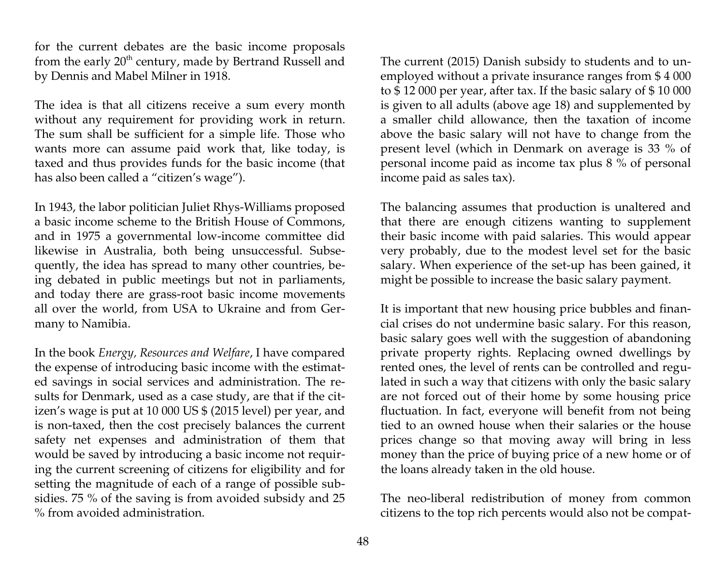for the current debates are the basic income proposals from the early  $20<sup>th</sup>$  century, made by Bertrand Russell and by Dennis and Mabel Milner in 1918.

The idea is that all citizens receive a sum every month without any requirement for providing work in return. The sum shall be sufficient for a simple life. Those who wants more can assume paid work that, like today, is taxed and thus provides funds for the basic income (that has also been called a "citizen's wage").

In 1943, the labor politician Juliet Rhys-Williams proposed a basic income scheme to the British House of Commons, and in 1975 a governmental low-income committee did likewise in Australia, both being unsuccessful. Subsequently, the idea has spread to many other countries, being debated in public meetings but not in parliaments, and today there are grass-root basic income movements all over the world, from USA to Ukraine and from Germany to Namibia.

In the book *Energy, Resources and Welfare*, I have compared the expense of introducing basic income with the estimated savings in social services and administration. The results for Denmark, used as a case study, are that if the citizen's wage is put at 10 000 US \$ (2015 level) per year, and is non-taxed, then the cost precisely balances the current safety net expenses and administration of them that would be saved by introducing a basic income not requiring the current screening of citizens for eligibility and for setting the magnitude of each of a range of possible subsidies. 75 % of the saving is from avoided subsidy and 25 % from avoided administration.

The current (2015) Danish subsidy to students and to unemployed without a private insurance ranges from \$ 4 000 to \$ 12 000 per year, after tax. If the basic salary of \$ 10 000 is given to all adults (above age 18) and supplemented by a smaller child allowance, then the taxation of income above the basic salary will not have to change from the present level (which in Denmark on average is 33 % of personal income paid as income tax plus 8 % of personal income paid as sales tax).

The balancing assumes that production is unaltered and that there are enough citizens wanting to supplement their basic income with paid salaries. This would appear very probably, due to the modest level set for the basic salary. When experience of the set-up has been gained, it might be possible to increase the basic salary payment.

It is important that new housing price bubbles and financial crises do not undermine basic salary. For this reason, basic salary goes well with the suggestion of abandoning private property rights. Replacing owned dwellings by rented ones, the level of rents can be controlled and regulated in such a way that citizens with only the basic salary are not forced out of their home by some housing price fluctuation. In fact, everyone will benefit from not being tied to an owned house when their salaries or the house prices change so that moving away will bring in less money than the price of buying price of a new home or of the loans already taken in the old house.

The neo-liberal redistribution of money from common citizens to the top rich percents would also not be compat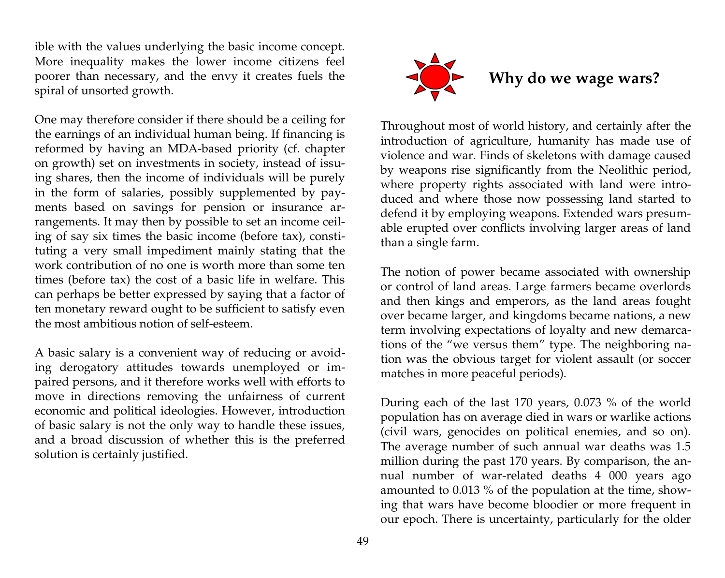ible with the values underlying the basic income concept. More inequality makes the lower income citizens feel poorer than necessary, and the envy it creates fuels the spiral of unsorted growth.

One may therefore consider if there should be a ceiling for the earnings of an individual human being. If financing is reformed by having an MDA-based priority (cf. chapter on growth) set on investments in society, instead of issuing shares, then the income of individuals will be purely in the form of salaries, possibly supplemented by payments based on savings for pension or insurance arrangements. It may then by possible to set an income ceiling of say six times the basic income (before tax), constituting a very small impediment mainly stating that the work contribution of no one is worth more than some ten times (before tax) the cost of a basic life in welfare. This can perhaps be better expressed by saying that a factor of ten monetary reward ought to be sufficient to satisfy even the most ambitious notion of self-esteem.

A basic salary is a convenient way of reducing or avoiding derogatory attitudes towards unemployed or impaired persons, and it therefore works well with efforts to move in directions removing the unfairness of current economic and political ideologies. However, introduction of basic salary is not the only way to handle these issues, and a broad discussion of whether this is the preferred solution is certainly justified.



Throughout most of world history, and certainly after the introduction of agriculture, humanity has made use of violence and war. Finds of skeletons with damage caused by weapons rise significantly from the Neolithic period, where property rights associated with land were introduced and where those now possessing land started to defend it by employing weapons. Extended wars presumable erupted over conflicts involving larger areas of land than a single farm.

The notion of power became associated with ownership or control of land areas. Large farmers became overlords and then kings and emperors, as the land areas fought over became larger, and kingdoms became nations, a new term involving expectations of loyalty and new demarcations of the "we versus them" type. The neighboring nation was the obvious target for violent assault (or soccer matches in more peaceful periods).

During each of the last 170 years, 0.073 % of the world population has on average died in wars or warlike actions (civil wars, genocides on political enemies, and so on). The average number of such annual war deaths was 1.5 million during the past 170 years. By comparison, the annual number of war-related deaths 4 000 years ago amounted to 0.013 % of the population at the time, showing that wars have become bloodier or more frequent in our epoch. There is uncertainty, particularly for the older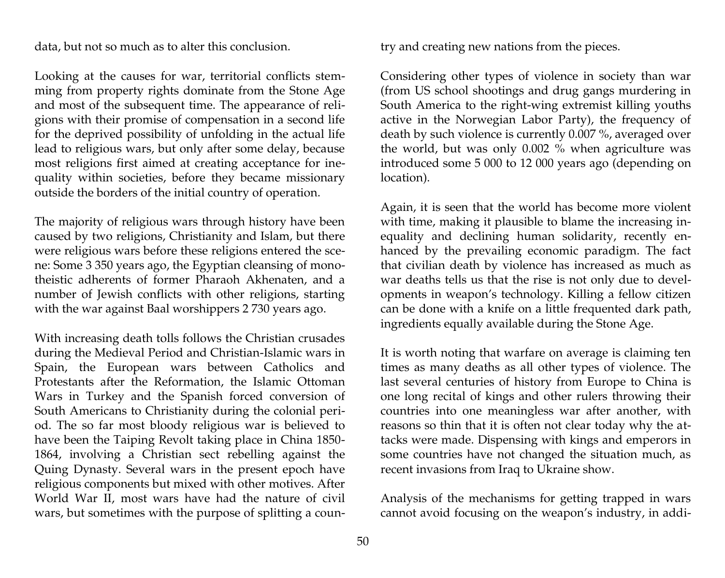data, but not so much as to alter this conclusion.

Looking at the causes for war, territorial conflicts stemming from property rights dominate from the Stone Age and most of the subsequent time. The appearance of religions with their promise of compensation in a second life for the deprived possibility of unfolding in the actual life lead to religious wars, but only after some delay, because most religions first aimed at creating acceptance for inequality within societies, before they became missionary outside the borders of the initial country of operation.

The majority of religious wars through history have been caused by two religions, Christianity and Islam, but there were religious wars before these religions entered the scene: Some 3 350 years ago, the Egyptian cleansing of monotheistic adherents of former Pharaoh Akhenaten, and a number of Jewish conflicts with other religions, starting with the war against Baal worshippers 2 730 years ago.

With increasing death tolls follows the Christian crusades during the Medieval Period and Christian-Islamic wars in Spain, the European wars between Catholics and Protestants after the Reformation, the Islamic Ottoman Wars in Turkey and the Spanish forced conversion of South Americans to Christianity during the colonial period. The so far most bloody religious war is believed to have been the Taiping Revolt taking place in China 1850- 1864, involving a Christian sect rebelling against the Quing Dynasty. Several wars in the present epoch have religious components but mixed with other motives. After World War II, most wars have had the nature of civil wars, but sometimes with the purpose of splitting a country and creating new nations from the pieces.

Considering other types of violence in society than war (from US school shootings and drug gangs murdering in South America to the right-wing extremist killing youths active in the Norwegian Labor Party), the frequency of death by such violence is currently 0.007 %, averaged over the world, but was only 0.002 % when agriculture was introduced some 5 000 to 12 000 years ago (depending on location).

Again, it is seen that the world has become more violent with time, making it plausible to blame the increasing inequality and declining human solidarity, recently enhanced by the prevailing economic paradigm. The fact that civilian death by violence has increased as much as war deaths tells us that the rise is not only due to developments in weapon's technology. Killing a fellow citizen can be done with a knife on a little frequented dark path, ingredients equally available during the Stone Age.

It is worth noting that warfare on average is claiming ten times as many deaths as all other types of violence. The last several centuries of history from Europe to China is one long recital of kings and other rulers throwing their countries into one meaningless war after another, with reasons so thin that it is often not clear today why the attacks were made. Dispensing with kings and emperors in some countries have not changed the situation much, as recent invasions from Iraq to Ukraine show.

Analysis of the mechanisms for getting trapped in wars cannot avoid focusing on the weapon's industry, in addi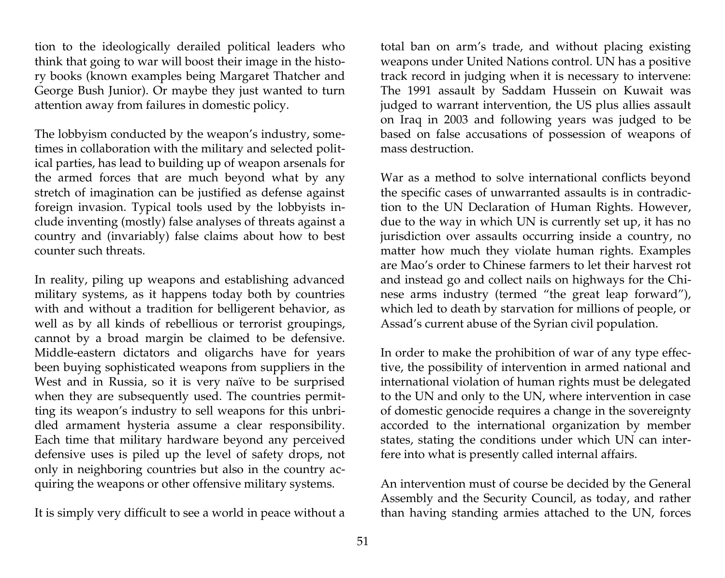tion to the ideologically derailed political leaders who think that going to war will boost their image in the history books (known examples being Margaret Thatcher and George Bush Junior). Or maybe they just wanted to turn attention away from failures in domestic policy.

The lobbyism conducted by the weapon's industry, sometimes in collaboration with the military and selected political parties, has lead to building up of weapon arsenals for the armed forces that are much beyond what by any stretch of imagination can be justified as defense against foreign invasion. Typical tools used by the lobbyists include inventing (mostly) false analyses of threats against a country and (invariably) false claims about how to best counter such threats.

In reality, piling up weapons and establishing advanced military systems, as it happens today both by countries with and without a tradition for belligerent behavior, as well as by all kinds of rebellious or terrorist groupings, cannot by a broad margin be claimed to be defensive. Middle-eastern dictators and oligarchs have for years been buying sophisticated weapons from suppliers in the West and in Russia, so it is very naïve to be surprised when they are subsequently used. The countries permitting its weapon's industry to sell weapons for this unbridled armament hysteria assume a clear responsibility. Each time that military hardware beyond any perceived defensive uses is piled up the level of safety drops, not only in neighboring countries but also in the country acquiring the weapons or other offensive military systems.

It is simply very difficult to see a world in peace without a

total ban on arm's trade, and without placing existing weapons under United Nations control. UN has a positive track record in judging when it is necessary to intervene: The 1991 assault by Saddam Hussein on Kuwait was judged to warrant intervention, the US plus allies assault on Iraq in 2003 and following years was judged to be based on false accusations of possession of weapons of mass destruction.

War as a method to solve international conflicts beyond the specific cases of unwarranted assaults is in contradiction to the UN Declaration of Human Rights. However, due to the way in which UN is currently set up, it has no jurisdiction over assaults occurring inside a country, no matter how much they violate human rights. Examples are Mao's order to Chinese farmers to let their harvest rot and instead go and collect nails on highways for the Chinese arms industry (termed "the great leap forward"), which led to death by starvation for millions of people, or Assad's current abuse of the Syrian civil population.

In order to make the prohibition of war of any type effective, the possibility of intervention in armed national and international violation of human rights must be delegated to the UN and only to the UN, where intervention in case of domestic genocide requires a change in the sovereignty accorded to the international organization by member states, stating the conditions under which UN can interfere into what is presently called internal affairs.

An intervention must of course be decided by the General Assembly and the Security Council, as today, and rather than having standing armies attached to the UN, forces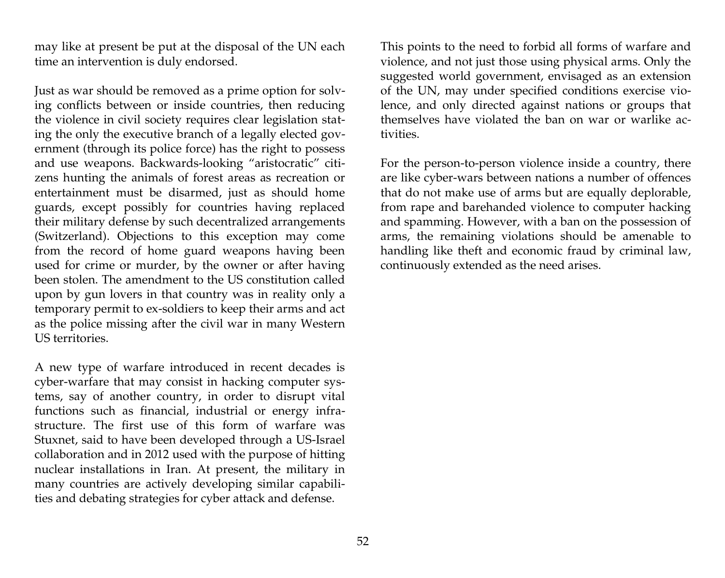may like at present be put at the disposal of the UN each time an intervention is duly endorsed.

Just as war should be removed as a prime option for solving conflicts between or inside countries, then reducing the violence in civil society requires clear legislation stating the only the executive branch of a legally elected government (through its police force) has the right to possess and use weapons. Backwards-looking "aristocratic" citizens hunting the animals of forest areas as recreation or entertainment must be disarmed, just as should home guards, except possibly for countries having replaced their military defense by such decentralized arrangements (Switzerland). Objections to this exception may come from the record of home guard weapons having been used for crime or murder, by the owner or after having been stolen. The amendment to the US constitution called upon by gun lovers in that country was in reality only a temporary permit to ex-soldiers to keep their arms and act as the police missing after the civil war in many Western US territories.

A new type of warfare introduced in recent decades is cyber-warfare that may consist in hacking computer systems, say of another country, in order to disrupt vital functions such as financial, industrial or energy infrastructure. The first use of this form of warfare was Stuxnet, said to have been developed through a US-Israel collaboration and in 2012 used with the purpose of hitting nuclear installations in Iran. At present, the military in many countries are actively developing similar capabilities and debating strategies for cyber attack and defense.

This points to the need to forbid all forms of warfare and violence, and not just those using physical arms. Only the suggested world government, envisaged as an extension of the UN, may under specified conditions exercise violence, and only directed against nations or groups that themselves have violated the ban on war or warlike activities.

For the person-to-person violence inside a country, there are like cyber-wars between nations a number of offences that do not make use of arms but are equally deplorable, from rape and barehanded violence to computer hacking and spamming. However, with a ban on the possession of arms, the remaining violations should be amenable to handling like theft and economic fraud by criminal law, continuously extended as the need arises.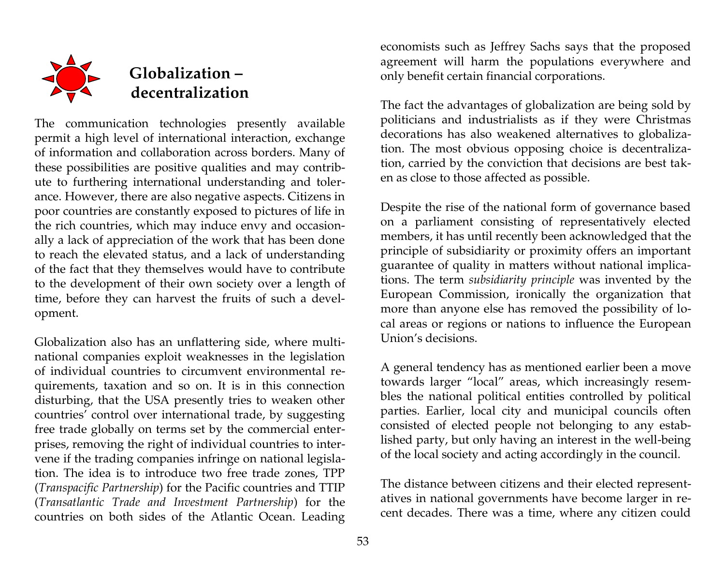

# **Globalization – decentralization**

The communication technologies presently available permit a high level of international interaction, exchange of information and collaboration across borders. Many of these possibilities are positive qualities and may contribute to furthering international understanding and tolerance. However, there are also negative aspects. Citizens in poor countries are constantly exposed to pictures of life in the rich countries, which may induce envy and occasionally a lack of appreciation of the work that has been done to reach the elevated status, and a lack of understanding of the fact that they themselves would have to contribute to the development of their own society over a length of time, before they can harvest the fruits of such a development.

Globalization also has an unflattering side, where multinational companies exploit weaknesses in the legislation of individual countries to circumvent environmental requirements, taxation and so on. It is in this connection disturbing, that the USA presently tries to weaken other countries' control over international trade, by suggesting free trade globally on terms set by the commercial enterprises, removing the right of individual countries to intervene if the trading companies infringe on national legislation. The idea is to introduce two free trade zones, TPP (*Transpacific Partnership*) for the Pacific countries and TTIP (*Transatlantic Trade and Investment Partnership*) for the countries on both sides of the Atlantic Ocean. Leading

economists such as Jeffrey Sachs says that the proposed agreement will harm the populations everywhere and only benefit certain financial corporations.

The fact the advantages of globalization are being sold by politicians and industrialists as if they were Christmas decorations has also weakened alternatives to globalization. The most obvious opposing choice is decentralization, carried by the conviction that decisions are best taken as close to those affected as possible.

Despite the rise of the national form of governance based on a parliament consisting of representatively elected members, it has until recently been acknowledged that the principle of subsidiarity or proximity offers an important guarantee of quality in matters without national implications. The term *subsidiarity principle* was invented by the European Commission, ironically the organization that more than anyone else has removed the possibility of local areas or regions or nations to influence the European Union's decisions.

A general tendency has as mentioned earlier been a move towards larger "local" areas, which increasingly resembles the national political entities controlled by political parties. Earlier, local city and municipal councils often consisted of elected people not belonging to any established party, but only having an interest in the well-being of the local society and acting accordingly in the council.

The distance between citizens and their elected representatives in national governments have become larger in recent decades. There was a time, where any citizen could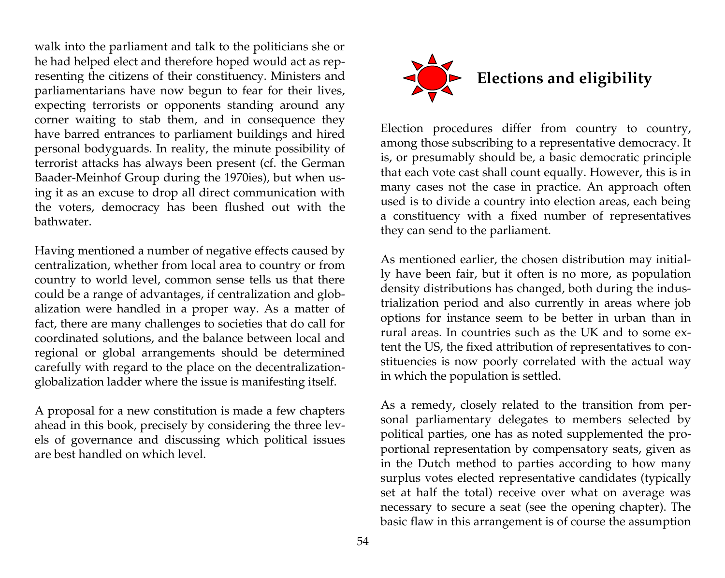walk into the parliament and talk to the politicians she or he had helped elect and therefore hoped would act as representing the citizens of their constituency. Ministers and parliamentarians have now begun to fear for their lives, expecting terrorists or opponents standing around any corner waiting to stab them, and in consequence they have barred entrances to parliament buildings and hired personal bodyguards. In reality, the minute possibility of terrorist attacks has always been present (cf. the German Baader-Meinhof Group during the 1970ies), but when using it as an excuse to drop all direct communication with the voters, democracy has been flushed out with the bathwater.

Having mentioned a number of negative effects caused by centralization, whether from local area to country or from country to world level, common sense tells us that there could be a range of advantages, if centralization and globalization were handled in a proper way. As a matter of fact, there are many challenges to societies that do call for coordinated solutions, and the balance between local and regional or global arrangements should be determined carefully with regard to the place on the decentralizationglobalization ladder where the issue is manifesting itself.

A proposal for a new constitution is made a few chapters ahead in this book, precisely by considering the three levels of governance and discussing which political issues are best handled on which level.



Election procedures differ from country to country, among those subscribing to a representative democracy. It is, or presumably should be, a basic democratic principle that each vote cast shall count equally. However, this is in many cases not the case in practice. An approach often used is to divide a country into election areas, each being a constituency with a fixed number of representatives they can send to the parliament.

As mentioned earlier, the chosen distribution may initially have been fair, but it often is no more, as population density distributions has changed, both during the industrialization period and also currently in areas where job options for instance seem to be better in urban than in rural areas. In countries such as the UK and to some extent the US, the fixed attribution of representatives to constituencies is now poorly correlated with the actual way in which the population is settled.

As a remedy, closely related to the transition from personal parliamentary delegates to members selected by political parties, one has as noted supplemented the proportional representation by compensatory seats, given as in the Dutch method to parties according to how many surplus votes elected representative candidates (typically set at half the total) receive over what on average was necessary to secure a seat (see the opening chapter). The basic flaw in this arrangement is of course the assumption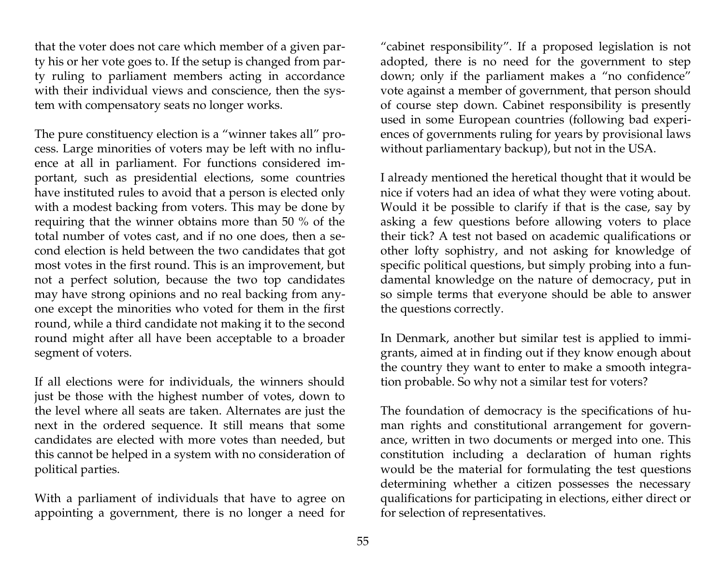that the voter does not care which member of a given party his or her vote goes to. If the setup is changed from party ruling to parliament members acting in accordance with their individual views and conscience, then the system with compensatory seats no longer works.

The pure constituency election is a "winner takes all" process. Large minorities of voters may be left with no influence at all in parliament. For functions considered important, such as presidential elections, some countries have instituted rules to avoid that a person is elected only with a modest backing from voters. This may be done by requiring that the winner obtains more than 50 % of the total number of votes cast, and if no one does, then a second election is held between the two candidates that got most votes in the first round. This is an improvement, but not a perfect solution, because the two top candidates may have strong opinions and no real backing from anyone except the minorities who voted for them in the first round, while a third candidate not making it to the second round might after all have been acceptable to a broader segment of voters.

If all elections were for individuals, the winners should just be those with the highest number of votes, down to the level where all seats are taken. Alternates are just the next in the ordered sequence. It still means that some candidates are elected with more votes than needed, but this cannot be helped in a system with no consideration of political parties.

With a parliament of individuals that have to agree on appointing a government, there is no longer a need for

"cabinet responsibility". If a proposed legislation is not adopted, there is no need for the government to step down; only if the parliament makes a "no confidence" vote against a member of government, that person should of course step down. Cabinet responsibility is presently used in some European countries (following bad experiences of governments ruling for years by provisional laws without parliamentary backup), but not in the USA.

I already mentioned the heretical thought that it would be nice if voters had an idea of what they were voting about. Would it be possible to clarify if that is the case, say by asking a few questions before allowing voters to place their tick? A test not based on academic qualifications or other lofty sophistry, and not asking for knowledge of specific political questions, but simply probing into a fundamental knowledge on the nature of democracy, put in so simple terms that everyone should be able to answer the questions correctly.

In Denmark, another but similar test is applied to immigrants, aimed at in finding out if they know enough about the country they want to enter to make a smooth integration probable. So why not a similar test for voters?

The foundation of democracy is the specifications of human rights and constitutional arrangement for governance, written in two documents or merged into one. This constitution including a declaration of human rights would be the material for formulating the test questions determining whether a citizen possesses the necessary qualifications for participating in elections, either direct or for selection of representatives.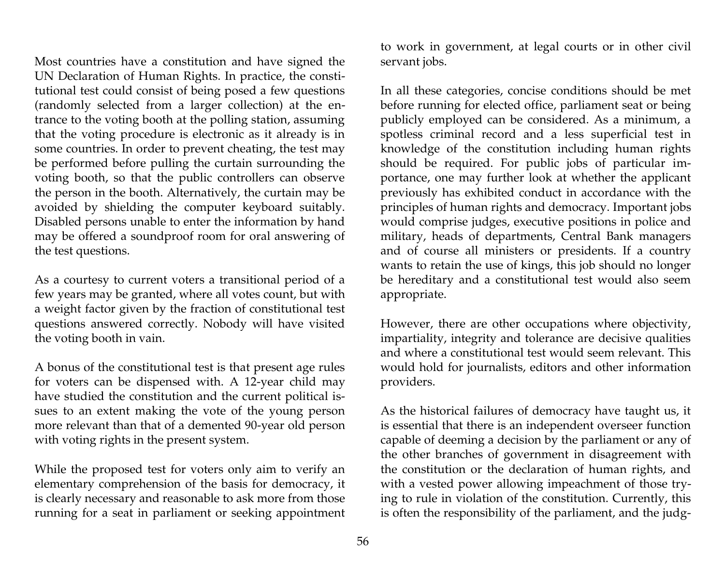Most countries have a constitution and have signed the UN Declaration of Human Rights. In practice, the constitutional test could consist of being posed a few questions (randomly selected from a larger collection) at the entrance to the voting booth at the polling station, assuming that the voting procedure is electronic as it already is in some countries. In order to prevent cheating, the test may be performed before pulling the curtain surrounding the voting booth, so that the public controllers can observe the person in the booth. Alternatively, the curtain may be avoided by shielding the computer keyboard suitably. Disabled persons unable to enter the information by hand may be offered a soundproof room for oral answering of the test questions.

As a courtesy to current voters a transitional period of a few years may be granted, where all votes count, but with a weight factor given by the fraction of constitutional test questions answered correctly. Nobody will have visited the voting booth in vain.

A bonus of the constitutional test is that present age rules for voters can be dispensed with. A 12-year child may have studied the constitution and the current political issues to an extent making the vote of the young person more relevant than that of a demented 90-year old person with voting rights in the present system.

While the proposed test for voters only aim to verify an elementary comprehension of the basis for democracy, it is clearly necessary and reasonable to ask more from those running for a seat in parliament or seeking appointment

to work in government, at legal courts or in other civil servant jobs.

In all these categories, concise conditions should be met before running for elected office, parliament seat or being publicly employed can be considered. As a minimum, a spotless criminal record and a less superficial test in knowledge of the constitution including human rights should be required. For public jobs of particular importance, one may further look at whether the applicant previously has exhibited conduct in accordance with the principles of human rights and democracy. Important jobs would comprise judges, executive positions in police and military, heads of departments, Central Bank managers and of course all ministers or presidents. If a country wants to retain the use of kings, this job should no longer be hereditary and a constitutional test would also seem appropriate.

However, there are other occupations where objectivity, impartiality, integrity and tolerance are decisive qualities and where a constitutional test would seem relevant. This would hold for journalists, editors and other information providers.

As the historical failures of democracy have taught us, it is essential that there is an independent overseer function capable of deeming a decision by the parliament or any of the other branches of government in disagreement with the constitution or the declaration of human rights, and with a vested power allowing impeachment of those trying to rule in violation of the constitution. Currently, this is often the responsibility of the parliament, and the judg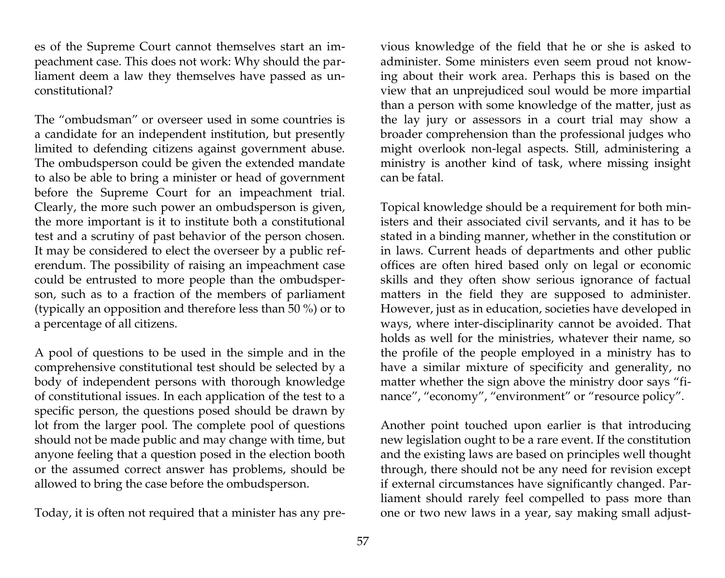es of the Supreme Court cannot themselves start an impeachment case. This does not work: Why should the parliament deem a law they themselves have passed as unconstitutional?

The "ombudsman" or overseer used in some countries is a candidate for an independent institution, but presently limited to defending citizens against government abuse. The ombudsperson could be given the extended mandate to also be able to bring a minister or head of government before the Supreme Court for an impeachment trial. Clearly, the more such power an ombudsperson is given, the more important is it to institute both a constitutional test and a scrutiny of past behavior of the person chosen. It may be considered to elect the overseer by a public referendum. The possibility of raising an impeachment case could be entrusted to more people than the ombudsperson, such as to a fraction of the members of parliament (typically an opposition and therefore less than 50 %) or to a percentage of all citizens.

A pool of questions to be used in the simple and in the comprehensive constitutional test should be selected by a body of independent persons with thorough knowledge of constitutional issues. In each application of the test to a specific person, the questions posed should be drawn by lot from the larger pool. The complete pool of questions should not be made public and may change with time, but anyone feeling that a question posed in the election booth or the assumed correct answer has problems, should be allowed to bring the case before the ombudsperson.

Today, it is often not required that a minister has any pre-

vious knowledge of the field that he or she is asked to administer. Some ministers even seem proud not knowing about their work area. Perhaps this is based on the view that an unprejudiced soul would be more impartial than a person with some knowledge of the matter, just as the lay jury or assessors in a court trial may show a broader comprehension than the professional judges who might overlook non-legal aspects. Still, administering a ministry is another kind of task, where missing insight can be fatal.

Topical knowledge should be a requirement for both ministers and their associated civil servants, and it has to be stated in a binding manner, whether in the constitution or in laws. Current heads of departments and other public offices are often hired based only on legal or economic skills and they often show serious ignorance of factual matters in the field they are supposed to administer. However, just as in education, societies have developed in ways, where inter-disciplinarity cannot be avoided. That holds as well for the ministries, whatever their name, so the profile of the people employed in a ministry has to have a similar mixture of specificity and generality, no matter whether the sign above the ministry door says "finance", "economy", "environment" or "resource policy".

Another point touched upon earlier is that introducing new legislation ought to be a rare event. If the constitution and the existing laws are based on principles well thought through, there should not be any need for revision except if external circumstances have significantly changed. Parliament should rarely feel compelled to pass more than one or two new laws in a year, say making small adjust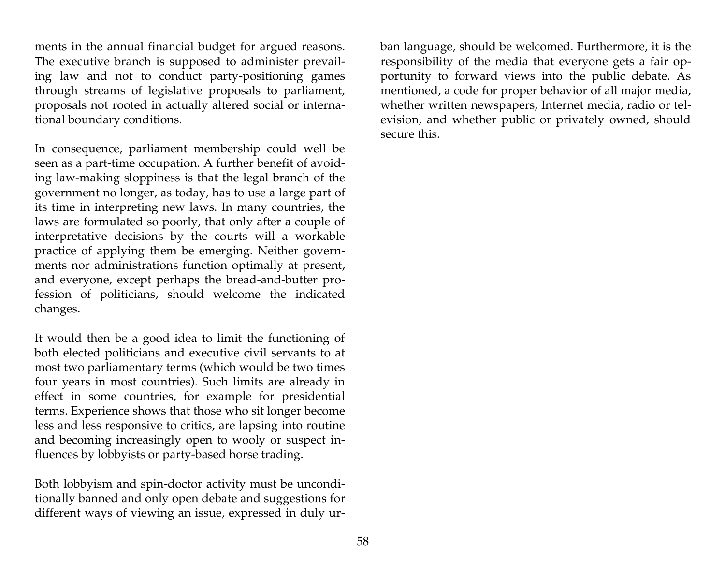ments in the annual financial budget for argued reasons. The executive branch is supposed to administer prevailing law and not to conduct party-positioning games through streams of legislative proposals to parliament, proposals not rooted in actually altered social or international boundary conditions.

In consequence, parliament membership could well be seen as a part-time occupation. A further benefit of avoiding law-making sloppiness is that the legal branch of the government no longer, as today, has to use a large part of its time in interpreting new laws. In many countries, the laws are formulated so poorly, that only after a couple of interpretative decisions by the courts will a workable practice of applying them be emerging. Neither governments nor administrations function optimally at present, and everyone, except perhaps the bread-and-butter profession of politicians, should welcome the indicated changes.

It would then be a good idea to limit the functioning of both elected politicians and executive civil servants to at most two parliamentary terms (which would be two times four years in most countries). Such limits are already in effect in some countries, for example for presidential terms. Experience shows that those who sit longer become less and less responsive to critics, are lapsing into routine and becoming increasingly open to wooly or suspect influences by lobbyists or party-based horse trading.

Both lobbyism and spin-doctor activity must be unconditionally banned and only open debate and suggestions for different ways of viewing an issue, expressed in duly urban language, should be welcomed. Furthermore, it is the responsibility of the media that everyone gets a fair opportunity to forward views into the public debate. As mentioned, a code for proper behavior of all major media, whether written newspapers, Internet media, radio or television, and whether public or privately owned, should secure this.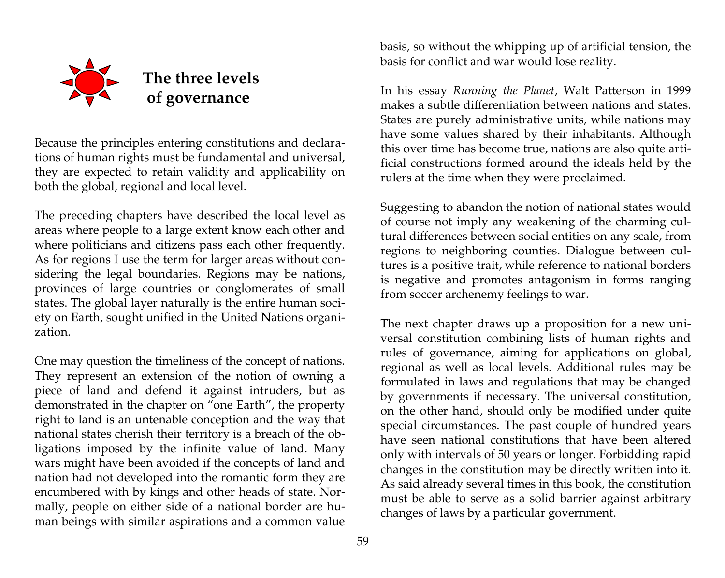

Because the principles entering constitutions and declarations of human rights must be fundamental and universal, they are expected to retain validity and applicability on both the global, regional and local level.

The preceding chapters have described the local level as areas where people to a large extent know each other and where politicians and citizens pass each other frequently. As for regions I use the term for larger areas without considering the legal boundaries. Regions may be nations, provinces of large countries or conglomerates of small states. The global layer naturally is the entire human society on Earth, sought unified in the United Nations organization.

One may question the timeliness of the concept of nations. They represent an extension of the notion of owning a piece of land and defend it against intruders, but as demonstrated in the chapter on "one Earth", the property right to land is an untenable conception and the way that national states cherish their territory is a breach of the obligations imposed by the infinite value of land. Many wars might have been avoided if the concepts of land and nation had not developed into the romantic form they are encumbered with by kings and other heads of state. Normally, people on either side of a national border are human beings with similar aspirations and a common value

basis, so without the whipping up of artificial tension, the basis for conflict and war would lose reality.

In his essay *Running the Planet*, Walt Patterson in 1999 makes a subtle differentiation between nations and states. States are purely administrative units, while nations may have some values shared by their inhabitants. Although this over time has become true, nations are also quite artificial constructions formed around the ideals held by the rulers at the time when they were proclaimed.

Suggesting to abandon the notion of national states would of course not imply any weakening of the charming cultural differences between social entities on any scale, from regions to neighboring counties. Dialogue between cultures is a positive trait, while reference to national borders is negative and promotes antagonism in forms ranging from soccer archenemy feelings to war.

The next chapter draws up a proposition for a new universal constitution combining lists of human rights and rules of governance, aiming for applications on global, regional as well as local levels. Additional rules may be formulated in laws and regulations that may be changed by governments if necessary. The universal constitution, on the other hand, should only be modified under quite special circumstances. The past couple of hundred years have seen national constitutions that have been altered only with intervals of 50 years or longer. Forbidding rapid changes in the constitution may be directly written into it. As said already several times in this book, the constitution must be able to serve as a solid barrier against arbitrary changes of laws by a particular government.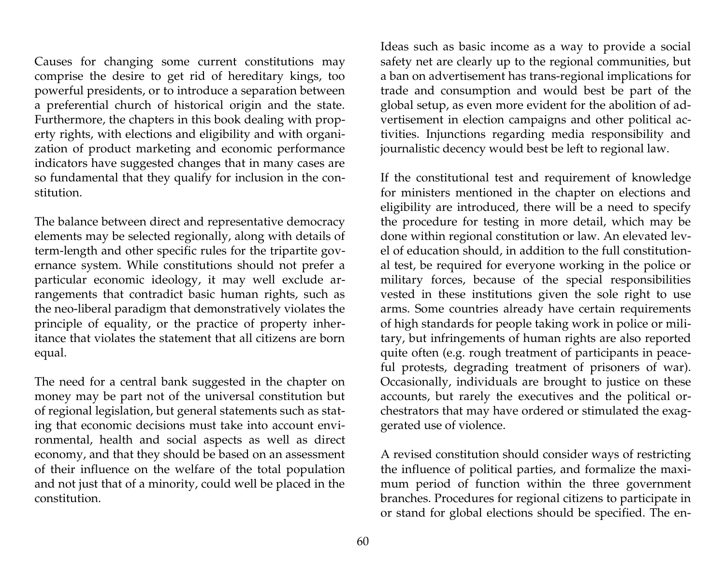Causes for changing some current constitutions may comprise the desire to get rid of hereditary kings, too powerful presidents, or to introduce a separation between a preferential church of historical origin and the state. Furthermore, the chapters in this book dealing with property rights, with elections and eligibility and with organization of product marketing and economic performance indicators have suggested changes that in many cases are so fundamental that they qualify for inclusion in the constitution.

The balance between direct and representative democracy elements may be selected regionally, along with details of term-length and other specific rules for the tripartite governance system. While constitutions should not prefer a particular economic ideology, it may well exclude arrangements that contradict basic human rights, such as the neo-liberal paradigm that demonstratively violates the principle of equality, or the practice of property inheritance that violates the statement that all citizens are born equal.

The need for a central bank suggested in the chapter on money may be part not of the universal constitution but of regional legislation, but general statements such as stating that economic decisions must take into account environmental, health and social aspects as well as direct economy, and that they should be based on an assessment of their influence on the welfare of the total population and not just that of a minority, could well be placed in the constitution.

Ideas such as basic income as a way to provide a social safety net are clearly up to the regional communities, but a ban on advertisement has trans-regional implications for trade and consumption and would best be part of the global setup, as even more evident for the abolition of advertisement in election campaigns and other political activities. Injunctions regarding media responsibility and journalistic decency would best be left to regional law.

If the constitutional test and requirement of knowledge for ministers mentioned in the chapter on elections and eligibility are introduced, there will be a need to specify the procedure for testing in more detail, which may be done within regional constitution or law. An elevated level of education should, in addition to the full constitutional test, be required for everyone working in the police or military forces, because of the special responsibilities vested in these institutions given the sole right to use arms. Some countries already have certain requirements of high standards for people taking work in police or military, but infringements of human rights are also reported quite often (e.g. rough treatment of participants in peaceful protests, degrading treatment of prisoners of war). Occasionally, individuals are brought to justice on these accounts, but rarely the executives and the political orchestrators that may have ordered or stimulated the exaggerated use of violence.

A revised constitution should consider ways of restricting the influence of political parties, and formalize the maximum period of function within the three government branches. Procedures for regional citizens to participate in or stand for global elections should be specified. The en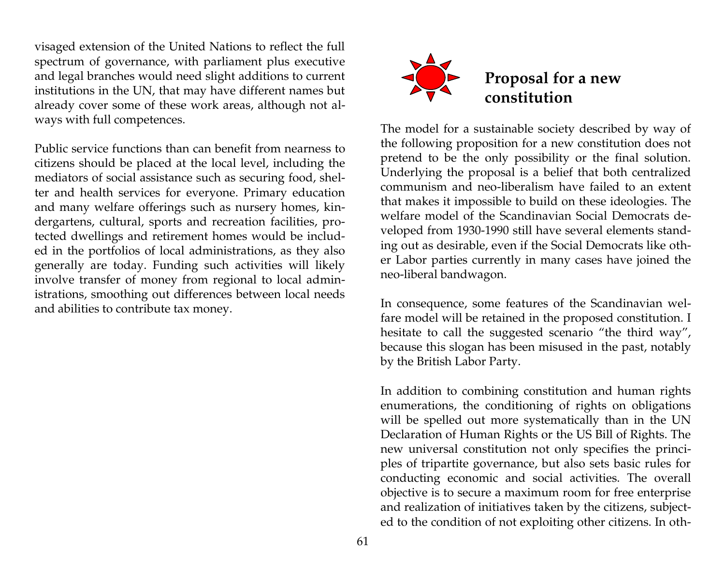visaged extension of the United Nations to reflect the full spectrum of governance, with parliament plus executive and legal branches would need slight additions to current institutions in the UN, that may have different names but already cover some of these work areas, although not always with full competences.

Public service functions than can benefit from nearness to citizens should be placed at the local level, including the mediators of social assistance such as securing food, shelter and health services for everyone. Primary education and many welfare offerings such as nursery homes, kindergartens, cultural, sports and recreation facilities, protected dwellings and retirement homes would be included in the portfolios of local administrations, as they also generally are today. Funding such activities will likely involve transfer of money from regional to local administrations, smoothing out differences between local needs and abilities to contribute tax money.



The model for a sustainable society described by way of the following proposition for a new constitution does not pretend to be the only possibility or the final solution. Underlying the proposal is a belief that both centralized communism and neo-liberalism have failed to an extent that makes it impossible to build on these ideologies. The welfare model of the Scandinavian Social Democrats developed from 1930-1990 still have several elements standing out as desirable, even if the Social Democrats like other Labor parties currently in many cases have joined the neo-liberal bandwagon.

In consequence, some features of the Scandinavian welfare model will be retained in the proposed constitution. I hesitate to call the suggested scenario "the third way", because this slogan has been misused in the past, notably by the British Labor Party.

In addition to combining constitution and human rights enumerations, the conditioning of rights on obligations will be spelled out more systematically than in the UN Declaration of Human Rights or the US Bill of Rights. The new universal constitution not only specifies the principles of tripartite governance, but also sets basic rules for conducting economic and social activities. The overall objective is to secure a maximum room for free enterprise and realization of initiatives taken by the citizens, subjected to the condition of not exploiting other citizens. In oth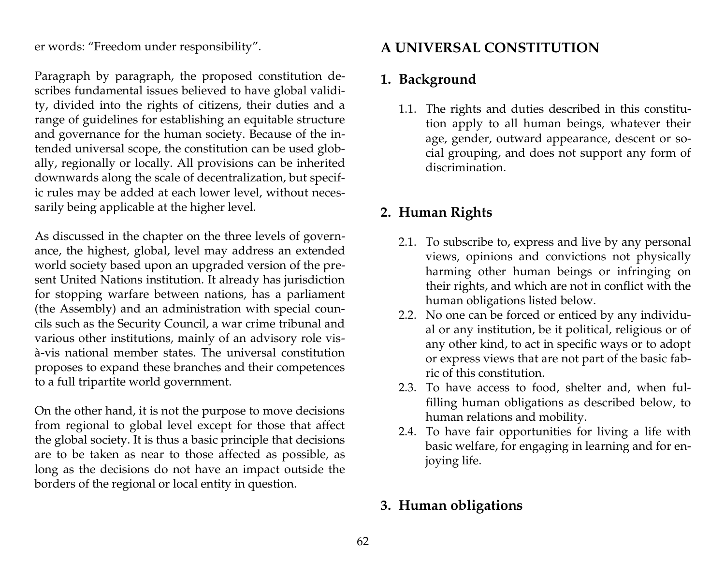er words: "Freedom under responsibility".

Paragraph by paragraph, the proposed constitution describes fundamental issues believed to have global validity, divided into the rights of citizens, their duties and a range of guidelines for establishing an equitable structure and governance for the human society. Because of the intended universal scope, the constitution can be used globally, regionally or locally. All provisions can be inherited downwards along the scale of decentralization, but specific rules may be added at each lower level, without necessarily being applicable at the higher level.

As discussed in the chapter on the three levels of governance, the highest, global, level may address an extended world society based upon an upgraded version of the present United Nations institution. It already has jurisdiction for stopping warfare between nations, has a parliament (the Assembly) and an administration with special councils such as the Security Council, a war crime tribunal and various other institutions, mainly of an advisory role visà-vis national member states. The universal constitution proposes to expand these branches and their competences to a full tripartite world government.

On the other hand, it is not the purpose to move decisions from regional to global level except for those that affect the global society. It is thus a basic principle that decisions are to be taken as near to those affected as possible, as long as the decisions do not have an impact outside the borders of the regional or local entity in question.

# **A UNIVERSAL CONSTITUTION**

# **1. Background**

1.1. The rights and duties described in this constitution apply to all human beings, whatever their age, gender, outward appearance, descent or social grouping, and does not support any form of discrimination.

# **2. Human Rights**

- 2.1. To subscribe to, express and live by any personal views, opinions and convictions not physically harming other human beings or infringing on their rights, and which are not in conflict with the human obligations listed below.
- 2.2. No one can be forced or enticed by any individual or any institution, be it political, religious or of any other kind, to act in specific ways or to adopt or express views that are not part of the basic fabric of this constitution.
- 2.3. To have access to food, shelter and, when fulfilling human obligations as described below, to human relations and mobility.
- 2.4. To have fair opportunities for living a life with basic welfare, for engaging in learning and for enjoying life.

# **3. Human obligations**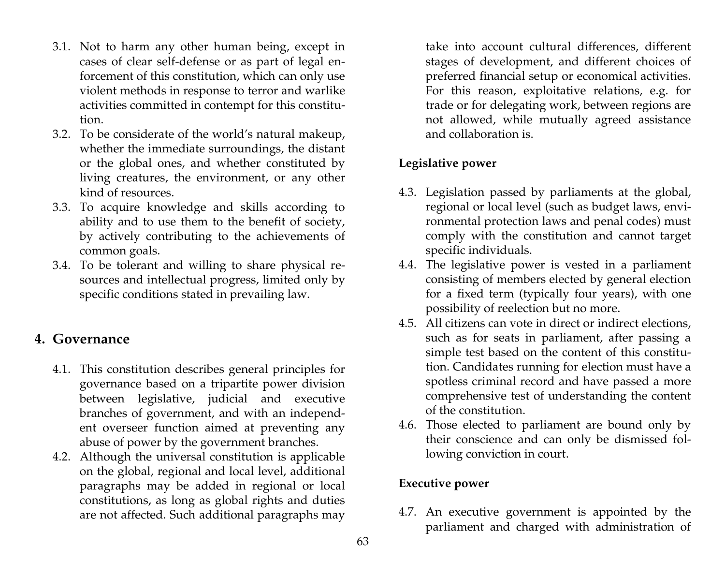- 3.1. Not to harm any other human being, except in cases of clear self-defense or as part of legal enforcement of this constitution, which can only use violent methods in response to terror and warlike activities committed in contempt for this constitution.
- 3.2. To be considerate of the world's natural makeup, whether the immediate surroundings, the distant or the global ones, and whether constituted by living creatures, the environment, or any other kind of resources.
- 3.3. To acquire knowledge and skills according to ability and to use them to the benefit of society, by actively contributing to the achievements of common goals.
- 3.4. To be tolerant and willing to share physical resources and intellectual progress, limited only by specific conditions stated in prevailing law.

### **4. Governance**

- 4.1. This constitution describes general principles for governance based on a tripartite power division between legislative, judicial and executive branches of government, and with an independent overseer function aimed at preventing any abuse of power by the government branches.
- 4.2. Although the universal constitution is applicable on the global, regional and local level, additional paragraphs may be added in regional or local constitutions, as long as global rights and duties are not affected. Such additional paragraphs may

take into account cultural differences, different stages of development, and different choices of preferred financial setup or economical activities. For this reason, exploitative relations, e.g. for trade or for delegating work, between regions are not allowed, while mutually agreed assistance and collaboration is.

### **Legislative power**

- 4.3. Legislation passed by parliaments at the global, regional or local level (such as budget laws, environmental protection laws and penal codes) must comply with the constitution and cannot target specific individuals.
- 4.4. The legislative power is vested in a parliament consisting of members elected by general election for a fixed term (typically four years), with one possibility of reelection but no more.
- 4.5. All citizens can vote in direct or indirect elections, such as for seats in parliament, after passing a simple test based on the content of this constitution. Candidates running for election must have a spotless criminal record and have passed a more comprehensive test of understanding the content of the constitution.
- 4.6. Those elected to parliament are bound only by their conscience and can only be dismissed following conviction in court.

#### **Executive power**

4.7. An executive government is appointed by the parliament and charged with administration of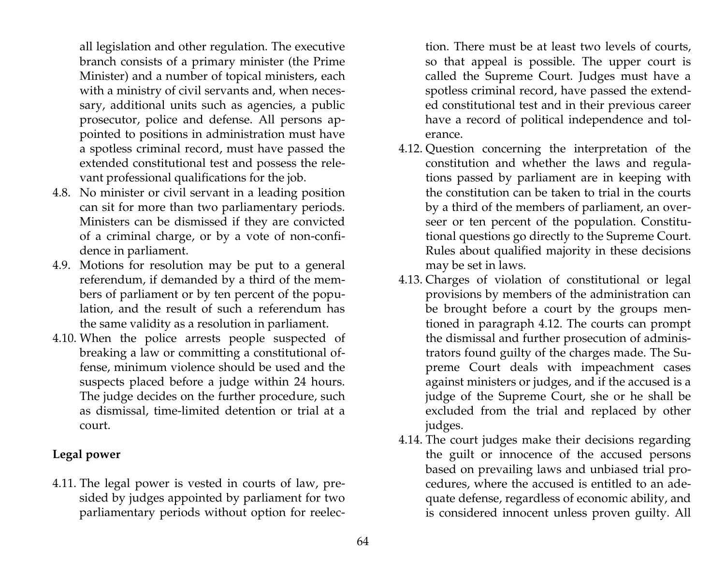all legislation and other regulation. The executive branch consists of a primary minister (the Prime Minister) and a number of topical ministers, each with a ministry of civil servants and, when necessary, additional units such as agencies, a public prosecutor, police and defense. All persons appointed to positions in administration must have a spotless criminal record, must have passed the extended constitutional test and possess the relevant professional qualifications for the job.

- 4.8. No minister or civil servant in a leading position can sit for more than two parliamentary periods. Ministers can be dismissed if they are convicted of a criminal charge, or by a vote of non-confidence in parliament.
- 4.9. Motions for resolution may be put to a general referendum, if demanded by a third of the members of parliament or by ten percent of the population, and the result of such a referendum has the same validity as a resolution in parliament.
- 4.10. When the police arrests people suspected of breaking a law or committing a constitutional offense, minimum violence should be used and the suspects placed before a judge within 24 hours. The judge decides on the further procedure, such as dismissal, time-limited detention or trial at a court.

### **Legal power**

4.11. The legal power is vested in courts of law, presided by judges appointed by parliament for two parliamentary periods without option for reelection. There must be at least two levels of courts, so that appeal is possible. The upper court is called the Supreme Court. Judges must have a spotless criminal record, have passed the extended constitutional test and in their previous career have a record of political independence and tolerance.

- 4.12. Question concerning the interpretation of the constitution and whether the laws and regulations passed by parliament are in keeping with the constitution can be taken to trial in the courts by a third of the members of parliament, an overseer or ten percent of the population. Constitutional questions go directly to the Supreme Court. Rules about qualified majority in these decisions may be set in laws.
- 4.13. Charges of violation of constitutional or legal provisions by members of the administration can be brought before a court by the groups mentioned in paragraph 4.12. The courts can prompt the dismissal and further prosecution of administrators found guilty of the charges made. The Supreme Court deals with impeachment cases against ministers or judges, and if the accused is a judge of the Supreme Court, she or he shall be excluded from the trial and replaced by other judges.
- 4.14. The court judges make their decisions regarding the guilt or innocence of the accused persons based on prevailing laws and unbiased trial procedures, where the accused is entitled to an adequate defense, regardless of economic ability, and is considered innocent unless proven guilty. All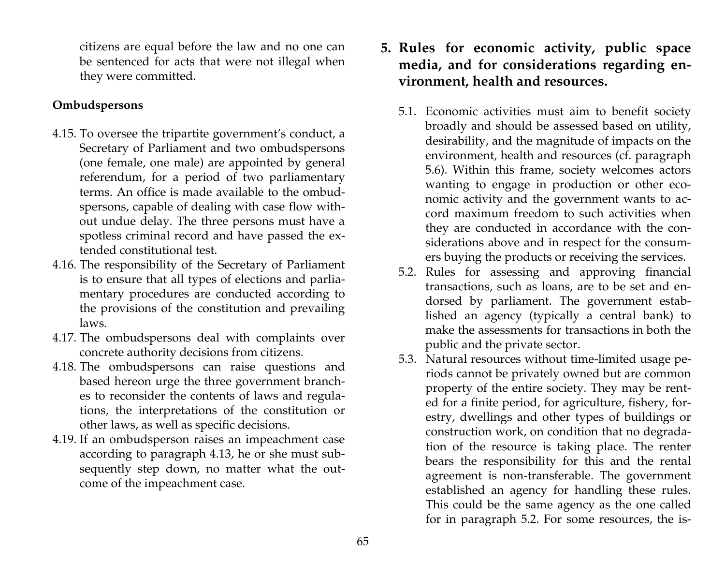citizens are equal before the law and no one can be sentenced for acts that were not illegal when they were committed.

### **Ombudspersons**

- 4.15. To oversee the tripartite government's conduct, a Secretary of Parliament and two ombudspersons (one female, one male) are appointed by general referendum, for a period of two parliamentary terms. An office is made available to the ombudspersons, capable of dealing with case flow without undue delay. The three persons must have a spotless criminal record and have passed the extended constitutional test.
- 4.16. The responsibility of the Secretary of Parliament is to ensure that all types of elections and parliamentary procedures are conducted according to the provisions of the constitution and prevailing laws.
- 4.17. The ombudspersons deal with complaints over concrete authority decisions from citizens.
- 4.18. The ombudspersons can raise questions and based hereon urge the three government branches to reconsider the contents of laws and regulations, the interpretations of the constitution or other laws, as well as specific decisions.
- 4.19. If an ombudsperson raises an impeachment case according to paragraph 4.13, he or she must subsequently step down, no matter what the outcome of the impeachment case.
- **5. Rules for economic activity, public space media, and for considerations regarding environment, health and resources.** 
	- 5.1. Economic activities must aim to benefit society broadly and should be assessed based on utility, desirability, and the magnitude of impacts on the environment, health and resources (cf. paragraph 5.6). Within this frame, society welcomes actors wanting to engage in production or other economic activity and the government wants to accord maximum freedom to such activities when they are conducted in accordance with the considerations above and in respect for the consumers buying the products or receiving the services.
	- 5.2. Rules for assessing and approving financial transactions, such as loans, are to be set and endorsed by parliament. The government established an agency (typically a central bank) to make the assessments for transactions in both the public and the private sector.
	- 5.3. Natural resources without time-limited usage periods cannot be privately owned but are common property of the entire society. They may be rented for a finite period, for agriculture, fishery, forestry, dwellings and other types of buildings or construction work, on condition that no degradation of the resource is taking place. The renter bears the responsibility for this and the rental agreement is non-transferable. The government established an agency for handling these rules. This could be the same agency as the one called for in paragraph 5.2. For some resources, the is-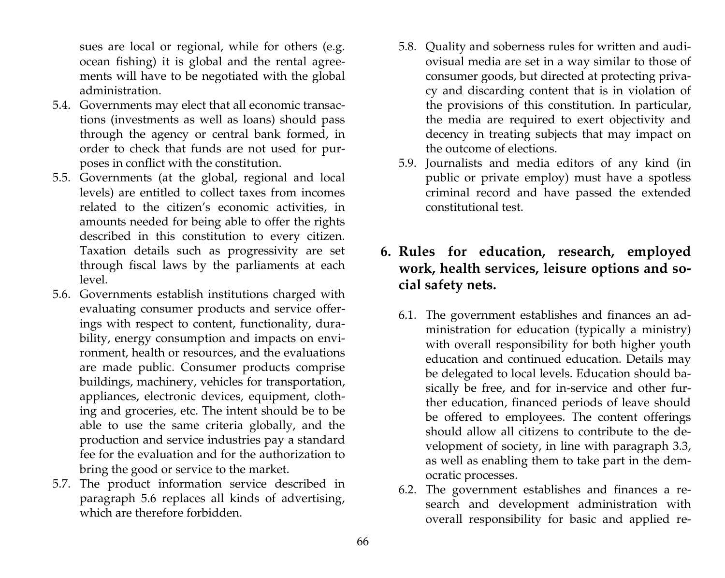sues are local or regional, while for others (e.g. ocean fishing) it is global and the rental agreements will have to be negotiated with the global administration.

- 5.4. Governments may elect that all economic transactions (investments as well as loans) should pass through the agency or central bank formed, in order to check that funds are not used for purposes in conflict with the constitution.
- 5.5. Governments (at the global, regional and local levels) are entitled to collect taxes from incomes related to the citizen's economic activities, in amounts needed for being able to offer the rights described in this constitution to every citizen. Taxation details such as progressivity are set through fiscal laws by the parliaments at each level.
- 5.6. Governments establish institutions charged with evaluating consumer products and service offerings with respect to content, functionality, durability, energy consumption and impacts on environment, health or resources, and the evaluations are made public. Consumer products comprise buildings, machinery, vehicles for transportation, appliances, electronic devices, equipment, clothing and groceries, etc. The intent should be to be able to use the same criteria globally, and the production and service industries pay a standard fee for the evaluation and for the authorization to bring the good or service to the market.
- 5.7. The product information service described in paragraph 5.6 replaces all kinds of advertising, which are therefore forbidden.
- 5.8. Quality and soberness rules for written and audiovisual media are set in a way similar to those of consumer goods, but directed at protecting privacy and discarding content that is in violation of the provisions of this constitution. In particular, the media are required to exert objectivity and decency in treating subjects that may impact on the outcome of elections.
- 5.9. Journalists and media editors of any kind (in public or private employ) must have a spotless criminal record and have passed the extended constitutional test.

# **6. Rules for education, research, employed work, health services, leisure options and social safety nets.**

- 6.1. The government establishes and finances an administration for education (typically a ministry) with overall responsibility for both higher youth education and continued education. Details may be delegated to local levels. Education should basically be free, and for in-service and other further education, financed periods of leave should be offered to employees. The content offerings should allow all citizens to contribute to the development of society, in line with paragraph 3.3, as well as enabling them to take part in the democratic processes.
- 6.2. The government establishes and finances a research and development administration with overall responsibility for basic and applied re-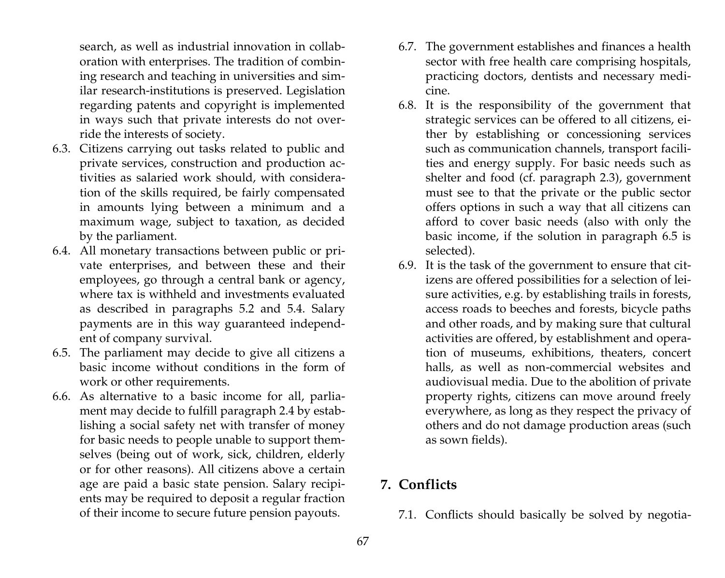search, as well as industrial innovation in collaboration with enterprises. The tradition of combining research and teaching in universities and similar research-institutions is preserved. Legislation regarding patents and copyright is implemented in ways such that private interests do not override the interests of society.

- 6.3. Citizens carrying out tasks related to public and private services, construction and production activities as salaried work should, with consideration of the skills required, be fairly compensated in amounts lying between a minimum and a maximum wage, subject to taxation, as decided by the parliament.
- 6.4. All monetary transactions between public or private enterprises, and between these and their employees, go through a central bank or agency, where tax is withheld and investments evaluated as described in paragraphs 5.2 and 5.4. Salary payments are in this way guaranteed independent of company survival.
- 6.5. The parliament may decide to give all citizens a basic income without conditions in the form of work or other requirements.
- 6.6. As alternative to a basic income for all, parliament may decide to fulfill paragraph 2.4 by establishing a social safety net with transfer of money for basic needs to people unable to support themselves (being out of work, sick, children, elderly or for other reasons). All citizens above a certain age are paid a basic state pension. Salary recipients may be required to deposit a regular fraction of their income to secure future pension payouts.
- 6.7. The government establishes and finances a health sector with free health care comprising hospitals, practicing doctors, dentists and necessary medicine.
- 6.8. It is the responsibility of the government that strategic services can be offered to all citizens, either by establishing or concessioning services such as communication channels, transport facilities and energy supply. For basic needs such as shelter and food (cf. paragraph 2.3), government must see to that the private or the public sector offers options in such a way that all citizens can afford to cover basic needs (also with only the basic income, if the solution in paragraph 6.5 is selected).
- 6.9. It is the task of the government to ensure that citizens are offered possibilities for a selection of leisure activities, e.g. by establishing trails in forests, access roads to beeches and forests, bicycle paths and other roads, and by making sure that cultural activities are offered, by establishment and operation of museums, exhibitions, theaters, concert halls, as well as non-commercial websites and audiovisual media. Due to the abolition of private property rights, citizens can move around freely everywhere, as long as they respect the privacy of others and do not damage production areas (such as sown fields).

# **7. Conflicts**

7.1. Conflicts should basically be solved by negotia-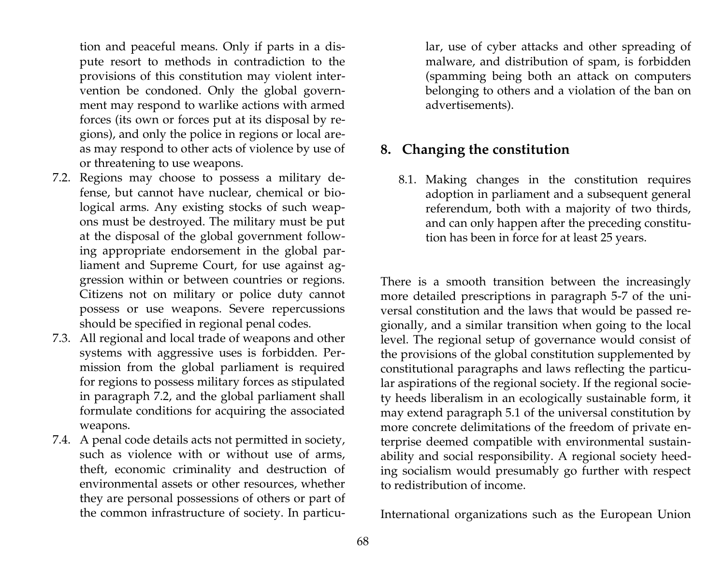tion and peaceful means. Only if parts in a dispute resort to methods in contradiction to the provisions of this constitution may violent intervention be condoned. Only the global government may respond to warlike actions with armed forces (its own or forces put at its disposal by regions), and only the police in regions or local areas may respond to other acts of violence by use of or threatening to use weapons.

- 7.2. Regions may choose to possess a military defense, but cannot have nuclear, chemical or biological arms. Any existing stocks of such weapons must be destroyed. The military must be put at the disposal of the global government following appropriate endorsement in the global parliament and Supreme Court, for use against aggression within or between countries or regions. Citizens not on military or police duty cannot possess or use weapons. Severe repercussions should be specified in regional penal codes.
- 7.3. All regional and local trade of weapons and other systems with aggressive uses is forbidden. Permission from the global parliament is required for regions to possess military forces as stipulated in paragraph 7.2, and the global parliament shall formulate conditions for acquiring the associated weapons.
- 7.4. A penal code details acts not permitted in society, such as violence with or without use of arms, theft, economic criminality and destruction of environmental assets or other resources, whether they are personal possessions of others or part of the common infrastructure of society. In particu-

lar, use of cyber attacks and other spreading of malware, and distribution of spam, is forbidden (spamming being both an attack on computers belonging to others and a violation of the ban on advertisements).

## **8. Changing the constitution**

8.1. Making changes in the constitution requires adoption in parliament and a subsequent general referendum, both with a majority of two thirds, and can only happen after the preceding constitution has been in force for at least 25 years.

There is a smooth transition between the increasingly more detailed prescriptions in paragraph 5-7 of the universal constitution and the laws that would be passed regionally, and a similar transition when going to the local level. The regional setup of governance would consist of the provisions of the global constitution supplemented by constitutional paragraphs and laws reflecting the particular aspirations of the regional society. If the regional society heeds liberalism in an ecologically sustainable form, it may extend paragraph 5.1 of the universal constitution by more concrete delimitations of the freedom of private enterprise deemed compatible with environmental sustainability and social responsibility. A regional society heeding socialism would presumably go further with respect to redistribution of income.

International organizations such as the European Union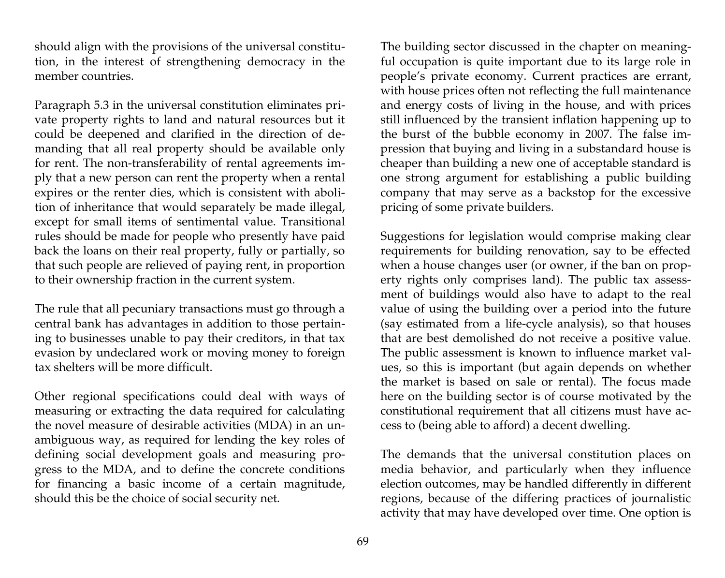should align with the provisions of the universal constitution, in the interest of strengthening democracy in the member countries.

Paragraph 5.3 in the universal constitution eliminates private property rights to land and natural resources but it could be deepened and clarified in the direction of demanding that all real property should be available only for rent. The non-transferability of rental agreements imply that a new person can rent the property when a rental expires or the renter dies, which is consistent with abolition of inheritance that would separately be made illegal, except for small items of sentimental value. Transitional rules should be made for people who presently have paid back the loans on their real property, fully or partially, so that such people are relieved of paying rent, in proportion to their ownership fraction in the current system.

The rule that all pecuniary transactions must go through a central bank has advantages in addition to those pertaining to businesses unable to pay their creditors, in that tax evasion by undeclared work or moving money to foreign tax shelters will be more difficult.

Other regional specifications could deal with ways of measuring or extracting the data required for calculating the novel measure of desirable activities (MDA) in an unambiguous way, as required for lending the key roles of defining social development goals and measuring progress to the MDA, and to define the concrete conditions for financing a basic income of a certain magnitude, should this be the choice of social security net.

The building sector discussed in the chapter on meaningful occupation is quite important due to its large role in people's private economy. Current practices are errant, with house prices often not reflecting the full maintenance and energy costs of living in the house, and with prices still influenced by the transient inflation happening up to the burst of the bubble economy in 2007. The false impression that buying and living in a substandard house is cheaper than building a new one of acceptable standard is one strong argument for establishing a public building company that may serve as a backstop for the excessive pricing of some private builders.

Suggestions for legislation would comprise making clear requirements for building renovation, say to be effected when a house changes user (or owner, if the ban on property rights only comprises land). The public tax assessment of buildings would also have to adapt to the real value of using the building over a period into the future (say estimated from a life-cycle analysis), so that houses that are best demolished do not receive a positive value. The public assessment is known to influence market values, so this is important (but again depends on whether the market is based on sale or rental). The focus made here on the building sector is of course motivated by the constitutional requirement that all citizens must have access to (being able to afford) a decent dwelling.

The demands that the universal constitution places on media behavior, and particularly when they influence election outcomes, may be handled differently in different regions, because of the differing practices of journalistic activity that may have developed over time. One option is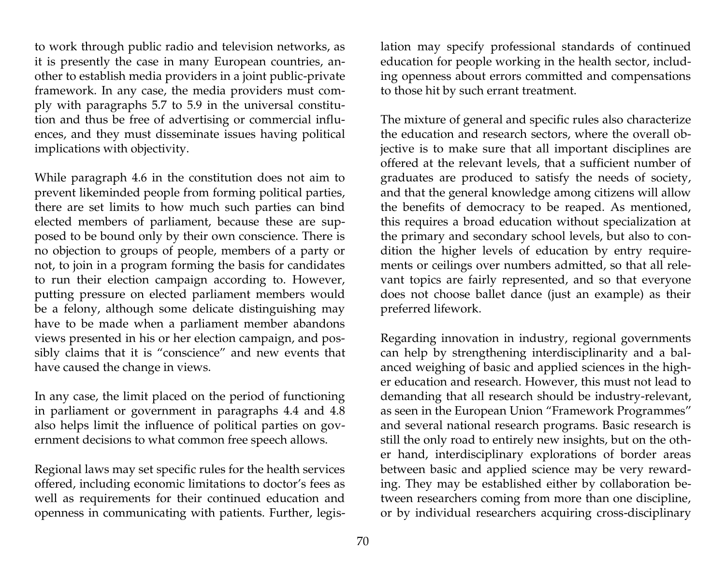to work through public radio and television networks, as it is presently the case in many European countries, another to establish media providers in a joint public-private framework. In any case, the media providers must comply with paragraphs 5.7 to 5.9 in the universal constitution and thus be free of advertising or commercial influences, and they must disseminate issues having political implications with objectivity.

While paragraph 4.6 in the constitution does not aim to prevent likeminded people from forming political parties, there are set limits to how much such parties can bind elected members of parliament, because these are supposed to be bound only by their own conscience. There is no objection to groups of people, members of a party or not, to join in a program forming the basis for candidates to run their election campaign according to. However, putting pressure on elected parliament members would be a felony, although some delicate distinguishing may have to be made when a parliament member abandons views presented in his or her election campaign, and possibly claims that it is "conscience" and new events that have caused the change in views.

In any case, the limit placed on the period of functioning in parliament or government in paragraphs 4.4 and 4.8 also helps limit the influence of political parties on government decisions to what common free speech allows.

Regional laws may set specific rules for the health services offered, including economic limitations to doctor's fees as well as requirements for their continued education and openness in communicating with patients. Further, legis-

lation may specify professional standards of continued education for people working in the health sector, including openness about errors committed and compensations to those hit by such errant treatment.

The mixture of general and specific rules also characterize the education and research sectors, where the overall objective is to make sure that all important disciplines are offered at the relevant levels, that a sufficient number of graduates are produced to satisfy the needs of society, and that the general knowledge among citizens will allow the benefits of democracy to be reaped. As mentioned, this requires a broad education without specialization at the primary and secondary school levels, but also to condition the higher levels of education by entry requirements or ceilings over numbers admitted, so that all relevant topics are fairly represented, and so that everyone does not choose ballet dance (just an example) as their preferred lifework.

Regarding innovation in industry, regional governments can help by strengthening interdisciplinarity and a balanced weighing of basic and applied sciences in the higher education and research. However, this must not lead to demanding that all research should be industry-relevant, as seen in the European Union "Framework Programmes" and several national research programs. Basic research is still the only road to entirely new insights, but on the other hand, interdisciplinary explorations of border areas between basic and applied science may be very rewarding. They may be established either by collaboration between researchers coming from more than one discipline, or by individual researchers acquiring cross-disciplinary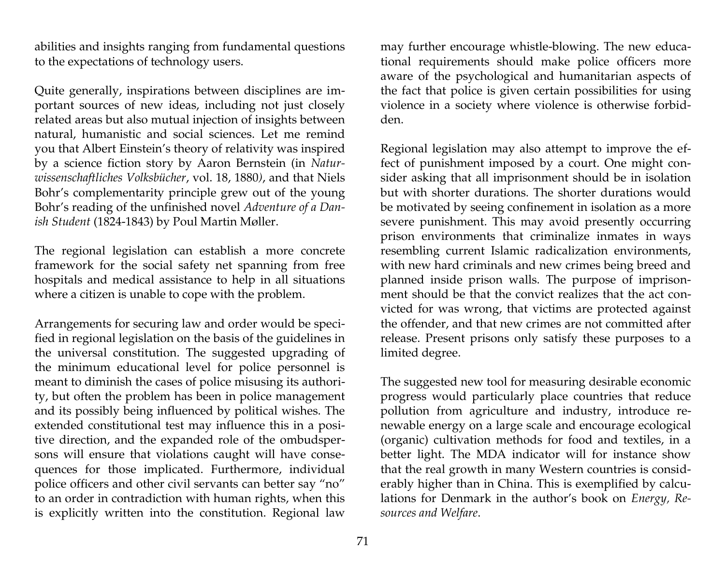abilities and insights ranging from fundamental questions to the expectations of technology users.

Quite generally, inspirations between disciplines are important sources of new ideas, including not just closely related areas but also mutual injection of insights between natural, humanistic and social sciences. Let me remind you that Albert Einstein's theory of relativity was inspired by a science fiction story by Aaron Bernstein (in *Naturwissenschaftliches Volksbücher*, vol. 18, 1880*)*, and that Niels Bohr's complementarity principle grew out of the young Bohr's reading of the unfinished novel *Adventure of a Danish Student* (1824-1843) by Poul Martin Møller.

The regional legislation can establish a more concrete framework for the social safety net spanning from free hospitals and medical assistance to help in all situations where a citizen is unable to cope with the problem.

Arrangements for securing law and order would be specified in regional legislation on the basis of the guidelines in the universal constitution. The suggested upgrading of the minimum educational level for police personnel is meant to diminish the cases of police misusing its authority, but often the problem has been in police management and its possibly being influenced by political wishes. The extended constitutional test may influence this in a positive direction, and the expanded role of the ombudspersons will ensure that violations caught will have consequences for those implicated. Furthermore, individual police officers and other civil servants can better say "no" to an order in contradiction with human rights, when this is explicitly written into the constitution. Regional law

may further encourage whistle-blowing. The new educational requirements should make police officers more aware of the psychological and humanitarian aspects of the fact that police is given certain possibilities for using violence in a society where violence is otherwise forbidden.

Regional legislation may also attempt to improve the effect of punishment imposed by a court. One might consider asking that all imprisonment should be in isolation but with shorter durations. The shorter durations would be motivated by seeing confinement in isolation as a more severe punishment. This may avoid presently occurring prison environments that criminalize inmates in ways resembling current Islamic radicalization environments, with new hard criminals and new crimes being breed and planned inside prison walls. The purpose of imprisonment should be that the convict realizes that the act convicted for was wrong, that victims are protected against the offender, and that new crimes are not committed after release. Present prisons only satisfy these purposes to a limited degree.

The suggested new tool for measuring desirable economic progress would particularly place countries that reduce pollution from agriculture and industry, introduce renewable energy on a large scale and encourage ecological (organic) cultivation methods for food and textiles, in a better light. The MDA indicator will for instance show that the real growth in many Western countries is considerably higher than in China. This is exemplified by calculations for Denmark in the author's book on *Energy, Resources and Welfare*.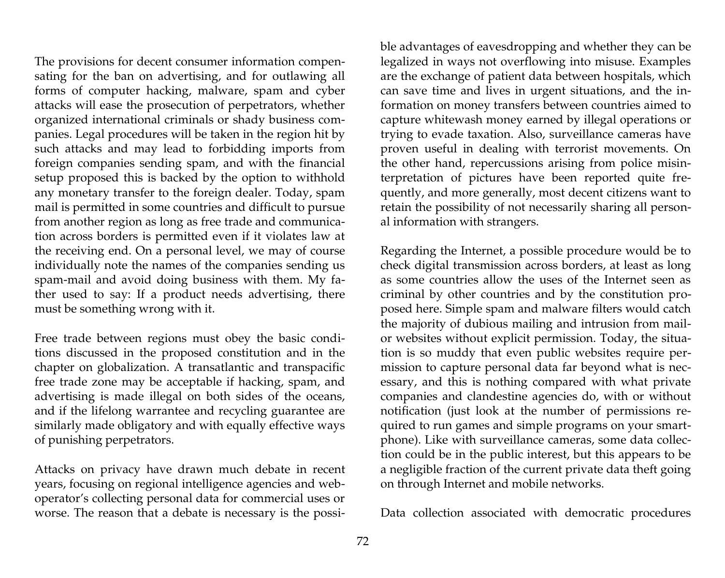The provisions for decent consumer information compensating for the ban on advertising, and for outlawing all forms of computer hacking, malware, spam and cyber attacks will ease the prosecution of perpetrators, whether organized international criminals or shady business companies. Legal procedures will be taken in the region hit by such attacks and may lead to forbidding imports from foreign companies sending spam, and with the financial setup proposed this is backed by the option to withhold any monetary transfer to the foreign dealer. Today, spam mail is permitted in some countries and difficult to pursue from another region as long as free trade and communication across borders is permitted even if it violates law at the receiving end. On a personal level, we may of course individually note the names of the companies sending us spam-mail and avoid doing business with them. My father used to say: If a product needs advertising, there must be something wrong with it.

Free trade between regions must obey the basic conditions discussed in the proposed constitution and in the chapter on globalization. A transatlantic and transpacific free trade zone may be acceptable if hacking, spam, and advertising is made illegal on both sides of the oceans, and if the lifelong warrantee and recycling guarantee are similarly made obligatory and with equally effective ways of punishing perpetrators.

Attacks on privacy have drawn much debate in recent years, focusing on regional intelligence agencies and weboperator's collecting personal data for commercial uses or worse. The reason that a debate is necessary is the possible advantages of eavesdropping and whether they can be legalized in ways not overflowing into misuse. Examples are the exchange of patient data between hospitals, which can save time and lives in urgent situations, and the information on money transfers between countries aimed to capture whitewash money earned by illegal operations or trying to evade taxation. Also, surveillance cameras have proven useful in dealing with terrorist movements. On the other hand, repercussions arising from police misinterpretation of pictures have been reported quite frequently, and more generally, most decent citizens want to retain the possibility of not necessarily sharing all personal information with strangers.

Regarding the Internet, a possible procedure would be to check digital transmission across borders, at least as long as some countries allow the uses of the Internet seen as criminal by other countries and by the constitution proposed here. Simple spam and malware filters would catch the majority of dubious mailing and intrusion from mailor websites without explicit permission. Today, the situation is so muddy that even public websites require permission to capture personal data far beyond what is necessary, and this is nothing compared with what private companies and clandestine agencies do, with or without notification (just look at the number of permissions required to run games and simple programs on your smartphone). Like with surveillance cameras, some data collection could be in the public interest, but this appears to be a negligible fraction of the current private data theft going on through Internet and mobile networks.

Data collection associated with democratic procedures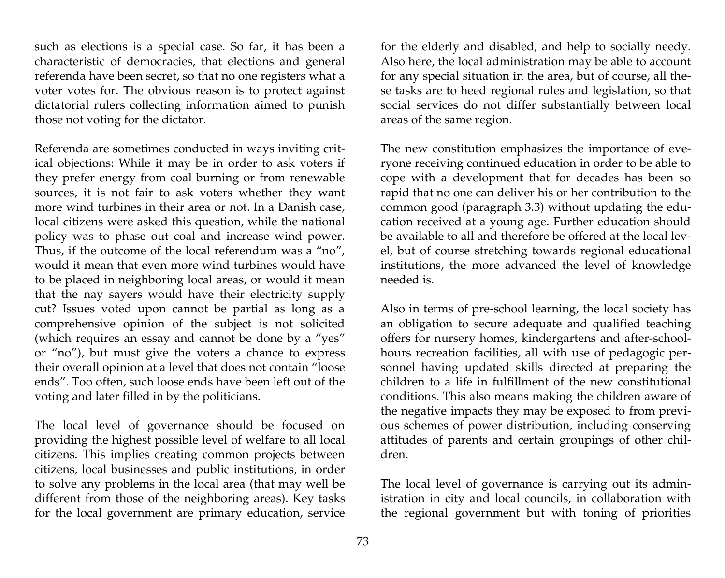such as elections is a special case. So far, it has been a characteristic of democracies, that elections and general referenda have been secret, so that no one registers what a voter votes for. The obvious reason is to protect against dictatorial rulers collecting information aimed to punish those not voting for the dictator.

Referenda are sometimes conducted in ways inviting critical objections: While it may be in order to ask voters if they prefer energy from coal burning or from renewable sources, it is not fair to ask voters whether they want more wind turbines in their area or not. In a Danish case, local citizens were asked this question, while the national policy was to phase out coal and increase wind power. Thus, if the outcome of the local referendum was a "no", would it mean that even more wind turbines would have to be placed in neighboring local areas, or would it mean that the nay sayers would have their electricity supply cut? Issues voted upon cannot be partial as long as a comprehensive opinion of the subject is not solicited (which requires an essay and cannot be done by a "yes" or "no"), but must give the voters a chance to express their overall opinion at a level that does not contain "loose ends". Too often, such loose ends have been left out of the voting and later filled in by the politicians.

The local level of governance should be focused on providing the highest possible level of welfare to all local citizens. This implies creating common projects between citizens, local businesses and public institutions, in order to solve any problems in the local area (that may well be different from those of the neighboring areas). Key tasks for the local government are primary education, service

for the elderly and disabled, and help to socially needy. Also here, the local administration may be able to account for any special situation in the area, but of course, all these tasks are to heed regional rules and legislation, so that social services do not differ substantially between local areas of the same region.

The new constitution emphasizes the importance of everyone receiving continued education in order to be able to cope with a development that for decades has been so rapid that no one can deliver his or her contribution to the common good (paragraph 3.3) without updating the education received at a young age. Further education should be available to all and therefore be offered at the local level, but of course stretching towards regional educational institutions, the more advanced the level of knowledge needed is.

Also in terms of pre-school learning, the local society has an obligation to secure adequate and qualified teaching offers for nursery homes, kindergartens and after-schoolhours recreation facilities, all with use of pedagogic personnel having updated skills directed at preparing the children to a life in fulfillment of the new constitutional conditions. This also means making the children aware of the negative impacts they may be exposed to from previous schemes of power distribution, including conserving attitudes of parents and certain groupings of other children.

The local level of governance is carrying out its administration in city and local councils, in collaboration with the regional government but with toning of priorities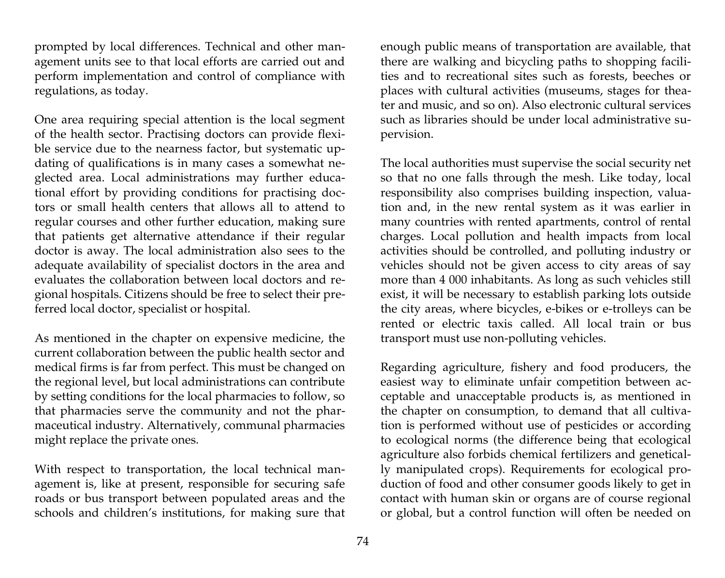prompted by local differences. Technical and other management units see to that local efforts are carried out and perform implementation and control of compliance with regulations, as today.

One area requiring special attention is the local segment of the health sector. Practising doctors can provide flexible service due to the nearness factor, but systematic updating of qualifications is in many cases a somewhat neglected area. Local administrations may further educational effort by providing conditions for practising doctors or small health centers that allows all to attend to regular courses and other further education, making sure that patients get alternative attendance if their regular doctor is away. The local administration also sees to the adequate availability of specialist doctors in the area and evaluates the collaboration between local doctors and regional hospitals. Citizens should be free to select their preferred local doctor, specialist or hospital.

As mentioned in the chapter on expensive medicine, the current collaboration between the public health sector and medical firms is far from perfect. This must be changed on the regional level, but local administrations can contribute by setting conditions for the local pharmacies to follow, so that pharmacies serve the community and not the pharmaceutical industry. Alternatively, communal pharmacies might replace the private ones.

With respect to transportation, the local technical management is, like at present, responsible for securing safe roads or bus transport between populated areas and the schools and children's institutions, for making sure that

enough public means of transportation are available, that there are walking and bicycling paths to shopping facilities and to recreational sites such as forests, beeches or places with cultural activities (museums, stages for theater and music, and so on). Also electronic cultural services such as libraries should be under local administrative supervision.

The local authorities must supervise the social security net so that no one falls through the mesh. Like today, local responsibility also comprises building inspection, valuation and, in the new rental system as it was earlier in many countries with rented apartments, control of rental charges. Local pollution and health impacts from local activities should be controlled, and polluting industry or vehicles should not be given access to city areas of say more than 4 000 inhabitants. As long as such vehicles still exist, it will be necessary to establish parking lots outside the city areas, where bicycles, e-bikes or e-trolleys can be rented or electric taxis called. All local train or bus transport must use non-polluting vehicles.

Regarding agriculture, fishery and food producers, the easiest way to eliminate unfair competition between acceptable and unacceptable products is, as mentioned in the chapter on consumption, to demand that all cultivation is performed without use of pesticides or according to ecological norms (the difference being that ecological agriculture also forbids chemical fertilizers and genetically manipulated crops). Requirements for ecological production of food and other consumer goods likely to get in contact with human skin or organs are of course regional or global, but a control function will often be needed on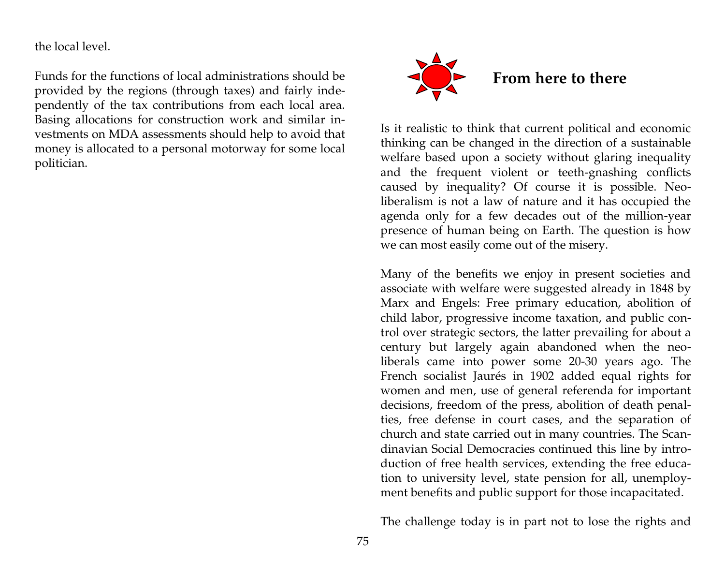the local level.

Funds for the functions of local administrations should be provided by the regions (through taxes) and fairly independently of the tax contributions from each local area. Basing allocations for construction work and similar investments on MDA assessments should help to avoid that money is allocated to a personal motorway for some local politician.



Is it realistic to think that current political and economic thinking can be changed in the direction of a sustainable welfare based upon a society without glaring inequality and the frequent violent or teeth-gnashing conflicts caused by inequality? Of course it is possible. Neoliberalism is not a law of nature and it has occupied the agenda only for a few decades out of the million-year presence of human being on Earth. The question is how we can most easily come out of the misery.

Many of the benefits we enjoy in present societies and associate with welfare were suggested already in 1848 by Marx and Engels: Free primary education, abolition of child labor, progressive income taxation, and public control over strategic sectors, the latter prevailing for about a century but largely again abandoned when the neoliberals came into power some 20-30 years ago. The French socialist Jaurés in 1902 added equal rights for women and men, use of general referenda for important decisions, freedom of the press, abolition of death penalties, free defense in court cases, and the separation of church and state carried out in many countries. The Scandinavian Social Democracies continued this line by introduction of free health services, extending the free education to university level, state pension for all, unemployment benefits and public support for those incapacitated.

The challenge today is in part not to lose the rights and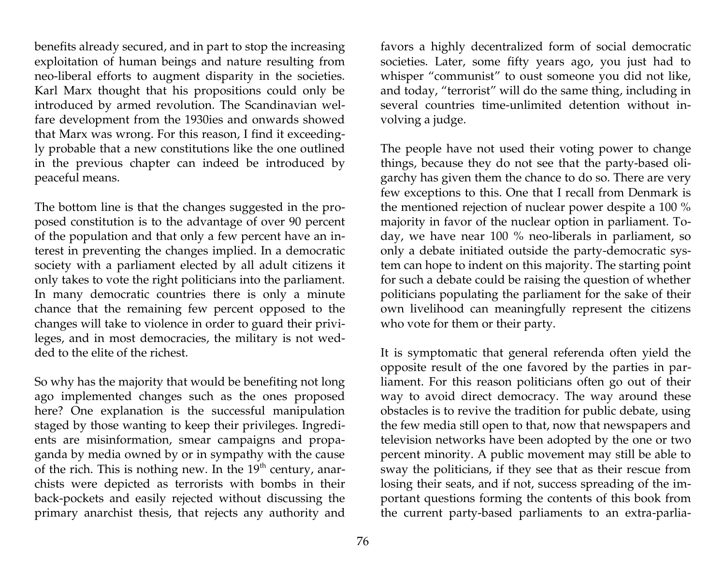benefits already secured, and in part to stop the increasing exploitation of human beings and nature resulting from neo-liberal efforts to augment disparity in the societies. Karl Marx thought that his propositions could only be introduced by armed revolution. The Scandinavian welfare development from the 1930ies and onwards showed that Marx was wrong. For this reason, I find it exceedingly probable that a new constitutions like the one outlined in the previous chapter can indeed be introduced by peaceful means.

The bottom line is that the changes suggested in the proposed constitution is to the advantage of over 90 percent of the population and that only a few percent have an interest in preventing the changes implied. In a democratic society with a parliament elected by all adult citizens it only takes to vote the right politicians into the parliament. In many democratic countries there is only a minute chance that the remaining few percent opposed to the changes will take to violence in order to guard their privileges, and in most democracies, the military is not wedded to the elite of the richest.

So why has the majority that would be benefiting not long ago implemented changes such as the ones proposed here? One explanation is the successful manipulation staged by those wanting to keep their privileges. Ingredients are misinformation, smear campaigns and propaganda by media owned by or in sympathy with the cause of the rich. This is nothing new. In the  $19<sup>th</sup>$  century, anarchists were depicted as terrorists with bombs in their back-pockets and easily rejected without discussing the primary anarchist thesis, that rejects any authority and

favors a highly decentralized form of social democratic societies. Later, some fifty years ago, you just had to whisper "communist" to oust someone you did not like, and today, "terrorist" will do the same thing, including in several countries time-unlimited detention without involving a judge.

The people have not used their voting power to change things, because they do not see that the party-based oligarchy has given them the chance to do so. There are very few exceptions to this. One that I recall from Denmark is the mentioned rejection of nuclear power despite a 100 % majority in favor of the nuclear option in parliament. Today, we have near 100 % neo-liberals in parliament, so only a debate initiated outside the party-democratic system can hope to indent on this majority. The starting point for such a debate could be raising the question of whether politicians populating the parliament for the sake of their own livelihood can meaningfully represent the citizens who vote for them or their party.

It is symptomatic that general referenda often yield the opposite result of the one favored by the parties in parliament. For this reason politicians often go out of their way to avoid direct democracy. The way around these obstacles is to revive the tradition for public debate, using the few media still open to that, now that newspapers and television networks have been adopted by the one or two percent minority. A public movement may still be able to sway the politicians, if they see that as their rescue from losing their seats, and if not, success spreading of the important questions forming the contents of this book from the current party-based parliaments to an extra-parlia